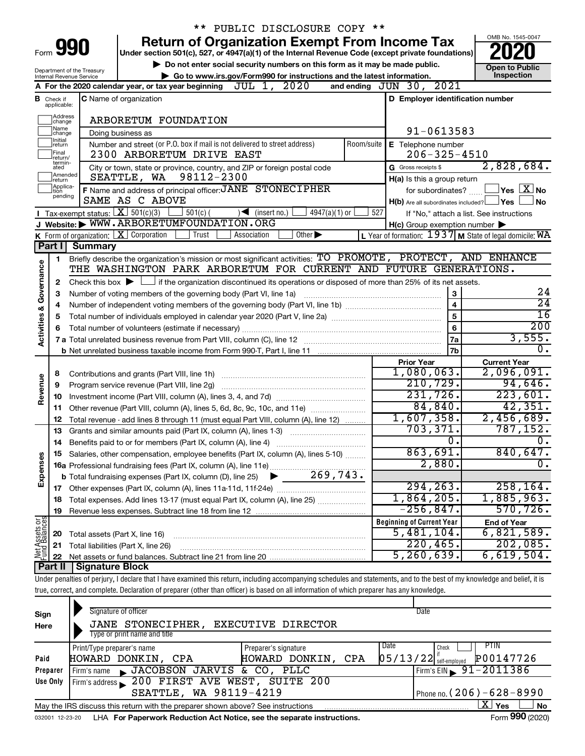|                                    |                                       |                                    | ** PUBLIC DISCLOSURE COPY **                                                                                                                                                      |                                                                        |                                                      |
|------------------------------------|---------------------------------------|------------------------------------|-----------------------------------------------------------------------------------------------------------------------------------------------------------------------------------|------------------------------------------------------------------------|------------------------------------------------------|
| Form 990                           |                                       |                                    | <b>Return of Organization Exempt From Income Tax</b><br>Under section 501(c), 527, or 4947(a)(1) of the Internal Revenue Code (except private foundations)                        |                                                                        | OMB No. 1545-0047                                    |
|                                    |                                       | Department of the Treasury         | Do not enter social security numbers on this form as it may be made public.                                                                                                       |                                                                        | <b>Open to Public</b><br>Inspection                  |
|                                    |                                       | Internal Revenue Service           | Go to www.irs.gov/Form990 for instructions and the latest information.<br>JUL 1, 2020<br>A For the 2020 calendar year, or tax year beginning                                      | and ending JUN 30, 2021                                                |                                                      |
|                                    | <b>B</b> Check if<br>applicable:      |                                    | <b>C</b> Name of organization                                                                                                                                                     | D Employer identification number                                       |                                                      |
|                                    | Address<br> change                    |                                    | ARBORETUM FOUNDATION                                                                                                                                                              |                                                                        |                                                      |
|                                    | ]Name<br>]change                      |                                    | Doing business as                                                                                                                                                                 | 91-0613583                                                             |                                                      |
|                                    | Initial<br>return<br>Final<br>return/ |                                    | Number and street (or P.O. box if mail is not delivered to street address)<br>Room/suite<br>2300 ARBORETUM DRIVE EAST                                                             | E Telephone number<br>$206 - 325 - 4510$                               |                                                      |
|                                    | termin-<br>ated<br>Amended<br>return  |                                    | City or town, state or province, country, and ZIP or foreign postal code<br>98112-2300<br>SEATTLE, WA                                                                             | G Gross receipts \$<br>H(a) Is this a group return                     | 2,828,684.                                           |
|                                    | Applica-<br>tion                      |                                    | F Name and address of principal officer: JANE STONECIPHER                                                                                                                         | for subordinates?                                                      | $\sqrt{\mathsf{Yes}\mathord{\text{ }}\mathbf{X}}$ No |
|                                    | pending                               |                                    | SAME AS C ABOVE                                                                                                                                                                   | $H(b)$ Are all subordinates included?                                  | ⊥Yes<br>No                                           |
|                                    |                                       | Tax-exempt status: $X \ 501(c)(3)$ | $501(c)$ (<br>$\sqrt{\phantom{a}}$ (insert no.)<br>$4947(a)(1)$ or                                                                                                                | 527                                                                    | If "No," attach a list. See instructions             |
|                                    |                                       |                                    | J Website: WWW.ARBORETUMFOUNDATION.ORG                                                                                                                                            | $H(c)$ Group exemption number $\blacktriangleright$                    |                                                      |
|                                    |                                       |                                    | K Form of organization: X Corporation<br>Other $\blacktriangleright$<br>Trust<br>Association                                                                                      | L Year of formation: $1937$ M State of legal domicile: $\overline{WA}$ |                                                      |
|                                    | Part I                                | <b>Summary</b>                     |                                                                                                                                                                                   |                                                                        |                                                      |
|                                    | 1                                     |                                    | Briefly describe the organization's mission or most significant activities: TO PROMOTE, PROTECT, AND ENHANCE<br>THE WASHINGTON PARK ARBORETUM FOR CURRENT AND FUTURE GENERATIONS. |                                                                        |                                                      |
| <b>Activities &amp; Governance</b> | 2                                     |                                    | Check this box $\blacktriangleright$ $\Box$ if the organization discontinued its operations or disposed of more than 25% of its net assets.                                       |                                                                        |                                                      |
|                                    | з                                     |                                    | Number of voting members of the governing body (Part VI, line 1a)                                                                                                                 | 3                                                                      | 24                                                   |
|                                    | 4                                     |                                    |                                                                                                                                                                                   | $\overline{\mathbf{4}}$                                                | $\overline{24}$                                      |
|                                    | 5                                     |                                    |                                                                                                                                                                                   | 5                                                                      | $\overline{16}$                                      |
|                                    | 6                                     |                                    | Total number of volunteers (estimate if necessary)                                                                                                                                | 6                                                                      | $\overline{200}$                                     |
|                                    |                                       |                                    |                                                                                                                                                                                   | 7a                                                                     | 3,555.                                               |
|                                    |                                       |                                    |                                                                                                                                                                                   | 7b                                                                     | 0.                                                   |
|                                    |                                       |                                    |                                                                                                                                                                                   | <b>Prior Year</b>                                                      | <b>Current Year</b>                                  |
|                                    | 8                                     |                                    | Contributions and grants (Part VIII, line 1h)                                                                                                                                     | 1,080,063.                                                             | 2,096,091.                                           |
| Revenue                            | 9                                     |                                    | Program service revenue (Part VIII, line 2g)                                                                                                                                      | 210, 729.                                                              | 94,646.                                              |
|                                    | 10                                    |                                    |                                                                                                                                                                                   | 231,726.                                                               | 223,601.                                             |
|                                    | 11                                    |                                    | Other revenue (Part VIII, column (A), lines 5, 6d, 8c, 9c, 10c, and 11e)                                                                                                          | 84,840.                                                                | 42,351.                                              |
|                                    | 12                                    |                                    | Total revenue - add lines 8 through 11 (must equal Part VIII, column (A), line 12)                                                                                                | 1,607,358.<br>703, 371.                                                | 2,456,689.<br>787, 152.                              |
|                                    | 13                                    |                                    | Grants and similar amounts paid (Part IX, column (A), lines 1-3)                                                                                                                  | 0.                                                                     | $\overline{0}$ .                                     |
|                                    | 14                                    |                                    | Benefits paid to or for members (Part IX, column (A), line 4)                                                                                                                     | 863,691.                                                               | 840,647.                                             |
| Expenses                           | 15                                    |                                    | Salaries, other compensation, employee benefits (Part IX, column (A), lines 5-10)<br>16a Professional fundraising fees (Part IX, column (A), line 11e)                            | 2,880.                                                                 | $\overline{0}$ .                                     |
|                                    |                                       |                                    | 269,743.                                                                                                                                                                          |                                                                        |                                                      |
|                                    |                                       |                                    | <b>b</b> Total fundraising expenses (Part IX, column (D), line 25)                                                                                                                | 294, 263.                                                              | 258, 164.                                            |
|                                    | 17<br>18                              |                                    | Total expenses. Add lines 13-17 (must equal Part IX, column (A), line 25)                                                                                                         | 1,864,205.                                                             | 1,885,963.                                           |
|                                    | 19                                    |                                    |                                                                                                                                                                                   | $-256,847.$                                                            | 570, 726.                                            |
|                                    |                                       |                                    |                                                                                                                                                                                   | <b>Beginning of Current Year</b>                                       | <b>End of Year</b>                                   |
| Net Assets or<br>Fund Balances     | 20                                    | Total assets (Part X, line 16)     |                                                                                                                                                                                   | 5,481,104.                                                             | 6,821,589.                                           |
|                                    | 21                                    |                                    | Total liabilities (Part X, line 26)                                                                                                                                               | 220, 465.                                                              | 202,085.                                             |
|                                    | 22                                    |                                    |                                                                                                                                                                                   | 5, 260, 639.                                                           | 6,619,504.                                           |
|                                    | Part II                               | <b>Signature Block</b>             |                                                                                                                                                                                   |                                                                        |                                                      |
|                                    |                                       |                                    | Under penalties of perjury, I declare that I have examined this return, including accompanying schedules and statements, and to the best of my knowledge and belief, it is        |                                                                        |                                                      |
|                                    |                                       |                                    | true, correct, and complete. Declaration of preparer (other than officer) is based on all information of which preparer has any knowledge.                                        |                                                                        |                                                      |

| Sign<br>Here | Signature of officer<br>JANE STONECIPHER, EXECUTIVE DIRECTOR<br>Type or print name and title |                       | Date                                               |    |
|--------------|----------------------------------------------------------------------------------------------|-----------------------|----------------------------------------------------|----|
|              | Print/Type preparer's name                                                                   | Preparer's signature  | PTIN<br>Date<br>Check                              |    |
| Paid         | HOWARD DONKIN, CPA                                                                           | CPA<br>HOWARD DONKIN, | P00147726<br>$\left[05/13/22\right]$ self-employed |    |
| Preparer     | Firm's name JACOBSON JARVIS & CO, PLLC                                                       |                       | Firm's EIN $\frac{91 - 2011386}{ }$                |    |
| Use Only     | Firm's address 200 FIRST AVE WEST, SUITE 200                                                 |                       |                                                    |    |
|              | SEATTLE, WA 98119-4219                                                                       |                       | Phone no. $(206) - 628 - 8990$                     |    |
|              | May the IRS discuss this return with the preparer shown above? See instructions              |                       | $\mathbf{X}$ Yes                                   | No |
|              |                                                                                              |                       | $\overline{a}$ 000 $\overline{a}$                  |    |

032001 12-23-20 LHA **For Paperwork Reduction Act Notice, see the separate instructions.** Form 990 (2020)

Form **990** (2020)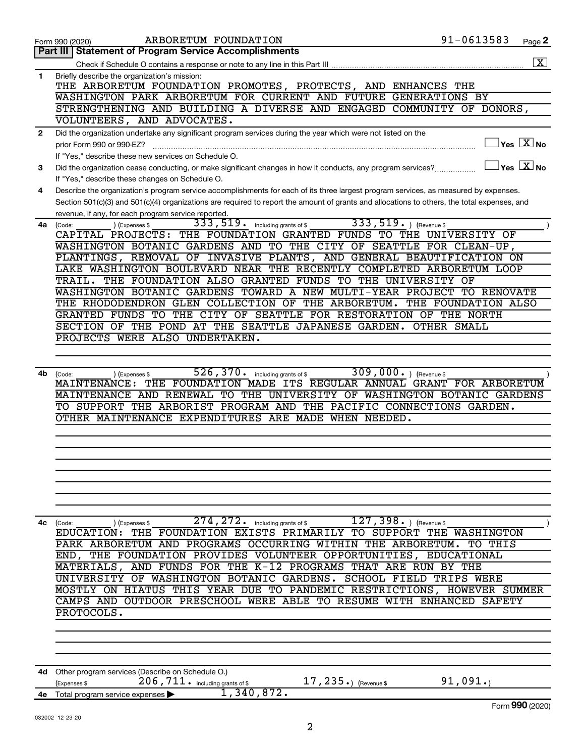|              | ARBORETUM FOUNDATION<br>Form 990 (2020)                                                                                                           | 91-0613583          | Page 2                |
|--------------|---------------------------------------------------------------------------------------------------------------------------------------------------|---------------------|-----------------------|
|              | Part III   Statement of Program Service Accomplishments                                                                                           |                     |                       |
|              |                                                                                                                                                   |                     | $\overline{\text{X}}$ |
| 1            | Briefly describe the organization's mission:                                                                                                      |                     |                       |
|              | THE ARBORETUM FOUNDATION PROMOTES, PROTECTS, AND ENHANCES THE                                                                                     |                     |                       |
|              | WASHINGTON PARK ARBORETUM FOR CURRENT AND FUTURE GENERATIONS BY                                                                                   |                     |                       |
|              | STRENGTHENING AND BUILDING A DIVERSE AND ENGAGED COMMUNITY OF DONORS,                                                                             |                     |                       |
|              | VOLUNTEERS, AND ADVOCATES.                                                                                                                        |                     |                       |
| $\mathbf{2}$ | Did the organization undertake any significant program services during the year which were not listed on the                                      |                     |                       |
|              | prior Form 990 or 990-EZ?                                                                                                                         |                     | $Yes$ $X no$          |
|              | If "Yes," describe these new services on Schedule O.                                                                                              |                     |                       |
| 3            | Did the organization cease conducting, or make significant changes in how it conducts, any program services?                                      |                     | $Yes \quad X$ No      |
|              | If "Yes," describe these changes on Schedule O.                                                                                                   |                     |                       |
| 4            | Describe the organization's program service accomplishments for each of its three largest program services, as measured by expenses.              |                     |                       |
|              | Section 501(c)(3) and 501(c)(4) organizations are required to report the amount of grants and allocations to others, the total expenses, and      |                     |                       |
|              | revenue, if any, for each program service reported.                                                                                               |                     |                       |
| 4a           | 333, 519. Revenue \$<br>333,519.<br>including grants of \$<br>) (Expenses \$<br>(Code:                                                            |                     |                       |
|              | CAPITAL PROJECTS: THE FOUNDATION GRANTED FUNDS TO THE UNIVERSITY OF                                                                               |                     |                       |
|              | WASHINGTON BOTANIC GARDENS AND TO THE CITY OF SEATTLE FOR CLEAN-UP,                                                                               |                     |                       |
|              | PLANTINGS, REMOVAL OF INVASIVE PLANTS, AND GENERAL BEAUTIFICATION ON                                                                              |                     |                       |
|              | LAKE WASHINGTON BOULEVARD NEAR THE RECENTLY COMPLETED ARBORETUM LOOP                                                                              |                     |                       |
|              | TRAIL. THE FOUNDATION ALSO GRANTED FUNDS TO THE UNIVERSITY OF                                                                                     |                     |                       |
|              | WASHINGTON BOTANIC GARDENS TOWARD A NEW MULTI-YEAR PROJECT TO RENOVATE                                                                            |                     |                       |
|              | THE RHODODENDRON GLEN COLLECTION OF THE ARBORETUM.                                                                                                | THE FOUNDATION ALSO |                       |
|              | GRANTED FUNDS TO THE CITY OF SEATTLE FOR RESTORATION OF THE NORTH                                                                                 |                     |                       |
|              | SECTION OF THE POND AT THE SEATTLE JAPANESE GARDEN.                                                                                               | OTHER SMALL         |                       |
|              | PROJECTS WERE ALSO UNDERTAKEN.                                                                                                                    |                     |                       |
|              |                                                                                                                                                   |                     |                       |
|              | 526,370.                                                                                                                                          |                     |                       |
| 4b           | 309,000.<br>including grants of \$<br>(Code:<br>(Expenses \$<br>THE FOUNDATION MADE ITS REGULAR ANNUAL GRANT FOR ARBORETUM<br><b>MAINTENANCE:</b> | (Revenue \$         |                       |
|              | MAINTENANCE AND RENEWAL TO THE UNIVERSITY OF WASHINGTON BOTANIC GARDENS                                                                           |                     |                       |
|              | TO SUPPORT THE ARBORIST PROGRAM AND THE PACIFIC CONNECTIONS GARDEN.                                                                               |                     |                       |
|              | OTHER MAINTENANCE EXPENDITURES ARE MADE WHEN NEEDED.                                                                                              |                     |                       |
|              |                                                                                                                                                   |                     |                       |
|              |                                                                                                                                                   |                     |                       |
|              |                                                                                                                                                   |                     |                       |
|              |                                                                                                                                                   |                     |                       |
|              |                                                                                                                                                   |                     |                       |
|              |                                                                                                                                                   |                     |                       |
|              |                                                                                                                                                   |                     |                       |
|              |                                                                                                                                                   |                     |                       |
| 4с           | $274$ , $272$ . $\frac{127}{100}$ including grants of \$ $\frac{127}{100}$ , $398$ . $\frac{128}{100}$<br>) (Expenses \$<br>(Code:                |                     |                       |
|              | EDUCATION: THE FOUNDATION EXISTS PRIMARILY TO SUPPORT THE WASHINGTON                                                                              |                     |                       |
|              | PARK ARBORETUM AND PROGRAMS OCCURRING WITHIN THE ARBORETUM. TO THIS                                                                               |                     |                       |
|              | END, THE FOUNDATION PROVIDES VOLUNTEER OPPORTUNITIES, EDUCATIONAL                                                                                 |                     |                       |
|              | MATERIALS, AND FUNDS FOR THE K-12 PROGRAMS THAT ARE RUN BY THE                                                                                    |                     |                       |
|              | UNIVERSITY OF WASHINGTON BOTANIC GARDENS. SCHOOL FIELD TRIPS WERE                                                                                 |                     |                       |
|              | MOSTLY ON HIATUS THIS YEAR DUE TO PANDEMIC RESTRICTIONS, HOWEVER SUMMER                                                                           |                     |                       |
|              | CAMPS AND OUTDOOR PRESCHOOL WERE ABLE TO RESUME WITH ENHANCED SAFETY                                                                              |                     |                       |
|              | PROTOCOLS.                                                                                                                                        |                     |                       |
|              |                                                                                                                                                   |                     |                       |
|              |                                                                                                                                                   |                     |                       |
|              |                                                                                                                                                   |                     |                       |
|              |                                                                                                                                                   |                     |                       |
| 4d           | Other program services (Describe on Schedule O.)                                                                                                  |                     |                       |
|              | 17, $235.$ (Revenue \$<br>$206$ , $711$ $\cdot$ including grants of \$<br>(Expenses \$                                                            | 91,091.             |                       |
|              | 1,340,872.<br>4e Total program service expenses                                                                                                   |                     |                       |
|              |                                                                                                                                                   |                     | Form 990 (2020)       |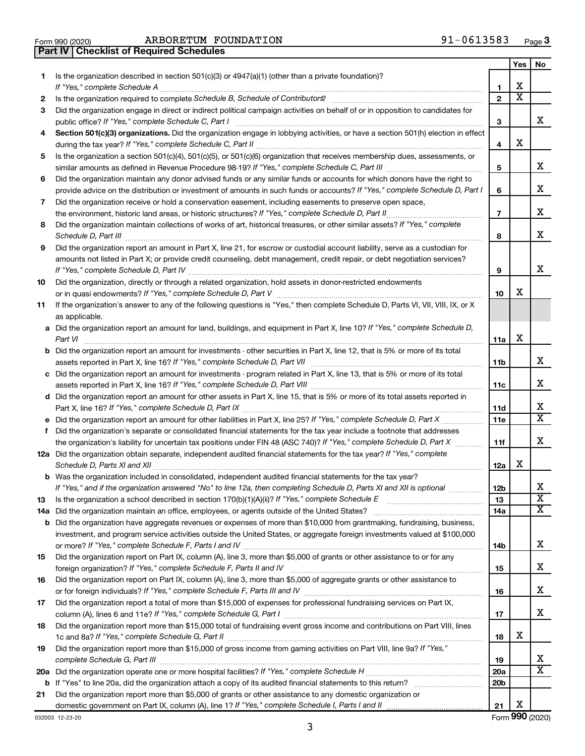| Form 990 (2020) | ARBORETUM FO                                     |  |
|-----------------|--------------------------------------------------|--|
|                 | <b>Part IV   Checklist of Required Schedules</b> |  |

Form 990 (2020)  $ARBORETUM$   ${\hbox{FOUNDATION}}$   $91-0613583$   ${\hbox{Page}}$ 

|    |                                                                                                                                                                                                                                           |                          | Yes | No                      |
|----|-------------------------------------------------------------------------------------------------------------------------------------------------------------------------------------------------------------------------------------------|--------------------------|-----|-------------------------|
| 1. | Is the organization described in section 501(c)(3) or 4947(a)(1) (other than a private foundation)?<br>If "Yes," complete Schedule A                                                                                                      | 1                        | х   |                         |
| 2  |                                                                                                                                                                                                                                           | $\mathbf{2}$             | X   |                         |
| 3  | Did the organization engage in direct or indirect political campaign activities on behalf of or in opposition to candidates for                                                                                                           |                          |     |                         |
|    | public office? If "Yes," complete Schedule C, Part I                                                                                                                                                                                      | 3                        |     | x                       |
| 4  | Section 501(c)(3) organizations. Did the organization engage in lobbying activities, or have a section 501(h) election in effect                                                                                                          | 4                        | X   |                         |
| 5  | Is the organization a section 501(c)(4), 501(c)(5), or 501(c)(6) organization that receives membership dues, assessments, or                                                                                                              |                          |     |                         |
|    |                                                                                                                                                                                                                                           | 5                        |     | x                       |
| 6  | Did the organization maintain any donor advised funds or any similar funds or accounts for which donors have the right to                                                                                                                 |                          |     | x                       |
|    | provide advice on the distribution or investment of amounts in such funds or accounts? If "Yes," complete Schedule D, Part I<br>Did the organization receive or hold a conservation easement, including easements to preserve open space, | 6                        |     |                         |
| 7  |                                                                                                                                                                                                                                           | $\overline{\phantom{a}}$ |     | х                       |
| 8  | Did the organization maintain collections of works of art, historical treasures, or other similar assets? If "Yes," complete                                                                                                              |                          |     |                         |
|    | Schedule D, Part III                                                                                                                                                                                                                      | 8                        |     | х                       |
| 9  | Did the organization report an amount in Part X, line 21, for escrow or custodial account liability, serve as a custodian for                                                                                                             |                          |     |                         |
|    | amounts not listed in Part X; or provide credit counseling, debt management, credit repair, or debt negotiation services?                                                                                                                 |                          |     |                         |
|    |                                                                                                                                                                                                                                           | 9                        |     | х                       |
| 10 | Did the organization, directly or through a related organization, hold assets in donor-restricted endowments                                                                                                                              |                          |     |                         |
|    |                                                                                                                                                                                                                                           | 10                       | х   |                         |
| 11 | If the organization's answer to any of the following questions is "Yes," then complete Schedule D, Parts VI, VII, VIII, IX, or X<br>as applicable.                                                                                        |                          |     |                         |
|    | a Did the organization report an amount for land, buildings, and equipment in Part X, line 10? If "Yes," complete Schedule D,                                                                                                             |                          |     |                         |
|    | Part VI                                                                                                                                                                                                                                   | 11a                      | х   |                         |
|    | <b>b</b> Did the organization report an amount for investments - other securities in Part X, line 12, that is 5% or more of its total                                                                                                     | 11b                      |     | x                       |
|    | c Did the organization report an amount for investments - program related in Part X, line 13, that is 5% or more of its total                                                                                                             |                          |     |                         |
|    |                                                                                                                                                                                                                                           | 11c                      |     | х                       |
|    | d Did the organization report an amount for other assets in Part X, line 15, that is 5% or more of its total assets reported in                                                                                                           |                          |     |                         |
|    |                                                                                                                                                                                                                                           | 11d                      |     | х                       |
|    |                                                                                                                                                                                                                                           | 11e                      |     | X                       |
| f  | Did the organization's separate or consolidated financial statements for the tax year include a footnote that addresses                                                                                                                   |                          |     |                         |
|    | the organization's liability for uncertain tax positions under FIN 48 (ASC 740)? If "Yes," complete Schedule D, Part X                                                                                                                    | 11f                      |     | x                       |
|    | 12a Did the organization obtain separate, independent audited financial statements for the tax year? If "Yes," complete                                                                                                                   | 12a                      | х   |                         |
|    | <b>b</b> Was the organization included in consolidated, independent audited financial statements for the tax year?                                                                                                                        |                          |     |                         |
|    | If "Yes," and if the organization answered "No" to line 12a, then completing Schedule D, Parts XI and XII is optional                                                                                                                     | 12 <sub>b</sub>          |     | х                       |
| 13 |                                                                                                                                                                                                                                           | 13                       |     | $\overline{\textbf{x}}$ |
|    |                                                                                                                                                                                                                                           | 14a                      |     | х                       |
|    | <b>b</b> Did the organization have aggregate revenues or expenses of more than \$10,000 from grantmaking, fundraising, business,                                                                                                          |                          |     |                         |
|    | investment, and program service activities outside the United States, or aggregate foreign investments valued at \$100,000                                                                                                                |                          |     |                         |
|    |                                                                                                                                                                                                                                           | 14b                      |     | x                       |
| 15 | Did the organization report on Part IX, column (A), line 3, more than \$5,000 of grants or other assistance to or for any                                                                                                                 | 15                       |     | х                       |
| 16 | Did the organization report on Part IX, column (A), line 3, more than \$5,000 of aggregate grants or other assistance to                                                                                                                  |                          |     |                         |
|    |                                                                                                                                                                                                                                           | 16                       |     | х                       |
| 17 | Did the organization report a total of more than \$15,000 of expenses for professional fundraising services on Part IX,                                                                                                                   |                          |     |                         |
|    |                                                                                                                                                                                                                                           | 17                       |     | x                       |
| 18 | Did the organization report more than \$15,000 total of fundraising event gross income and contributions on Part VIII, lines                                                                                                              |                          |     |                         |
|    |                                                                                                                                                                                                                                           | 18                       | х   |                         |
| 19 | Did the organization report more than \$15,000 of gross income from gaming activities on Part VIII, line 9a? If "Yes,"                                                                                                                    |                          |     | х                       |
|    |                                                                                                                                                                                                                                           | 19                       |     | $\overline{\text{X}}$   |
|    |                                                                                                                                                                                                                                           | 20a<br>20 <sub>b</sub>   |     |                         |
| 21 | Did the organization report more than \$5,000 of grants or other assistance to any domestic organization or                                                                                                                               |                          |     |                         |
|    |                                                                                                                                                                                                                                           | 21                       | х   |                         |
|    |                                                                                                                                                                                                                                           |                          |     |                         |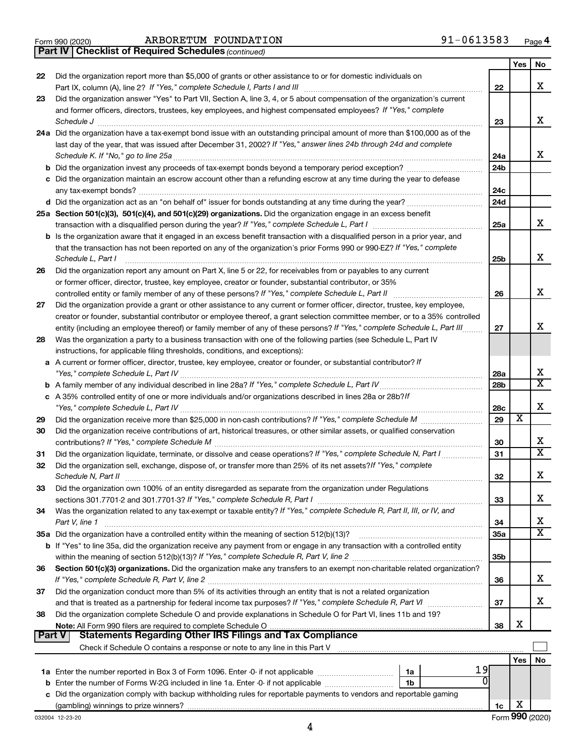|  | Form 990 (2020) |
|--|-----------------|
|  |                 |

Form 990 (2020)  $ARBORETUM$   ${\hbox{FOUNDATION}}$   $91-0613583$   ${\hbox{Page}}$ 

*(continued)* **Part IV Checklist of Required Schedules**

|    |                                                                                                                                         |                 | Yes | No                      |
|----|-----------------------------------------------------------------------------------------------------------------------------------------|-----------------|-----|-------------------------|
| 22 | Did the organization report more than \$5,000 of grants or other assistance to or for domestic individuals on                           |                 |     |                         |
|    |                                                                                                                                         | 22              |     | x                       |
| 23 | Did the organization answer "Yes" to Part VII, Section A, line 3, 4, or 5 about compensation of the organization's current              |                 |     |                         |
|    | and former officers, directors, trustees, key employees, and highest compensated employees? If "Yes," complete                          |                 |     |                         |
|    | Schedule J                                                                                                                              | 23              |     | х                       |
|    | 24a Did the organization have a tax-exempt bond issue with an outstanding principal amount of more than \$100,000 as of the             |                 |     |                         |
|    | last day of the year, that was issued after December 31, 2002? If "Yes," answer lines 24b through 24d and complete                      |                 |     |                         |
|    | Schedule K. If "No," go to line 25a                                                                                                     | 24a             |     | x                       |
|    |                                                                                                                                         | 24b             |     |                         |
|    | c Did the organization maintain an escrow account other than a refunding escrow at any time during the year to defease                  |                 |     |                         |
|    |                                                                                                                                         | 24c             |     |                         |
|    | d Did the organization act as an "on behalf of" issuer for bonds outstanding at any time during the year?                               | 24d             |     |                         |
|    | 25a Section 501(c)(3), 501(c)(4), and 501(c)(29) organizations. Did the organization engage in an excess benefit                        |                 |     |                         |
|    |                                                                                                                                         | 25a             |     | x                       |
|    | <b>b</b> Is the organization aware that it engaged in an excess benefit transaction with a disqualified person in a prior year, and     |                 |     |                         |
|    | that the transaction has not been reported on any of the organization's prior Forms 990 or 990-EZ? If "Yes," complete                   |                 |     | х                       |
|    | Schedule L, Part I                                                                                                                      | 25b             |     |                         |
| 26 | Did the organization report any amount on Part X, line 5 or 22, for receivables from or payables to any current                         |                 |     |                         |
|    | or former officer, director, trustee, key employee, creator or founder, substantial contributor, or 35%                                 |                 |     | x                       |
|    |                                                                                                                                         | 26              |     |                         |
| 27 | Did the organization provide a grant or other assistance to any current or former officer, director, trustee, key employee,             |                 |     |                         |
|    | creator or founder, substantial contributor or employee thereof, a grant selection committee member, or to a 35% controlled             |                 |     | х                       |
|    | entity (including an employee thereof) or family member of any of these persons? If "Yes," complete Schedule L, Part III                | 27              |     |                         |
| 28 | Was the organization a party to a business transaction with one of the following parties (see Schedule L, Part IV                       |                 |     |                         |
|    | instructions, for applicable filing thresholds, conditions, and exceptions):                                                            |                 |     |                         |
|    | a A current or former officer, director, trustee, key employee, creator or founder, or substantial contributor? If                      |                 |     | х                       |
|    |                                                                                                                                         | 28a             |     | $\overline{\texttt{x}}$ |
|    |                                                                                                                                         | 28 <sub>b</sub> |     |                         |
|    | c A 35% controlled entity of one or more individuals and/or organizations described in lines 28a or 28b?If                              |                 |     | х                       |
|    |                                                                                                                                         | 28c<br>29       | х   |                         |
| 29 | Did the organization receive contributions of art, historical treasures, or other similar assets, or qualified conservation             |                 |     |                         |
| 30 |                                                                                                                                         |                 |     | х                       |
|    |                                                                                                                                         | 30<br>31        |     | $\overline{\texttt{x}}$ |
| 31 | Did the organization liquidate, terminate, or dissolve and cease operations? If "Yes," complete Schedule N, Part I                      |                 |     |                         |
| 32 | Did the organization sell, exchange, dispose of, or transfer more than 25% of its net assets? If "Yes," complete<br>Schedule N, Part II |                 |     | x                       |
|    |                                                                                                                                         | 32              |     |                         |
| 33 | Did the organization own 100% of an entity disregarded as separate from the organization under Regulations                              | 33              |     | х                       |
|    | Was the organization related to any tax-exempt or taxable entity? If "Yes," complete Schedule R, Part II, III, or IV, and               |                 |     |                         |
| 34 | Part V, line 1                                                                                                                          | 34              |     | х                       |
|    |                                                                                                                                         | 35a             |     | $\overline{\text{X}}$   |
|    | b If "Yes" to line 35a, did the organization receive any payment from or engage in any transaction with a controlled entity             |                 |     |                         |
|    |                                                                                                                                         | 35 <sub>b</sub> |     |                         |
| 36 | Section 501(c)(3) organizations. Did the organization make any transfers to an exempt non-charitable related organization?              |                 |     |                         |
|    |                                                                                                                                         | 36              |     | х                       |
| 37 | Did the organization conduct more than 5% of its activities through an entity that is not a related organization                        |                 |     |                         |
|    |                                                                                                                                         | 37              |     | x                       |
| 38 | Did the organization complete Schedule O and provide explanations in Schedule O for Part VI, lines 11b and 19?                          |                 |     |                         |
|    |                                                                                                                                         | 38              | х   |                         |
|    | <b>Statements Regarding Other IRS Filings and Tax Compliance</b><br><b>Part V</b>                                                       |                 |     |                         |
|    |                                                                                                                                         |                 |     |                         |
|    |                                                                                                                                         |                 | Yes | No                      |
|    | 19<br>1a                                                                                                                                |                 |     |                         |
|    | 1b                                                                                                                                      |                 |     |                         |
|    | c Did the organization comply with backup withholding rules for reportable payments to vendors and reportable gaming                    |                 |     |                         |
|    |                                                                                                                                         | 1c              | X   |                         |
|    |                                                                                                                                         |                 |     |                         |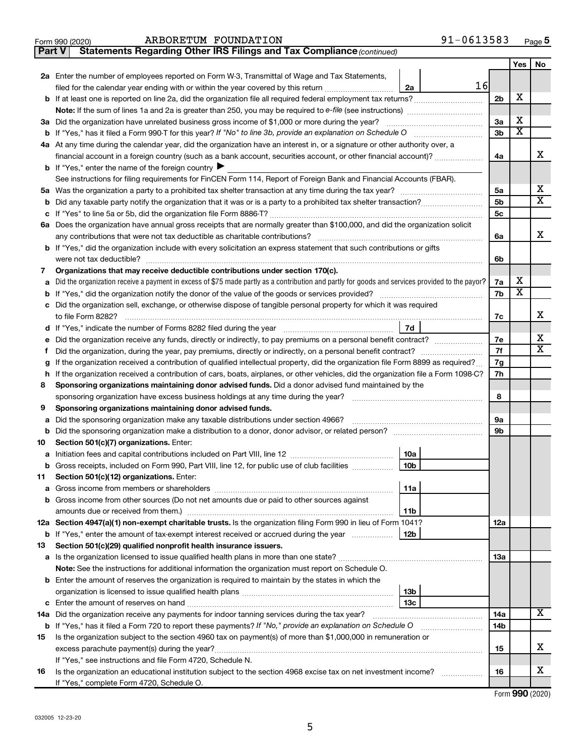| Form 990 (2020) | FOUNDATION<br>ARBORETUM | $-0613583$ | Page <b>ວ</b> |
|-----------------|-------------------------|------------|---------------|
|-----------------|-------------------------|------------|---------------|

| Part V | Statements Regarding Other IRS Filings and Tax Compliance (continued)                                                                           |                |                         |                         |
|--------|-------------------------------------------------------------------------------------------------------------------------------------------------|----------------|-------------------------|-------------------------|
|        |                                                                                                                                                 |                | Yes                     | No                      |
|        | 2a Enter the number of employees reported on Form W-3, Transmittal of Wage and Tax Statements,                                                  |                |                         |                         |
|        | 16<br>filed for the calendar year ending with or within the year covered by this return<br>2a                                                   |                |                         |                         |
|        |                                                                                                                                                 | 2 <sub>b</sub> | х                       |                         |
|        | Note: If the sum of lines 1a and 2a is greater than 250, you may be required to e-file (see instructions) <i>marroummann</i>                    |                |                         |                         |
|        | 3a Did the organization have unrelated business gross income of \$1,000 or more during the year?                                                | За             | х                       |                         |
| b      | If "Yes," has it filed a Form 990 T for this year? If "No" to line 3b, provide an explanation on Schedule O manumum                             | 3b             | $\overline{\textbf{x}}$ |                         |
|        | 4a At any time during the calendar year, did the organization have an interest in, or a signature or other authority over, a                    |                |                         |                         |
|        | financial account in a foreign country (such as a bank account, securities account, or other financial account)?                                | 4a             |                         | x                       |
|        | <b>b</b> If "Yes," enter the name of the foreign country ▶                                                                                      |                |                         |                         |
|        | See instructions for filing requirements for FinCEN Form 114, Report of Foreign Bank and Financial Accounts (FBAR).                             |                |                         |                         |
| 5a     |                                                                                                                                                 | 5a             |                         | x                       |
| b      |                                                                                                                                                 | 5b             |                         | X                       |
| с      |                                                                                                                                                 | 5c             |                         |                         |
|        | 6a Does the organization have annual gross receipts that are normally greater than \$100,000, and did the organization solicit                  |                |                         |                         |
|        |                                                                                                                                                 | 6a             |                         | x                       |
|        | <b>b</b> If "Yes," did the organization include with every solicitation an express statement that such contributions or gifts                   |                |                         |                         |
|        |                                                                                                                                                 | 6b             |                         |                         |
| 7      | Organizations that may receive deductible contributions under section 170(c).                                                                   |                |                         |                         |
| а      | Did the organization receive a payment in excess of \$75 made partly as a contribution and partly for goods and services provided to the payor? | 7a             | х                       |                         |
| b      |                                                                                                                                                 | 7b             | $\overline{\textbf{x}}$ |                         |
|        | c Did the organization sell, exchange, or otherwise dispose of tangible personal property for which it was required                             |                |                         |                         |
|        |                                                                                                                                                 | 7c             |                         | х                       |
|        | 7d                                                                                                                                              |                |                         |                         |
| е      |                                                                                                                                                 | 7е             |                         | x                       |
| f.     |                                                                                                                                                 | 7f             |                         | $\overline{\textbf{X}}$ |
| g      | If the organization received a contribution of qualified intellectual property, did the organization file Form 8899 as required?                |                |                         |                         |
| h      | If the organization received a contribution of cars, boats, airplanes, or other vehicles, did the organization file a Form 1098-C?              |                |                         |                         |
| 8      | Sponsoring organizations maintaining donor advised funds. Did a donor advised fund maintained by the                                            |                |                         |                         |
|        |                                                                                                                                                 |                |                         |                         |
| 9      | Sponsoring organizations maintaining donor advised funds.                                                                                       |                |                         |                         |
| а      | Did the sponsoring organization make any taxable distributions under section 4966?                                                              | 9а             |                         |                         |
| b      |                                                                                                                                                 | 9b             |                         |                         |
| 10     | Section 501(c)(7) organizations. Enter:                                                                                                         |                |                         |                         |
| а      | 10a                                                                                                                                             |                |                         |                         |
|        | 10 <sub>b</sub><br>b Gross receipts, included on Form 990, Part VIII, line 12, for public use of club facilities                                |                |                         |                         |
| 11     | Section 501(c)(12) organizations. Enter:                                                                                                        |                |                         |                         |
| а      | 11a                                                                                                                                             |                |                         |                         |
|        | b Gross income from other sources (Do not net amounts due or paid to other sources against                                                      |                |                         |                         |
|        | 11b                                                                                                                                             |                |                         |                         |
|        | 12a Section 4947(a)(1) non-exempt charitable trusts. Is the organization filing Form 990 in lieu of Form 1041?                                  | 12a            |                         |                         |
|        | 12 <sub>b</sub><br><b>b</b> If "Yes," enter the amount of tax-exempt interest received or accrued during the year                               |                |                         |                         |
| 13     | Section 501(c)(29) qualified nonprofit health insurance issuers.                                                                                |                |                         |                         |
|        | a Is the organization licensed to issue qualified health plans in more than one state?                                                          | 1За            |                         |                         |
|        | Note: See the instructions for additional information the organization must report on Schedule O.                                               |                |                         |                         |
|        | <b>b</b> Enter the amount of reserves the organization is required to maintain by the states in which the                                       |                |                         |                         |
|        | 13 <sub>b</sub><br>13с                                                                                                                          |                |                         |                         |
| с      | 14a Did the organization receive any payments for indoor tanning services during the tax year?                                                  | 14a            |                         | x                       |
|        | <b>b</b> If "Yes," has it filed a Form 720 to report these payments? If "No," provide an explanation on Schedule O                              | 14b            |                         |                         |
| 15     | Is the organization subject to the section 4960 tax on payment(s) of more than \$1,000,000 in remuneration or                                   |                |                         |                         |
|        |                                                                                                                                                 | 15             |                         | х                       |
|        | If "Yes," see instructions and file Form 4720, Schedule N.                                                                                      |                |                         |                         |
| 16     | Is the organization an educational institution subject to the section 4968 excise tax on net investment income?                                 | 16             |                         | х                       |
|        | If "Yes," complete Form 4720, Schedule O.                                                                                                       |                |                         |                         |
|        |                                                                                                                                                 |                |                         |                         |

Form (2020) **990**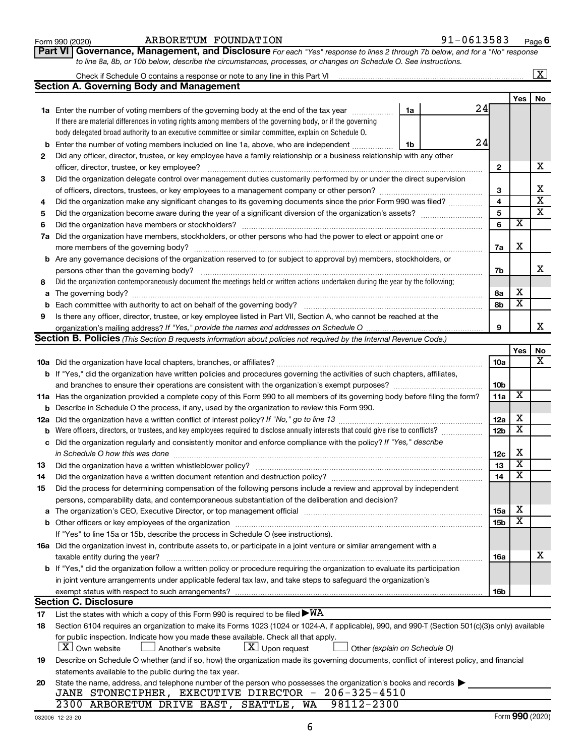| Form 990 (2020) |  |
|-----------------|--|
|-----------------|--|

## Form 990 (2020)  $ARBORETUM$   ${\hbox{FOUNDATION}}$   $91-0613583$   ${\hbox{Page}}$

**Part VI** Governance, Management, and Disclosure For each "Yes" response to lines 2 through 7b below, and for a "No" response *to line 8a, 8b, or 10b below, describe the circumstances, processes, or changes on Schedule O. See instructions.*

|          |                                                                                                                                                  |                 |                         | $\mathbf{X}$            |
|----------|--------------------------------------------------------------------------------------------------------------------------------------------------|-----------------|-------------------------|-------------------------|
|          | Section A. Governing Body and Management                                                                                                         |                 |                         |                         |
|          |                                                                                                                                                  |                 | Yes                     | No                      |
|          | 24<br><b>1a</b> Enter the number of voting members of the governing body at the end of the tax year<br>1a                                        |                 |                         |                         |
|          | If there are material differences in voting rights among members of the governing body, or if the governing                                      |                 |                         |                         |
|          | body delegated broad authority to an executive committee or similar committee, explain on Schedule O.                                            |                 |                         |                         |
| b        | 24<br>Enter the number of voting members included on line 1a, above, who are independent<br>1b                                                   |                 |                         |                         |
| 2        | Did any officer, director, trustee, or key employee have a family relationship or a business relationship with any other                         |                 |                         |                         |
|          | officer, director, trustee, or key employee?                                                                                                     | $\mathbf{2}$    |                         | х                       |
| 3        | Did the organization delegate control over management duties customarily performed by or under the direct supervision                            |                 |                         |                         |
|          |                                                                                                                                                  | 3               |                         | х                       |
| 4        | Did the organization make any significant changes to its governing documents since the prior Form 990 was filed?                                 | 4               |                         | $\overline{\textbf{x}}$ |
| 5        |                                                                                                                                                  | 5               |                         | $\overline{\mathbf{x}}$ |
| 6        | Did the organization have members or stockholders?                                                                                               | 6               | $\overline{\textbf{x}}$ |                         |
| 7a       | Did the organization have members, stockholders, or other persons who had the power to elect or appoint one or                                   |                 |                         |                         |
|          | more members of the governing body?                                                                                                              | 7a              | х                       |                         |
|          | <b>b</b> Are any governance decisions of the organization reserved to (or subject to approval by) members, stockholders, or                      |                 |                         |                         |
|          | persons other than the governing body?                                                                                                           | 7b              |                         | x                       |
| 8        | Did the organization contemporaneously document the meetings held or written actions undertaken during the year by the following:                |                 |                         |                         |
| a        |                                                                                                                                                  | 8а              | х                       |                         |
| b        |                                                                                                                                                  | 8b              | $\overline{\textbf{x}}$ |                         |
| 9        | Is there any officer, director, trustee, or key employee listed in Part VII, Section A, who cannot be reached at the                             |                 |                         |                         |
|          |                                                                                                                                                  | 9               |                         | x                       |
|          | Section B. Policies (This Section B requests information about policies not required by the Internal Revenue Code.)                              |                 |                         |                         |
|          |                                                                                                                                                  |                 | Yes                     | No                      |
|          |                                                                                                                                                  | 10a             |                         | x                       |
|          | <b>b</b> If "Yes," did the organization have written policies and procedures governing the activities of such chapters, affiliates,              |                 |                         |                         |
|          |                                                                                                                                                  | 10 <sub>b</sub> |                         |                         |
|          | 11a Has the organization provided a complete copy of this Form 990 to all members of its governing body before filing the form?                  | 11a             | X                       |                         |
| b        | Describe in Schedule O the process, if any, used by the organization to review this Form 990.                                                    |                 |                         |                         |
| 12a      |                                                                                                                                                  | 12a             | х                       |                         |
| b        | Were officers, directors, or trustees, and key employees required to disclose annually interests that could give rise to conflicts?              | 12 <sub>b</sub> | $\overline{\textbf{x}}$ |                         |
| с        | Did the organization regularly and consistently monitor and enforce compliance with the policy? If "Yes," describe                               |                 |                         |                         |
|          | in Schedule O how this was done                                                                                                                  | 12c             | х                       |                         |
| 13       | Did the organization have a written whistleblower policy?                                                                                        | 13              | $\overline{\textbf{x}}$ |                         |
| 14       |                                                                                                                                                  | 14              | $\overline{\textbf{x}}$ |                         |
| 15       | Did the process for determining compensation of the following persons include a review and approval by independent                               |                 |                         |                         |
|          | persons, comparability data, and contemporaneous substantiation of the deliberation and decision?                                                |                 |                         |                         |
| а        |                                                                                                                                                  | <b>15a</b>      | х<br>X                  |                         |
|          |                                                                                                                                                  | 15b             |                         |                         |
|          | If "Yes" to line 15a or 15b, describe the process in Schedule O (see instructions).                                                              |                 |                         |                         |
|          | 16a Did the organization invest in, contribute assets to, or participate in a joint venture or similar arrangement with a                        |                 |                         | х                       |
|          | taxable entity during the year?                                                                                                                  | 16a             |                         |                         |
|          | b If "Yes," did the organization follow a written policy or procedure requiring the organization to evaluate its participation                   |                 |                         |                         |
|          | in joint venture arrangements under applicable federal tax law, and take steps to safeguard the organization's                                   |                 |                         |                         |
|          | exempt status with respect to such arrangements?<br><b>Section C. Disclosure</b>                                                                 | 16b             |                         |                         |
|          | List the states with which a copy of this Form 990 is required to be filed $\blacktriangleright\text{WA}$                                        |                 |                         |                         |
| 17<br>18 | Section 6104 requires an organization to make its Forms 1023 (1024 or 1024-A, if applicable), 990, and 990-T (Section 501(c)(3)s only) available |                 |                         |                         |
|          | for public inspection. Indicate how you made these available. Check all that apply.                                                              |                 |                         |                         |
|          | $ \mathbf{X} $ Own website<br>$\lfloor x \rfloor$ Upon request<br>Another's website<br>Other (explain on Schedule O)                             |                 |                         |                         |
| 19       | Describe on Schedule O whether (and if so, how) the organization made its governing documents, conflict of interest policy, and financial        |                 |                         |                         |
|          | statements available to the public during the tax year.                                                                                          |                 |                         |                         |
| 20       | State the name, address, and telephone number of the person who possesses the organization's books and records                                   |                 |                         |                         |
|          | JANE STONECIPHER, EXECUTIVE DIRECTOR - 206-325-4510                                                                                              |                 |                         |                         |
|          | 2300 ARBORETUM DRIVE EAST, SEATTLE, WA<br>98112-2300                                                                                             |                 |                         |                         |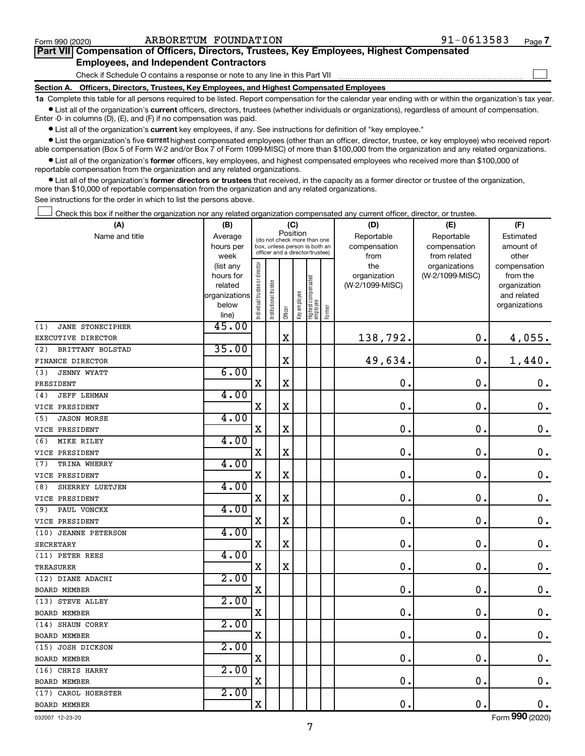$\Box$ 

| Part VII Compensation of Officers, Directors, Trustees, Key Employees, Highest Compensated |  |  |
|--------------------------------------------------------------------------------------------|--|--|
| <b>Employees, and Independent Contractors</b>                                              |  |  |

Check if Schedule O contains a response or note to any line in this Part VII

**Section A. Officers, Directors, Trustees, Key Employees, and Highest Compensated Employees**

**1a**  Complete this table for all persons required to be listed. Report compensation for the calendar year ending with or within the organization's tax year.  $\bullet$  List all of the organization's current officers, directors, trustees (whether individuals or organizations), regardless of amount of compensation.

Enter -0- in columns (D), (E), and (F) if no compensation was paid.

**•** List all of the organization's current key employees, if any. See instructions for definition of "key employee."

• List the organization's five *current* highest compensated employees (other than an officer, director, trustee, or key employee) who received reportable compensation (Box 5 of Form W-2 and/or Box 7 of Form 1099-MISC) of more than \$100,000 from the organization and any related organizations.

 $\bullet$  List all of the organization's former officers, key employees, and highest compensated employees who received more than \$100,000 of reportable compensation from the organization and any related organizations.

**•** List all of the organization's former directors or trustees that received, in the capacity as a former director or trustee of the organization, more than \$10,000 of reportable compensation from the organization and any related organizations.

See instructions for the order in which to list the persons above.

Check this box if neither the organization nor any related organization compensated any current officer, director, or trustee.  $\Box$ 

| (A)                            | (B)               | (C)                                     |                                                                  | (D)         | (E)          | (F)                               |        |                 |                               |                       |
|--------------------------------|-------------------|-----------------------------------------|------------------------------------------------------------------|-------------|--------------|-----------------------------------|--------|-----------------|-------------------------------|-----------------------|
| Name and title                 | Average           | Position<br>(do not check more than one |                                                                  | Reportable  | Reportable   | Estimated                         |        |                 |                               |                       |
|                                | hours per         |                                         | box, unless person is both an<br>officer and a director/trustee) |             |              |                                   |        | compensation    | compensation                  | amount of             |
|                                | week<br>(list any |                                         |                                                                  |             |              |                                   |        | from<br>the     | from related<br>organizations | other<br>compensation |
|                                | hours for         |                                         |                                                                  |             |              |                                   |        | organization    | (W-2/1099-MISC)               | from the              |
|                                | related           |                                         |                                                                  |             |              |                                   |        | (W-2/1099-MISC) |                               | organization          |
|                                | organizations     |                                         |                                                                  |             |              |                                   |        |                 |                               | and related           |
|                                | below             | Individual trustee or director          | Institutional trustee                                            |             | Key employee |                                   |        |                 |                               | organizations         |
|                                | line)             |                                         |                                                                  | Officer     |              | Highest compensated<br>  employee | Former |                 |                               |                       |
| <b>JANE STONECIPHER</b><br>(1) | 45.00             |                                         |                                                                  |             |              |                                   |        |                 |                               |                       |
| EXECUTIVE DIRECTOR             |                   |                                         |                                                                  | $\rm X$     |              |                                   |        | 138,792.        | $\mathbf 0$ .                 | 4,055.                |
| (2)<br>BRITTANY BOLSTAD        | 35.00             |                                         |                                                                  |             |              |                                   |        |                 |                               |                       |
| FINANCE DIRECTOR               |                   |                                         |                                                                  | X           |              |                                   |        | 49,634.         | $\mathbf 0$ .                 | 1,440.                |
| (3)<br>JENNY WYATT             | 6.00              |                                         |                                                                  |             |              |                                   |        |                 |                               |                       |
| PRESIDENT                      |                   | X                                       |                                                                  | X           |              |                                   |        | $\mathbf 0$     | $\mathbf 0$                   | $0 \cdot$             |
| <b>JEFF LEHMAN</b><br>(4)      | 4.00              |                                         |                                                                  |             |              |                                   |        |                 |                               |                       |
| VICE PRESIDENT                 |                   | $\mathbf X$                             |                                                                  | X           |              |                                   |        | $\mathbf 0$     | $\mathbf 0$                   | $\mathbf 0$ .         |
| (5)<br><b>JASON MORSE</b>      | 4.00              |                                         |                                                                  |             |              |                                   |        |                 |                               |                       |
| VICE PRESIDENT                 |                   | $\mathbf X$                             |                                                                  | $\mathbf X$ |              |                                   |        | $\mathbf 0$     | $\mathbf 0$                   | $\mathbf 0$ .         |
| MIKE RILEY<br>(6)              | 4.00              |                                         |                                                                  |             |              |                                   |        |                 |                               |                       |
| VICE PRESIDENT                 |                   | $\mathbf X$                             |                                                                  | X           |              |                                   |        | $\mathbf 0$     | $\mathbf 0$                   | $\mathbf 0$ .         |
| TRINA WHERRY<br>(7)            | 4.00              |                                         |                                                                  |             |              |                                   |        |                 |                               |                       |
| VICE PRESIDENT                 |                   | $\mathbf X$                             |                                                                  | $\rm X$     |              |                                   |        | 0               | $\mathbf 0$                   | $\mathbf 0$ .         |
| (8)<br>SHERREY LUETJEN         | 4.00              |                                         |                                                                  |             |              |                                   |        |                 |                               |                       |
| VICE PRESIDENT                 |                   | $\mathbf X$                             |                                                                  | X           |              |                                   |        | $\mathbf 0$     | $\mathbf 0$                   | $\mathbf 0$ .         |
| PAUL VONCKX<br>(9)             | 4.00              |                                         |                                                                  |             |              |                                   |        |                 |                               |                       |
| VICE PRESIDENT                 |                   | $\mathbf X$                             |                                                                  | $\mathbf X$ |              |                                   |        | $\mathbf 0$     | $\mathbf 0$                   | $\mathbf 0$ .         |
| (10) JEANNE PETERSON           | 4.00              |                                         |                                                                  |             |              |                                   |        |                 |                               |                       |
| <b>SECRETARY</b>               |                   | $\mathbf X$                             |                                                                  | X           |              |                                   |        | $\mathbf 0$     | $\mathbf 0$                   | $\mathbf 0$ .         |
| (11) PETER REES                | 4.00              |                                         |                                                                  |             |              |                                   |        |                 |                               |                       |
| <b>TREASURER</b>               |                   | $\mathbf X$                             |                                                                  | $\rm X$     |              |                                   |        | 0               | $\mathbf 0$                   | $\mathbf 0$ .         |
| (12) DIANE ADACHI              | 2.00              |                                         |                                                                  |             |              |                                   |        |                 |                               |                       |
| BOARD MEMBER                   |                   | $\rm X$                                 |                                                                  |             |              |                                   |        | $\mathbf 0$     | $\mathbf 0$                   | $\mathbf 0$ .         |
| (13) STEVE ALLEY               | 2.00              |                                         |                                                                  |             |              |                                   |        |                 |                               |                       |
| <b>BOARD MEMBER</b>            |                   | $\mathbf X$                             |                                                                  |             |              |                                   |        | $\mathbf 0$     | $\mathbf 0$ .                 | $\mathbf 0$ .         |
| (14) SHAUN CORRY               | 2.00              |                                         |                                                                  |             |              |                                   |        |                 |                               |                       |
| <b>BOARD MEMBER</b>            |                   | X                                       |                                                                  |             |              |                                   |        | 0               | $\mathbf 0$                   | $\mathbf 0$ .         |
| (15) JOSH DICKSON              | 2.00              |                                         |                                                                  |             |              |                                   |        |                 |                               |                       |
| <b>BOARD MEMBER</b>            |                   | $\rm X$                                 |                                                                  |             |              |                                   |        | $\mathbf 0$     | $\mathbf 0$                   | $\mathbf 0$ .         |
| (16) CHRIS HARRY               | 2.00              |                                         |                                                                  |             |              |                                   |        |                 |                               |                       |
| BOARD MEMBER                   |                   | $\rm X$                                 |                                                                  |             |              |                                   |        | $\mathbf 0$     | $\mathbf 0$                   | $\mathbf 0$ .         |
| (17) CAROL HOERSTER            | 2.00              |                                         |                                                                  |             |              |                                   |        |                 |                               |                       |
| <b>BOARD MEMBER</b>            |                   | $\rm X$                                 |                                                                  |             |              |                                   |        | 0.              | $\mathbf 0$ .                 | $\mathbf 0$ .         |

032007 12-23-20

Form (2020) **990**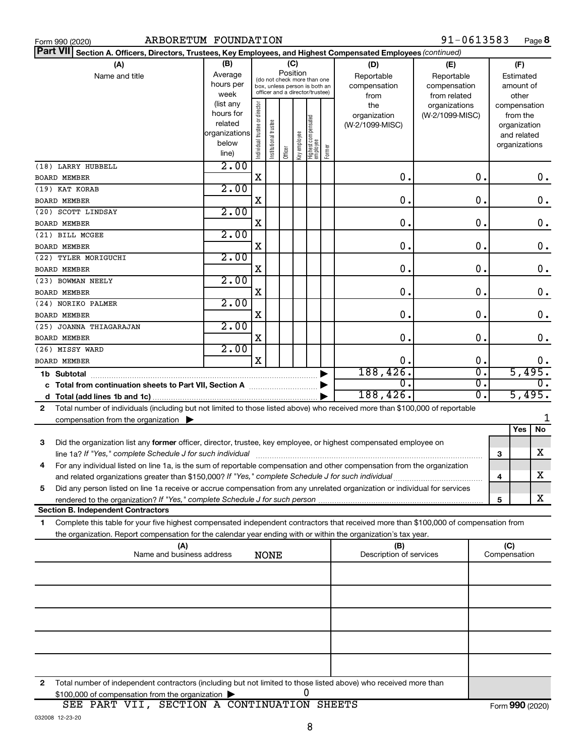|  | Form 990 (2020 |
|--|----------------|
|  |                |

| Part VII Section A. Officers, Directors, Trustees, Key Employees, and Highest Compensated Employees (continued)                           |                      |                                         |                                 |         |              |                                 |        |                         |                 |     |                              |               |
|-------------------------------------------------------------------------------------------------------------------------------------------|----------------------|-----------------------------------------|---------------------------------|---------|--------------|---------------------------------|--------|-------------------------|-----------------|-----|------------------------------|---------------|
| (A)                                                                                                                                       | (B)                  |                                         |                                 | (C)     |              |                                 |        | (D)                     | (E)             |     | (F)                          |               |
| Name and title                                                                                                                            | Average              | Position<br>(do not check more than one |                                 |         |              |                                 |        | Reportable              | Reportable      |     | Estimated                    |               |
|                                                                                                                                           | hours per            |                                         | box, unless person is both an   |         |              |                                 |        | compensation            | compensation    |     | amount of                    |               |
|                                                                                                                                           | week                 |                                         | officer and a director/trustee) |         |              |                                 |        | from                    | from related    |     | other                        |               |
|                                                                                                                                           | (list any            |                                         |                                 |         |              |                                 |        | the                     | organizations   |     | compensation                 |               |
|                                                                                                                                           | hours for<br>related |                                         |                                 |         |              |                                 |        | organization            | (W-2/1099-MISC) |     | from the                     |               |
|                                                                                                                                           | organizations        |                                         |                                 |         |              |                                 |        | (W-2/1099-MISC)         |                 |     | organization                 |               |
|                                                                                                                                           | below                |                                         |                                 |         |              |                                 |        |                         |                 |     | and related<br>organizations |               |
|                                                                                                                                           | line)                | ndividual trustee or director           | Institutional trustee           | Officer | Key employee | Highest compensated<br>employee | Former |                         |                 |     |                              |               |
| (18) LARRY HUBBELL                                                                                                                        | 2.00                 |                                         |                                 |         |              |                                 |        |                         |                 |     |                              |               |
| <b>BOARD MEMBER</b>                                                                                                                       |                      | $\mathbf X$                             |                                 |         |              |                                 |        | О.                      | 0.              |     |                              | 0.            |
| (19) KAT KORAB                                                                                                                            | 2.00                 |                                         |                                 |         |              |                                 |        |                         |                 |     |                              |               |
| <b>BOARD MEMBER</b>                                                                                                                       |                      | X                                       |                                 |         |              |                                 |        | О.                      | 0.              |     |                              | 0.            |
| (20) SCOTT LINDSAY                                                                                                                        | 2.00                 |                                         |                                 |         |              |                                 |        |                         |                 |     |                              |               |
| <b>BOARD MEMBER</b>                                                                                                                       |                      | X                                       |                                 |         |              |                                 |        | 0.                      | $\mathbf 0$ .   |     |                              | $\mathbf 0$ . |
| (21) BILL MCGEE                                                                                                                           | 2.00                 |                                         |                                 |         |              |                                 |        |                         |                 |     |                              |               |
| <b>BOARD MEMBER</b>                                                                                                                       |                      | X                                       |                                 |         |              |                                 |        | $\mathbf 0$ .           | О.              |     |                              | 0.            |
| (22) TYLER MORIGUCHI                                                                                                                      | 2.00                 |                                         |                                 |         |              |                                 |        | $\mathbf 0$ .           | О.              |     |                              |               |
| <b>BOARD MEMBER</b><br>(23) BOWMAN NEELY                                                                                                  | 2.00                 | X                                       |                                 |         |              |                                 |        |                         |                 |     |                              | 0.            |
| <b>BOARD MEMBER</b>                                                                                                                       |                      | X                                       |                                 |         |              |                                 |        | $\mathbf 0$ .           | О.              |     |                              | $\mathbf 0$ . |
| (24) NORIKO PALMER                                                                                                                        | 2.00                 |                                         |                                 |         |              |                                 |        |                         |                 |     |                              |               |
| <b>BOARD MEMBER</b>                                                                                                                       |                      | X                                       |                                 |         |              |                                 |        | $\mathbf 0$ .           | О.              |     |                              | $\mathbf 0$ . |
| (25) JOANNA THIAGARAJAN                                                                                                                   | 2.00                 |                                         |                                 |         |              |                                 |        |                         |                 |     |                              |               |
| <b>BOARD MEMBER</b>                                                                                                                       |                      | X                                       |                                 |         |              |                                 |        | $\mathbf 0$ .           | О.              |     |                              | 0.            |
| (26) MISSY WARD                                                                                                                           | 2.00                 |                                         |                                 |         |              |                                 |        |                         |                 |     |                              |               |
| <b>BOARD MEMBER</b>                                                                                                                       |                      | X                                       |                                 |         |              |                                 |        | О.                      | О.              |     |                              | 0.            |
| 1b Subtotal                                                                                                                               |                      |                                         |                                 |         |              |                                 |        | 188,426.                | σ.              |     | 5,495.                       |               |
|                                                                                                                                           |                      |                                         |                                 |         |              |                                 |        | 0.                      | σ.              |     |                              |               |
|                                                                                                                                           |                      |                                         |                                 |         |              |                                 |        | 188,426.                | 0.              |     | 5,495.                       |               |
| Total number of individuals (including but not limited to those listed above) who received more than \$100,000 of reportable<br>2         |                      |                                         |                                 |         |              |                                 |        |                         |                 |     |                              |               |
| compensation from the organization $\blacktriangleright$                                                                                  |                      |                                         |                                 |         |              |                                 |        |                         |                 |     | Yes                          | No            |
| 3                                                                                                                                         |                      |                                         |                                 |         |              |                                 |        |                         |                 |     |                              |               |
| Did the organization list any former officer, director, trustee, key employee, or highest compensated employee on                         |                      |                                         |                                 |         |              |                                 |        |                         |                 | 3   |                              | x             |
| For any individual listed on line 1a, is the sum of reportable compensation and other compensation from the organization<br>4             |                      |                                         |                                 |         |              |                                 |        |                         |                 |     |                              |               |
| and related organizations greater than \$150,000? If "Yes," complete Schedule J for such individual                                       |                      |                                         |                                 |         |              |                                 |        |                         |                 | 4   |                              | X             |
| Did any person listed on line 1a receive or accrue compensation from any unrelated organization or individual for services<br>5           |                      |                                         |                                 |         |              |                                 |        |                         |                 |     |                              |               |
| rendered to the organization? If "Yes," complete Schedule J for such person                                                               |                      |                                         |                                 |         |              |                                 |        |                         |                 | 5   |                              | x             |
| <b>Section B. Independent Contractors</b>                                                                                                 |                      |                                         |                                 |         |              |                                 |        |                         |                 |     |                              |               |
| Complete this table for your five highest compensated independent contractors that received more than \$100,000 of compensation from<br>1 |                      |                                         |                                 |         |              |                                 |        |                         |                 |     |                              |               |
| the organization. Report compensation for the calendar year ending with or within the organization's tax year.                            |                      |                                         |                                 |         |              |                                 |        |                         |                 |     |                              |               |
| (A)                                                                                                                                       |                      |                                         |                                 |         |              |                                 |        | (B)                     |                 | (C) |                              |               |
| Name and business address                                                                                                                 |                      |                                         | <b>NONE</b>                     |         |              |                                 |        | Description of services |                 |     | Compensation                 |               |
|                                                                                                                                           |                      |                                         |                                 |         |              |                                 |        |                         |                 |     |                              |               |
|                                                                                                                                           |                      |                                         |                                 |         |              |                                 |        |                         |                 |     |                              |               |
|                                                                                                                                           |                      |                                         |                                 |         |              |                                 |        |                         |                 |     |                              |               |
|                                                                                                                                           |                      |                                         |                                 |         |              |                                 |        |                         |                 |     |                              |               |
|                                                                                                                                           |                      |                                         |                                 |         |              |                                 |        |                         |                 |     |                              |               |
|                                                                                                                                           |                      |                                         |                                 |         |              |                                 |        |                         |                 |     |                              |               |
|                                                                                                                                           |                      |                                         |                                 |         |              |                                 |        |                         |                 |     |                              |               |
|                                                                                                                                           |                      |                                         |                                 |         |              |                                 |        |                         |                 |     |                              |               |

**2** Total number of independent contractors (including but not limited to those listed above) who received more than \$100,000 of compensation from the organization | 0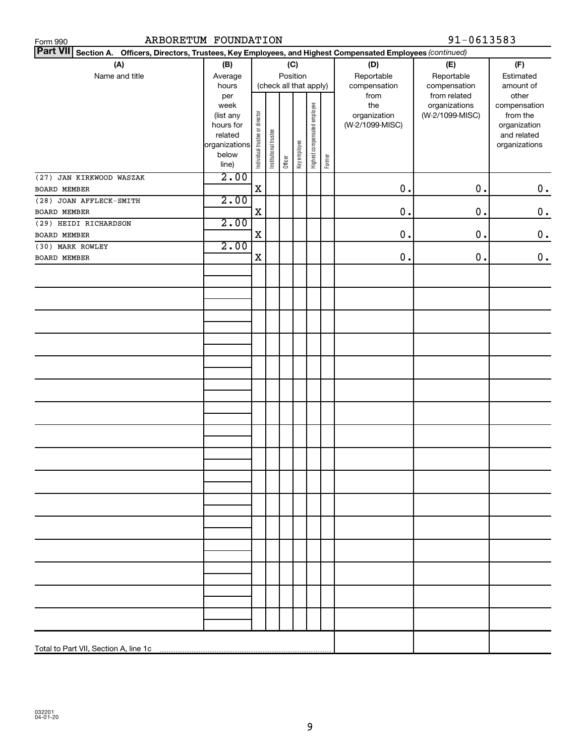| ARBORETUM FOUNDATION<br>Form 990                                                                                   |                      |                                | 91-0613583            |                        |              |                              |        |                 |                 |                             |
|--------------------------------------------------------------------------------------------------------------------|----------------------|--------------------------------|-----------------------|------------------------|--------------|------------------------------|--------|-----------------|-----------------|-----------------------------|
| Part VII Section A.<br>Officers, Directors, Trustees, Key Employees, and Highest Compensated Employees (continued) |                      |                                |                       |                        |              |                              |        |                 |                 |                             |
| (A)                                                                                                                | (B)                  |                                |                       |                        | (C)          |                              |        | (D)             | (E)             | (F)                         |
| Name and title                                                                                                     | Average              |                                |                       | Position               |              |                              |        | Reportable      | Reportable      | Estimated                   |
|                                                                                                                    | hours                |                                |                       | (check all that apply) |              |                              |        | compensation    | compensation    | amount of                   |
|                                                                                                                    | per                  |                                |                       |                        |              |                              |        | from            | from related    | other                       |
|                                                                                                                    | week                 |                                |                       |                        |              |                              |        | the             | organizations   | compensation                |
|                                                                                                                    | (list any            |                                |                       |                        |              |                              |        | organization    | (W-2/1099-MISC) | from the                    |
|                                                                                                                    | hours for<br>related |                                |                       |                        |              |                              |        | (W-2/1099-MISC) |                 | organization<br>and related |
|                                                                                                                    | organizations        | Individual trustee or director | Institutional trustee |                        |              | Highest compensated employee |        |                 |                 | organizations               |
|                                                                                                                    | below                |                                |                       |                        | Key employee |                              |        |                 |                 |                             |
|                                                                                                                    | line)                |                                |                       | Officer                |              |                              | Former |                 |                 |                             |
| (27) JAN KIRKWOOD WASZAK                                                                                           | 2.00                 |                                |                       |                        |              |                              |        |                 |                 |                             |
| BOARD MEMBER                                                                                                       |                      | $\mathbf X$                    |                       |                        |              |                              |        | 0.              | $0$ .           | $\mathbf 0$ .               |
| (28) JOAN AFFLECK-SMITH                                                                                            | 2.00                 |                                |                       |                        |              |                              |        |                 |                 |                             |
| BOARD MEMBER                                                                                                       |                      | X                              |                       |                        |              |                              |        | 0.              | $0$ .           | $\mathbf 0$ .               |
| (29) HEIDI RICHARDSON                                                                                              | 2.00                 |                                |                       |                        |              |                              |        |                 |                 |                             |
| BOARD MEMBER                                                                                                       |                      | X                              |                       |                        |              |                              |        | 0.              | $\mathbf 0$ .   | $\mathbf 0$ .               |
| (30) MARK ROWLEY                                                                                                   | 2.00                 |                                |                       |                        |              |                              |        |                 |                 |                             |
| BOARD MEMBER                                                                                                       |                      | X                              |                       |                        |              |                              |        | 0.              | $0$ .           | $\boldsymbol{0}$ .          |
|                                                                                                                    |                      |                                |                       |                        |              |                              |        |                 |                 |                             |
|                                                                                                                    |                      |                                |                       |                        |              |                              |        |                 |                 |                             |
|                                                                                                                    |                      |                                |                       |                        |              |                              |        |                 |                 |                             |
|                                                                                                                    |                      |                                |                       |                        |              |                              |        |                 |                 |                             |
|                                                                                                                    |                      |                                |                       |                        |              |                              |        |                 |                 |                             |
|                                                                                                                    |                      |                                |                       |                        |              |                              |        |                 |                 |                             |
|                                                                                                                    |                      |                                |                       |                        |              |                              |        |                 |                 |                             |
|                                                                                                                    |                      |                                |                       |                        |              |                              |        |                 |                 |                             |
|                                                                                                                    |                      |                                |                       |                        |              |                              |        |                 |                 |                             |
|                                                                                                                    |                      |                                |                       |                        |              |                              |        |                 |                 |                             |
|                                                                                                                    |                      |                                |                       |                        |              |                              |        |                 |                 |                             |
|                                                                                                                    |                      |                                |                       |                        |              |                              |        |                 |                 |                             |
|                                                                                                                    |                      |                                |                       |                        |              |                              |        |                 |                 |                             |
|                                                                                                                    |                      |                                |                       |                        |              |                              |        |                 |                 |                             |
|                                                                                                                    |                      |                                |                       |                        |              |                              |        |                 |                 |                             |
|                                                                                                                    |                      |                                |                       |                        |              |                              |        |                 |                 |                             |
|                                                                                                                    |                      |                                |                       |                        |              |                              |        |                 |                 |                             |
|                                                                                                                    |                      |                                |                       |                        |              |                              |        |                 |                 |                             |
|                                                                                                                    |                      |                                |                       |                        |              |                              |        |                 |                 |                             |
|                                                                                                                    |                      |                                |                       |                        |              |                              |        |                 |                 |                             |
|                                                                                                                    |                      |                                |                       |                        |              |                              |        |                 |                 |                             |
|                                                                                                                    |                      |                                |                       |                        |              |                              |        |                 |                 |                             |
|                                                                                                                    |                      |                                |                       |                        |              |                              |        |                 |                 |                             |
|                                                                                                                    |                      |                                |                       |                        |              |                              |        |                 |                 |                             |
|                                                                                                                    |                      |                                |                       |                        |              |                              |        |                 |                 |                             |
|                                                                                                                    |                      |                                |                       |                        |              |                              |        |                 |                 |                             |
|                                                                                                                    |                      |                                |                       |                        |              |                              |        |                 |                 |                             |
|                                                                                                                    |                      |                                |                       |                        |              |                              |        |                 |                 |                             |
|                                                                                                                    |                      |                                |                       |                        |              |                              |        |                 |                 |                             |
|                                                                                                                    |                      |                                |                       |                        |              |                              |        |                 |                 |                             |
|                                                                                                                    |                      |                                |                       |                        |              |                              |        |                 |                 |                             |
|                                                                                                                    |                      |                                |                       |                        |              |                              |        |                 |                 |                             |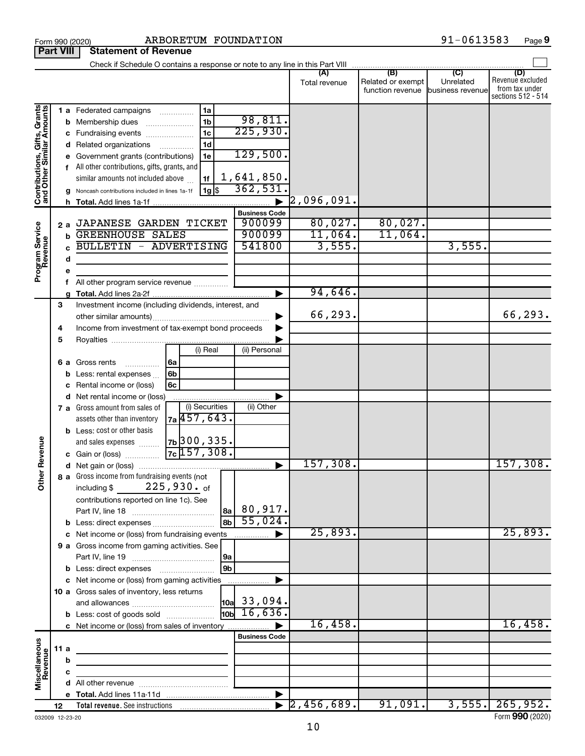|                                                           | <b>Part VIII</b> |                        | <b>Statement of Revenue</b>                                                                                                                                                                                                                                            |                                                                              |                                                          |                              |                                              |                                                 |                                                                 |
|-----------------------------------------------------------|------------------|------------------------|------------------------------------------------------------------------------------------------------------------------------------------------------------------------------------------------------------------------------------------------------------------------|------------------------------------------------------------------------------|----------------------------------------------------------|------------------------------|----------------------------------------------|-------------------------------------------------|-----------------------------------------------------------------|
|                                                           |                  |                        | Check if Schedule O contains a response or note to any line in this Part VIII                                                                                                                                                                                          |                                                                              |                                                          |                              |                                              |                                                 |                                                                 |
|                                                           |                  |                        |                                                                                                                                                                                                                                                                        |                                                                              |                                                          | (A)<br>Total revenue         | (B)<br>Related or exempt<br>function revenue | $\overline{C}$<br>Unrelated<br>business revenue | (D)<br>Revenue excluded<br>from tax under<br>sections 512 - 514 |
| Contributions, Gifts, Grants<br>and Other Similar Amounts |                  | b<br>с<br>d<br>h.      | 1 a Federated campaigns<br>Membership dues<br>Fundraising events<br>Related organizations<br>Government grants (contributions)<br>f All other contributions, gifts, grants, and<br>similar amounts not included above<br>Noncash contributions included in lines 1a-1f | 1a<br>.<br>1 <sub>b</sub><br>1 <sub>c</sub><br>1d<br>.<br>1e<br>1f<br>1g  \$ | 98,811.<br>225,930.<br>129,500.<br>1,641,850.<br>362,531 | $\left[ 2$ ,096,091.         |                                              |                                                 |                                                                 |
|                                                           |                  |                        |                                                                                                                                                                                                                                                                        |                                                                              | <b>Business Code</b>                                     |                              |                                              |                                                 |                                                                 |
| Program Service<br>Revenue                                |                  | 2a<br>b<br>C<br>d<br>е | JAPANESE GARDEN TICKET<br><b>GREENHOUSE SALES</b><br><b>BULLETIN - ADVERTISING</b>                                                                                                                                                                                     |                                                                              | 900099<br>900099<br>541800                               | 80,027.<br>11,064.<br>3,555. | 80,027.<br>11,064.                           | 3,555.                                          |                                                                 |
|                                                           |                  | f                      | All other program service revenue                                                                                                                                                                                                                                      |                                                                              |                                                          |                              |                                              |                                                 |                                                                 |
|                                                           | 3                |                        | Investment income (including dividends, interest, and                                                                                                                                                                                                                  |                                                                              |                                                          | 94,646.<br>66,293.           |                                              |                                                 | 66,293.                                                         |
|                                                           | 4<br>5           |                        | Income from investment of tax-exempt bond proceeds                                                                                                                                                                                                                     | (i) Real                                                                     | (ii) Personal                                            |                              |                                              |                                                 |                                                                 |
|                                                           |                  | b                      | 6 a Gross rents<br>.<br>Less: rental expenses<br>Rental income or (loss)                                                                                                                                                                                               | 6a<br>6b<br>6c                                                               |                                                          |                              |                                              |                                                 |                                                                 |
|                                                           |                  | d                      | Net rental income or (loss)                                                                                                                                                                                                                                            |                                                                              |                                                          |                              |                                              |                                                 |                                                                 |
|                                                           |                  |                        | 7 a Gross amount from sales of<br>assets other than inventory<br><b>b</b> Less: cost or other basis                                                                                                                                                                    | (i) Securities<br><sub>7a</sub> 457, 643.                                    | (ii) Other                                               |                              |                                              |                                                 |                                                                 |
| Revenue                                                   |                  |                        | and sales expenses<br>c Gain or (loss)                                                                                                                                                                                                                                 | 7ь 300, 335.<br>$7c$ 157, 308.                                               |                                                          |                              |                                              |                                                 |                                                                 |
|                                                           |                  |                        |                                                                                                                                                                                                                                                                        |                                                                              |                                                          | 157,308.                     |                                              |                                                 | 157,308.                                                        |
| ৯<br>$\tilde{\bar{\epsilon}}$                             |                  |                        | 8 a Gross income from fundraising events (not  <br>including \$<br>contributions reported on line 1c). See                                                                                                                                                             | $225,930.$ of<br> 8a                                                         | 80,917.                                                  |                              |                                              |                                                 |                                                                 |
|                                                           |                  |                        | <b>b</b> Less: direct expenses                                                                                                                                                                                                                                         |                                                                              | 55,024.                                                  |                              |                                              |                                                 |                                                                 |
|                                                           |                  |                        | c Net income or (loss) from fundraising events                                                                                                                                                                                                                         |                                                                              | .                                                        | 25,893.                      |                                              |                                                 | 25,893.                                                         |
|                                                           |                  |                        | 9 a Gross income from gaming activities. See                                                                                                                                                                                                                           | 9a                                                                           |                                                          |                              |                                              |                                                 |                                                                 |
|                                                           |                  |                        | <b>b</b> Less: direct expenses <b>manually</b><br>c Net income or (loss) from gaming activities                                                                                                                                                                        | l 9b                                                                         |                                                          |                              |                                              |                                                 |                                                                 |
|                                                           |                  |                        | 10 a Gross sales of inventory, less returns                                                                                                                                                                                                                            |                                                                              | $\vert$ 10a $\vert$ 33,094.<br>$\frac{1}{10}$ 16,636.    |                              |                                              |                                                 |                                                                 |
|                                                           |                  |                        | <b>b</b> Less: cost of goods sold<br>c Net income or (loss) from sales of inventory                                                                                                                                                                                    |                                                                              |                                                          | 16,458.                      |                                              |                                                 | 16,458.                                                         |
|                                                           |                  |                        |                                                                                                                                                                                                                                                                        |                                                                              | <b>Business Code</b>                                     |                              |                                              |                                                 |                                                                 |
| Miscellaneous<br>Revenue                                  | 11a              |                        |                                                                                                                                                                                                                                                                        | the control of the control of the control of the control of the control of   |                                                          |                              |                                              |                                                 |                                                                 |
|                                                           |                  | b                      |                                                                                                                                                                                                                                                                        |                                                                              |                                                          |                              |                                              |                                                 |                                                                 |
|                                                           |                  | с                      |                                                                                                                                                                                                                                                                        |                                                                              |                                                          |                              |                                              |                                                 |                                                                 |
|                                                           |                  |                        |                                                                                                                                                                                                                                                                        |                                                                              |                                                          |                              |                                              |                                                 |                                                                 |
|                                                           | 12               |                        |                                                                                                                                                                                                                                                                        |                                                                              |                                                          | 2,456,689.                   | 91,091.                                      |                                                 | $3,555$ . $265,952$ .                                           |

Form 990 (2020)  $ARBORETUM$   ${\hbox{FOUNDATION}}$   $91-0613583$   ${\hbox{Page}}$ 

**9**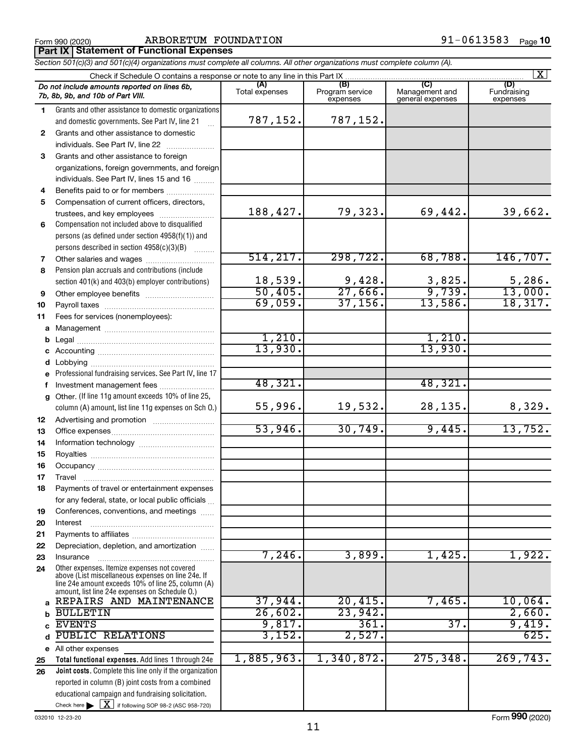*Section 501(c)(3) and 501(c)(4) organizations must complete all columns. All other organizations must complete column (A).*

91-0613583 Page 10

|              | $\mathbf{X}$                                                                                       |                       |                                    |                                           |                                |  |  |  |  |  |
|--------------|----------------------------------------------------------------------------------------------------|-----------------------|------------------------------------|-------------------------------------------|--------------------------------|--|--|--|--|--|
|              | Do not include amounts reported on lines 6b,<br>7b, 8b, 9b, and 10b of Part VIII.                  | (A)<br>Total expenses | (B)<br>Program service<br>expenses | (C)<br>Management and<br>general expenses | (D)<br>Fundraising<br>expenses |  |  |  |  |  |
| 1.           | Grants and other assistance to domestic organizations                                              |                       |                                    |                                           |                                |  |  |  |  |  |
|              | and domestic governments. See Part IV, line 21                                                     | 787,152.              | 787,152.                           |                                           |                                |  |  |  |  |  |
| 2            | Grants and other assistance to domestic                                                            |                       |                                    |                                           |                                |  |  |  |  |  |
|              | individuals. See Part IV, line 22                                                                  |                       |                                    |                                           |                                |  |  |  |  |  |
| 3            | Grants and other assistance to foreign                                                             |                       |                                    |                                           |                                |  |  |  |  |  |
|              | organizations, foreign governments, and foreign                                                    |                       |                                    |                                           |                                |  |  |  |  |  |
|              | individuals. See Part IV, lines 15 and 16                                                          |                       |                                    |                                           |                                |  |  |  |  |  |
| 4            | Benefits paid to or for members                                                                    |                       |                                    |                                           |                                |  |  |  |  |  |
| 5            | Compensation of current officers, directors,                                                       |                       |                                    |                                           |                                |  |  |  |  |  |
|              | trustees, and key employees                                                                        | 188,427.              | 79,323.                            | 69,442.                                   | 39,662.                        |  |  |  |  |  |
| 6            | Compensation not included above to disqualified                                                    |                       |                                    |                                           |                                |  |  |  |  |  |
|              | persons (as defined under section 4958(f)(1)) and                                                  |                       |                                    |                                           |                                |  |  |  |  |  |
|              | persons described in section 4958(c)(3)(B)                                                         |                       |                                    |                                           |                                |  |  |  |  |  |
| 7            |                                                                                                    | 514, 217.             | 298, 722.                          | 68,788.                                   | 146, 707.                      |  |  |  |  |  |
| 8            | Pension plan accruals and contributions (include                                                   |                       |                                    |                                           |                                |  |  |  |  |  |
|              | section 401(k) and 403(b) employer contributions)                                                  | 18,539.               | 9,428.                             | 3,825.                                    | 5,286.                         |  |  |  |  |  |
| 9            |                                                                                                    | 50,405.               | 27,666.                            | 9,739.                                    | 13,000.                        |  |  |  |  |  |
| 10           |                                                                                                    | 69,059.               | 37, 156.                           | 13,586.                                   | 18,317.                        |  |  |  |  |  |
| 11           | Fees for services (nonemployees):                                                                  |                       |                                    |                                           |                                |  |  |  |  |  |
|              |                                                                                                    |                       |                                    |                                           |                                |  |  |  |  |  |
| b            |                                                                                                    | 1,210.                |                                    | 1,210.                                    |                                |  |  |  |  |  |
|              |                                                                                                    | 13,930.               |                                    | 13,930.                                   |                                |  |  |  |  |  |
| d            |                                                                                                    |                       |                                    |                                           |                                |  |  |  |  |  |
| e            | Professional fundraising services. See Part IV, line 17                                            |                       |                                    |                                           |                                |  |  |  |  |  |
| f            | Investment management fees                                                                         | 48,321.               |                                    | 48,321.                                   |                                |  |  |  |  |  |
| $\mathbf{q}$ | Other. (If line 11g amount exceeds 10% of line 25,                                                 | 55,996.               | 19,532.                            | 28,135.                                   |                                |  |  |  |  |  |
|              | column (A) amount, list line 11g expenses on Sch O.)                                               |                       |                                    |                                           | 8,329.                         |  |  |  |  |  |
| 12           |                                                                                                    | 53,946.               | 30,749.                            | 9,445.                                    | 13,752.                        |  |  |  |  |  |
| 13           |                                                                                                    |                       |                                    |                                           |                                |  |  |  |  |  |
| 14           |                                                                                                    |                       |                                    |                                           |                                |  |  |  |  |  |
| 15           |                                                                                                    |                       |                                    |                                           |                                |  |  |  |  |  |
| 16<br>17     |                                                                                                    |                       |                                    |                                           |                                |  |  |  |  |  |
| 18           | Travel<br>Payments of travel or entertainment expenses                                             |                       |                                    |                                           |                                |  |  |  |  |  |
|              | for any federal, state, or local public officials                                                  |                       |                                    |                                           |                                |  |  |  |  |  |
| 19           | Conferences, conventions, and meetings                                                             |                       |                                    |                                           |                                |  |  |  |  |  |
| 20           | Interest                                                                                           |                       |                                    |                                           |                                |  |  |  |  |  |
| 21           |                                                                                                    |                       |                                    |                                           |                                |  |  |  |  |  |
| 22           | Depreciation, depletion, and amortization                                                          |                       |                                    |                                           |                                |  |  |  |  |  |
| 23           | Insurance                                                                                          | 7,246.                | 3,899.                             | 1,425.                                    | 1,922.                         |  |  |  |  |  |
| 24           | Other expenses. Itemize expenses not covered<br>above (List miscellaneous expenses on line 24e. If |                       |                                    |                                           |                                |  |  |  |  |  |
|              | line 24e amount exceeds 10% of line 25, column (A)                                                 |                       |                                    |                                           |                                |  |  |  |  |  |
|              | amount, list line 24e expenses on Schedule O.)<br>a REPAIRS AND MAINTENANCE                        | 37,944.               | 20,415.                            | 7,465.                                    | 10,064.                        |  |  |  |  |  |
|              | <b>BULLETIN</b>                                                                                    | 26,602.               | 23,942.                            |                                           | 2,660.                         |  |  |  |  |  |
| b            | <b>EVENTS</b>                                                                                      | 9,817.                | 361.                               | 37.                                       | 9,419.                         |  |  |  |  |  |
| C<br>d       | <b>PUBLIC RELATIONS</b>                                                                            | 3,152.                | 2,527.                             |                                           | 625.                           |  |  |  |  |  |
|              | e All other expenses                                                                               |                       |                                    |                                           |                                |  |  |  |  |  |
| 25           | Total functional expenses. Add lines 1 through 24e                                                 | 1,885,963.            | 1,340,872.                         | 275, 348.                                 | 269,743.                       |  |  |  |  |  |
| 26           | Joint costs. Complete this line only if the organization                                           |                       |                                    |                                           |                                |  |  |  |  |  |
|              | reported in column (B) joint costs from a combined                                                 |                       |                                    |                                           |                                |  |  |  |  |  |
|              | educational campaign and fundraising solicitation.                                                 |                       |                                    |                                           |                                |  |  |  |  |  |
|              | Check here $\triangleright \lfloor \underline{X} \rfloor$ if following SOP 98-2 (ASC 958-720)      |                       |                                    |                                           |                                |  |  |  |  |  |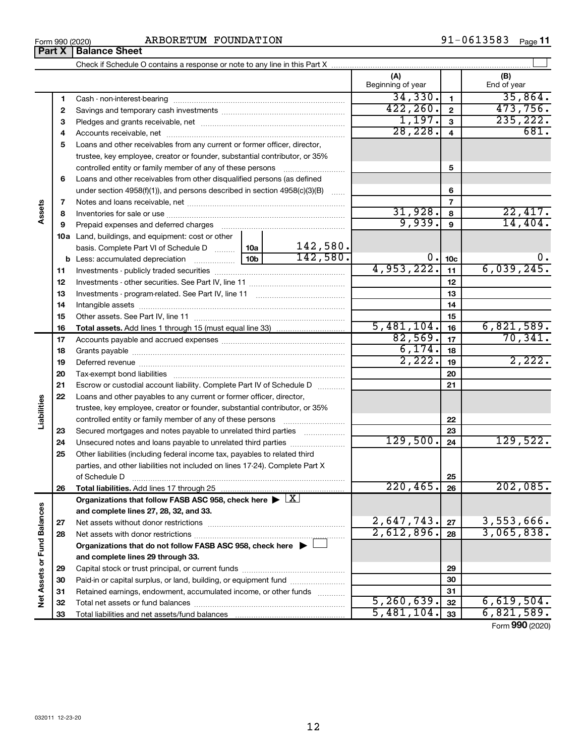$\perp$ 

#### **(A) (B) 1 2 3 4** Accounts receivable, net ~~~~~~~~~~~~~~~~~~~~~~~~~~ **5** Loans and other receivables from any current or former officer, director, **6** Loans and other receivables from other disqualified persons (as defined **7 8 9** Prepaid expenses and deferred charges ~~~~~~~~~~~~~~~~~~ **10 a** Land, buildings, and equipment: cost or other **11 12 13 14 15 16 1 2 3 4 5 6 7 8 9 10c 11 12 13 14 15 16 b** Less: accumulated depreciation  $\ldots$  [10b basis. Complete Part VI of Schedule D  $\frac{1}{10}$  10a **Total assets.**  Check if Schedule O contains a response or note to any line in this Part X Beginning of year  $\parallel$  | End of year Cash - non-interest-bearing ~~~~~~~~~~~~~~~~~~~~~~~~~ Savings and temporary cash investments ~~~~~~~~~~~~~~~~~~ Pledges and grants receivable, net ~~~~~~~~~~~~~~~~~~~~~ trustee, key employee, creator or founder, substantial contributor, or 35% controlled entity or family member of any of these persons ~~~~~~~~~ under section 4958(f)(1)), and persons described in section  $4958(c)(3)(B)$  ...... Notes and loans receivable, net ~~~~~~~~~~~~~~~~~~~~~~~ Inventories for sale or use ~~~~~~~~~~~~~~~~~~~~~~~~~~ Investments - publicly traded securities Investments - other securities. See Part IV, line 11 Investments - program-related. See Part IV, line 11 Intangible assets ~~~~~~~~~~~~~~~~~~~ ………………………………………… …………………………………… ~~~~~~~~~~~~~~~~~~~~~~~~~~~~~~ Other assets. See Part IV, line 11 ~~~~~~~~~~~~~~~~~~~~~~ Add lines 1 through 15 (must equal line 33) ............................. **Part X** | **Balance Sheet**  $34,330$ .  $1$  35,864.  $422, 260. |2| 473, 756.$  $1,197.$   $3$   $235,222.$ 28,228. 681.  $31,928$ .  $8$  22,417. 9,939. 14,404. 142,580.  $142,580.$  0.  $10c$  0. 0.

|                             | 11 |                                                                                                                                                                                                                                | 4,953,222.   | 11 | 6,039,245.      |
|-----------------------------|----|--------------------------------------------------------------------------------------------------------------------------------------------------------------------------------------------------------------------------------|--------------|----|-----------------|
|                             | 12 |                                                                                                                                                                                                                                |              | 12 |                 |
|                             | 13 |                                                                                                                                                                                                                                |              | 13 |                 |
|                             | 14 |                                                                                                                                                                                                                                |              | 14 |                 |
|                             | 15 |                                                                                                                                                                                                                                |              | 15 |                 |
|                             | 16 |                                                                                                                                                                                                                                | 5,481,104.   | 16 | 6,821,589.      |
|                             | 17 |                                                                                                                                                                                                                                | 82,569.      | 17 | 70,341.         |
|                             | 18 |                                                                                                                                                                                                                                | 6,174.       | 18 |                 |
|                             | 19 | Deferred revenue material contracts and a contract of the contract of the contract of the contract of the contract of the contract of the contract of the contract of the contract of the contract of the contract of the cont | 2,222.       | 19 | 2,222.          |
|                             | 20 |                                                                                                                                                                                                                                |              | 20 |                 |
|                             | 21 | Escrow or custodial account liability. Complete Part IV of Schedule D                                                                                                                                                          |              | 21 |                 |
|                             | 22 | Loans and other payables to any current or former officer, director,                                                                                                                                                           |              |    |                 |
| Liabilities                 |    | trustee, key employee, creator or founder, substantial contributor, or 35%                                                                                                                                                     |              |    |                 |
|                             |    | controlled entity or family member of any of these persons                                                                                                                                                                     |              | 22 |                 |
|                             | 23 | Secured mortgages and notes payable to unrelated third parties                                                                                                                                                                 |              | 23 |                 |
|                             | 24 |                                                                                                                                                                                                                                | 129,500.     | 24 | 129,522.        |
|                             | 25 | Other liabilities (including federal income tax, payables to related third                                                                                                                                                     |              |    |                 |
|                             |    | parties, and other liabilities not included on lines 17-24). Complete Part X                                                                                                                                                   |              |    |                 |
|                             |    | of Schedule D                                                                                                                                                                                                                  |              | 25 |                 |
|                             | 26 |                                                                                                                                                                                                                                | 220, 465.    | 26 | 202,085.        |
|                             |    | Organizations that follow FASB ASC 958, check here $\blacktriangleright \lfloor X \rfloor$                                                                                                                                     |              |    |                 |
|                             |    | and complete lines 27, 28, 32, and 33.                                                                                                                                                                                         |              |    |                 |
|                             | 27 |                                                                                                                                                                                                                                | 2,647,743.   | 27 | 3,553,666.      |
|                             | 28 |                                                                                                                                                                                                                                | 2,612,896.   | 28 | 3,065,838.      |
|                             |    | Organizations that do not follow FASB ASC 958, check here $\blacktriangleright$                                                                                                                                                |              |    |                 |
|                             |    | and complete lines 29 through 33.                                                                                                                                                                                              |              |    |                 |
|                             | 29 |                                                                                                                                                                                                                                |              | 29 |                 |
|                             | 30 | Paid-in or capital surplus, or land, building, or equipment fund                                                                                                                                                               |              | 30 |                 |
| Net Assets or Fund Balances | 31 | Retained earnings, endowment, accumulated income, or other funds                                                                                                                                                               |              | 31 |                 |
|                             | 32 |                                                                                                                                                                                                                                | 5, 260, 639. | 32 | 6,619,504.      |
|                             | 33 |                                                                                                                                                                                                                                | 5,481,104.   | 33 | 6,821,589.      |
|                             |    |                                                                                                                                                                                                                                |              |    | Form 990 (2020) |

**Assets**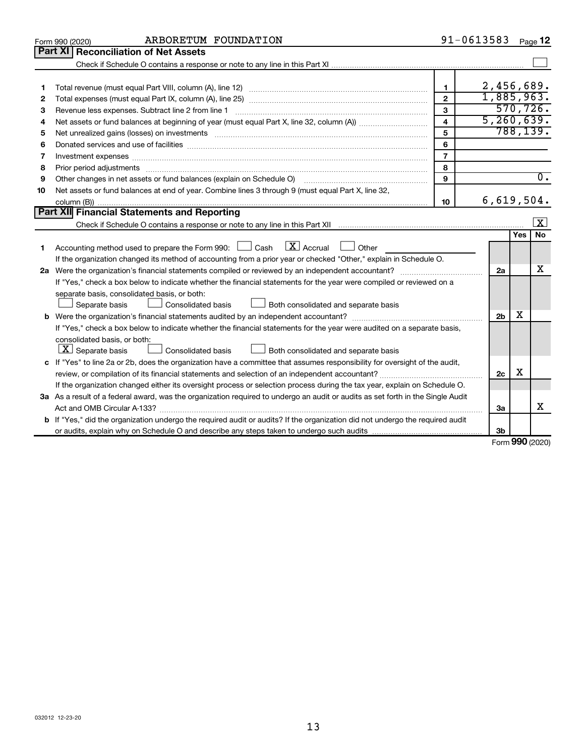|    | ARBORETUM FOUNDATION<br>Form 990 (2020)                                                                                         |                         | 91-0613583     |     | Page 12                 |
|----|---------------------------------------------------------------------------------------------------------------------------------|-------------------------|----------------|-----|-------------------------|
|    | <b>Part XI</b><br><b>Reconciliation of Net Assets</b>                                                                           |                         |                |     |                         |
|    |                                                                                                                                 |                         |                |     |                         |
|    |                                                                                                                                 |                         |                |     |                         |
| 1  |                                                                                                                                 | $\mathbf 1$             | 2,456,689.     |     |                         |
| 2  |                                                                                                                                 | $\overline{2}$          | 1,885,963.     |     |                         |
| З  | Revenue less expenses. Subtract line 2 from line 1                                                                              | 3                       |                |     | 570, 726.               |
| 4  |                                                                                                                                 | $\overline{\mathbf{4}}$ | 5, 260, 639.   |     |                         |
| 5  |                                                                                                                                 | 5                       |                |     | 788, 139.               |
| 6  |                                                                                                                                 | 6                       |                |     |                         |
| 7  | Investment expenses www.communication.com/www.communication.com/www.communication.com/www.com                                   | $\overline{7}$          |                |     |                         |
| 8  | Prior period adjustments www.communication.communication.communication.com/news-managements                                     | 8                       |                |     |                         |
| 9  | Other changes in net assets or fund balances (explain on Schedule O)                                                            | 9                       |                |     | $\overline{0}$ .        |
| 10 | Net assets or fund balances at end of year. Combine lines 3 through 9 (must equal Part X, line 32,                              |                         |                |     |                         |
|    |                                                                                                                                 | 10                      | 6,619,504.     |     |                         |
|    | Part XII Financial Statements and Reporting                                                                                     |                         |                |     |                         |
|    |                                                                                                                                 |                         |                |     | $\overline{\mathbf{x}}$ |
|    |                                                                                                                                 |                         |                | Yes | <b>No</b>               |
| 1  | Accounting method used to prepare the Form 990: $\Box$ Cash $\Box$ Accrual $\Box$ Other                                         |                         |                |     |                         |
|    | If the organization changed its method of accounting from a prior year or checked "Other," explain in Schedule O.               |                         |                |     |                         |
|    |                                                                                                                                 |                         | 2a             |     | х                       |
|    | If "Yes," check a box below to indicate whether the financial statements for the year were compiled or reviewed on a            |                         |                |     |                         |
|    | separate basis, consolidated basis, or both:                                                                                    |                         |                |     |                         |
|    | Both consolidated and separate basis<br>Separate basis<br>Consolidated basis                                                    |                         |                |     |                         |
|    | <b>b</b> Were the organization's financial statements audited by an independent accountant?                                     |                         | 2 <sub>b</sub> | х   |                         |
|    | If "Yes," check a box below to indicate whether the financial statements for the year were audited on a separate basis,         |                         |                |     |                         |
|    | consolidated basis, or both:                                                                                                    |                         |                |     |                         |
|    | $ \mathbf{X} $ Separate basis<br><b>Consolidated basis</b><br>Both consolidated and separate basis                              |                         |                |     |                         |
|    | c If "Yes" to line 2a or 2b, does the organization have a committee that assumes responsibility for oversight of the audit,     |                         |                |     |                         |
|    |                                                                                                                                 |                         | 2c             | х   |                         |
|    | If the organization changed either its oversight process or selection process during the tax year, explain on Schedule O.       |                         |                |     |                         |
|    | 3a As a result of a federal award, was the organization required to undergo an audit or audits as set forth in the Single Audit |                         |                |     |                         |
|    |                                                                                                                                 |                         | 3a             |     | х                       |
|    | b If "Yes," did the organization undergo the required audit or audits? If the organization did not undergo the required audit   |                         |                |     |                         |
|    |                                                                                                                                 |                         | 3b             |     |                         |

Form (2020) **990**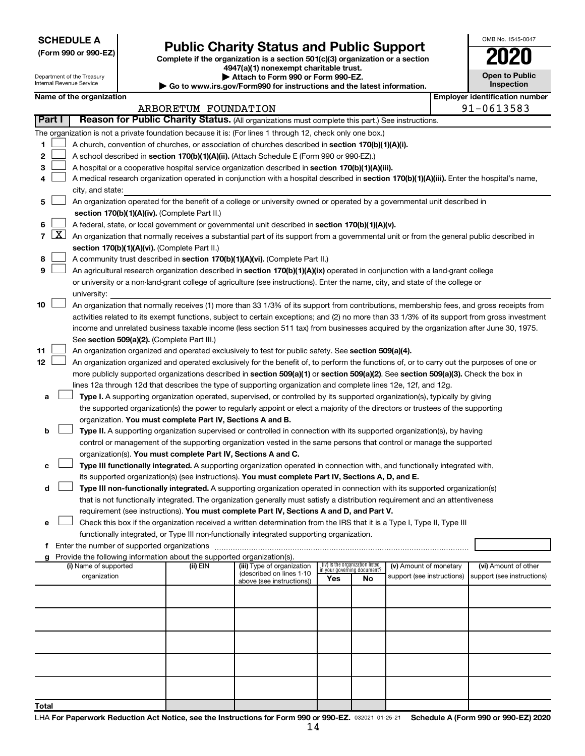**SCHEDULE A**

Department of the Treasury Internal Revenue Service

| (Form 990 or 990-EZ) |  |  |  |  |
|----------------------|--|--|--|--|
|----------------------|--|--|--|--|

## Form 990 or 990-EZ) **Public Charity Status and Public Support**<br>
Complete if the organization is a section 501(c)(3) organization or a section<br> **2020**

**4947(a)(1) nonexempt charitable trust. | Attach to Form 990 or Form 990-EZ.** 

**| Go to www.irs.gov/Form990 for instructions and the latest information.**

|    | <b>Open to Public</b><br>Inspection |
|----|-------------------------------------|
| יי | ntificati                           |

OMB No. 1545-0047

| Name of the organization |  |  | Emplover identification number |
|--------------------------|--|--|--------------------------------|

|                |                     |                                                                                                                                              | ARBORETUM FOUNDATION |                            |                                    |    |                            |  | 91-0613583                 |  |  |  |  |  |
|----------------|---------------------|----------------------------------------------------------------------------------------------------------------------------------------------|----------------------|----------------------------|------------------------------------|----|----------------------------|--|----------------------------|--|--|--|--|--|
|                | Part I              | Reason for Public Charity Status. (All organizations must complete this part.) See instructions.                                             |                      |                            |                                    |    |                            |  |                            |  |  |  |  |  |
|                |                     | The organization is not a private foundation because it is: (For lines 1 through 12, check only one box.)                                    |                      |                            |                                    |    |                            |  |                            |  |  |  |  |  |
| 1              |                     | A church, convention of churches, or association of churches described in section 170(b)(1)(A)(i).                                           |                      |                            |                                    |    |                            |  |                            |  |  |  |  |  |
| 2              |                     | A school described in section 170(b)(1)(A)(ii). (Attach Schedule E (Form 990 or 990-EZ).)                                                    |                      |                            |                                    |    |                            |  |                            |  |  |  |  |  |
| 3              |                     | A hospital or a cooperative hospital service organization described in section 170(b)(1)(A)(iii).                                            |                      |                            |                                    |    |                            |  |                            |  |  |  |  |  |
| 4              |                     | A medical research organization operated in conjunction with a hospital described in section 170(b)(1)(A)(iii). Enter the hospital's name,   |                      |                            |                                    |    |                            |  |                            |  |  |  |  |  |
|                |                     | city, and state:                                                                                                                             |                      |                            |                                    |    |                            |  |                            |  |  |  |  |  |
| 5              |                     | An organization operated for the benefit of a college or university owned or operated by a governmental unit described in                    |                      |                            |                                    |    |                            |  |                            |  |  |  |  |  |
|                |                     | section 170(b)(1)(A)(iv). (Complete Part II.)                                                                                                |                      |                            |                                    |    |                            |  |                            |  |  |  |  |  |
| 6              |                     | A federal, state, or local government or governmental unit described in section 170(b)(1)(A)(v).                                             |                      |                            |                                    |    |                            |  |                            |  |  |  |  |  |
| $\overline{7}$ | $\lfloor x \rfloor$ | An organization that normally receives a substantial part of its support from a governmental unit or from the general public described in    |                      |                            |                                    |    |                            |  |                            |  |  |  |  |  |
|                |                     | section 170(b)(1)(A)(vi). (Complete Part II.)                                                                                                |                      |                            |                                    |    |                            |  |                            |  |  |  |  |  |
| 8              |                     | A community trust described in section 170(b)(1)(A)(vi). (Complete Part II.)                                                                 |                      |                            |                                    |    |                            |  |                            |  |  |  |  |  |
| 9              |                     | An agricultural research organization described in section 170(b)(1)(A)(ix) operated in conjunction with a land-grant college                |                      |                            |                                    |    |                            |  |                            |  |  |  |  |  |
|                |                     | or university or a non-land-grant college of agriculture (see instructions). Enter the name, city, and state of the college or               |                      |                            |                                    |    |                            |  |                            |  |  |  |  |  |
|                |                     | university:                                                                                                                                  |                      |                            |                                    |    |                            |  |                            |  |  |  |  |  |
| 10             |                     | An organization that normally receives (1) more than 33 1/3% of its support from contributions, membership fees, and gross receipts from     |                      |                            |                                    |    |                            |  |                            |  |  |  |  |  |
|                |                     | activities related to its exempt functions, subject to certain exceptions; and (2) no more than 33 1/3% of its support from gross investment |                      |                            |                                    |    |                            |  |                            |  |  |  |  |  |
|                |                     | income and unrelated business taxable income (less section 511 tax) from businesses acquired by the organization after June 30, 1975.        |                      |                            |                                    |    |                            |  |                            |  |  |  |  |  |
|                |                     | See section 509(a)(2). (Complete Part III.)                                                                                                  |                      |                            |                                    |    |                            |  |                            |  |  |  |  |  |
| 11             |                     | An organization organized and operated exclusively to test for public safety. See section 509(a)(4).                                         |                      |                            |                                    |    |                            |  |                            |  |  |  |  |  |
| 12             |                     | An organization organized and operated exclusively for the benefit of, to perform the functions of, or to carry out the purposes of one or   |                      |                            |                                    |    |                            |  |                            |  |  |  |  |  |
|                |                     | more publicly supported organizations described in section 509(a)(1) or section 509(a)(2). See section 509(a)(3). Check the box in           |                      |                            |                                    |    |                            |  |                            |  |  |  |  |  |
|                |                     | lines 12a through 12d that describes the type of supporting organization and complete lines 12e, 12f, and 12g.                               |                      |                            |                                    |    |                            |  |                            |  |  |  |  |  |
| а              |                     | Type I. A supporting organization operated, supervised, or controlled by its supported organization(s), typically by giving                  |                      |                            |                                    |    |                            |  |                            |  |  |  |  |  |
|                |                     | the supported organization(s) the power to regularly appoint or elect a majority of the directors or trustees of the supporting              |                      |                            |                                    |    |                            |  |                            |  |  |  |  |  |
|                |                     | organization. You must complete Part IV, Sections A and B.                                                                                   |                      |                            |                                    |    |                            |  |                            |  |  |  |  |  |
| b              |                     | Type II. A supporting organization supervised or controlled in connection with its supported organization(s), by having                      |                      |                            |                                    |    |                            |  |                            |  |  |  |  |  |
|                |                     | control or management of the supporting organization vested in the same persons that control or manage the supported                         |                      |                            |                                    |    |                            |  |                            |  |  |  |  |  |
|                |                     | organization(s). You must complete Part IV, Sections A and C.                                                                                |                      |                            |                                    |    |                            |  |                            |  |  |  |  |  |
| с              |                     | Type III functionally integrated. A supporting organization operated in connection with, and functionally integrated with,                   |                      |                            |                                    |    |                            |  |                            |  |  |  |  |  |
|                |                     | its supported organization(s) (see instructions). You must complete Part IV, Sections A, D, and E.                                           |                      |                            |                                    |    |                            |  |                            |  |  |  |  |  |
| d              |                     | Type III non-functionally integrated. A supporting organization operated in connection with its supported organization(s)                    |                      |                            |                                    |    |                            |  |                            |  |  |  |  |  |
|                |                     | that is not functionally integrated. The organization generally must satisfy a distribution requirement and an attentiveness                 |                      |                            |                                    |    |                            |  |                            |  |  |  |  |  |
|                |                     | requirement (see instructions). You must complete Part IV, Sections A and D, and Part V.                                                     |                      |                            |                                    |    |                            |  |                            |  |  |  |  |  |
| е              |                     | Check this box if the organization received a written determination from the IRS that it is a Type I, Type II, Type III                      |                      |                            |                                    |    |                            |  |                            |  |  |  |  |  |
|                |                     | functionally integrated, or Type III non-functionally integrated supporting organization.                                                    |                      |                            |                                    |    |                            |  |                            |  |  |  |  |  |
| f.             |                     | Enter the number of supported organizations                                                                                                  |                      |                            |                                    |    |                            |  |                            |  |  |  |  |  |
| a              |                     | Provide the following information about the supported organization(s).<br>(i) Name of supported                                              | (ii) EIN             | (iii) Type of organization | (iv) Is the organization listed    |    | (v) Amount of monetary     |  | (vi) Amount of other       |  |  |  |  |  |
|                |                     | organization                                                                                                                                 |                      | (described on lines 1-10   | in your governing document?<br>Yes | No | support (see instructions) |  | support (see instructions) |  |  |  |  |  |
|                |                     |                                                                                                                                              |                      | above (see instructions))  |                                    |    |                            |  |                            |  |  |  |  |  |
|                |                     |                                                                                                                                              |                      |                            |                                    |    |                            |  |                            |  |  |  |  |  |
|                |                     |                                                                                                                                              |                      |                            |                                    |    |                            |  |                            |  |  |  |  |  |
|                |                     |                                                                                                                                              |                      |                            |                                    |    |                            |  |                            |  |  |  |  |  |
|                |                     |                                                                                                                                              |                      |                            |                                    |    |                            |  |                            |  |  |  |  |  |
|                |                     |                                                                                                                                              |                      |                            |                                    |    |                            |  |                            |  |  |  |  |  |
|                |                     |                                                                                                                                              |                      |                            |                                    |    |                            |  |                            |  |  |  |  |  |
|                |                     |                                                                                                                                              |                      |                            |                                    |    |                            |  |                            |  |  |  |  |  |
|                |                     |                                                                                                                                              |                      |                            |                                    |    |                            |  |                            |  |  |  |  |  |
|                |                     |                                                                                                                                              |                      |                            |                                    |    |                            |  |                            |  |  |  |  |  |
| Total          |                     |                                                                                                                                              |                      |                            |                                    |    |                            |  |                            |  |  |  |  |  |
|                |                     |                                                                                                                                              |                      |                            |                                    |    |                            |  |                            |  |  |  |  |  |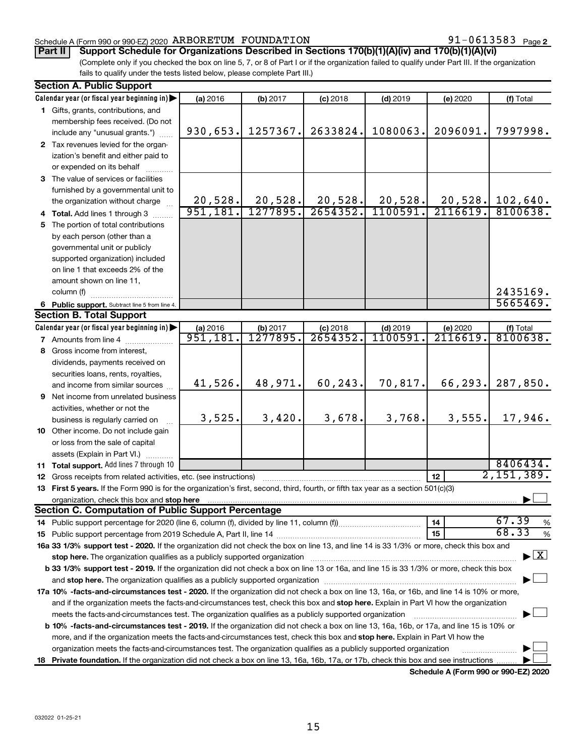## Schedule A (Form 990 or 990-EZ) 2020  $\,$  ARBORETUM FOUNDATION  $\,$  91  $-0613583$  Page

## **Part II Support Schedule for Organizations Described in Sections 170(b)(1)(A)(iv) and 170(b)(1)(A)(vi)**

(Complete only if you checked the box on line 5, 7, or 8 of Part I or if the organization failed to qualify under Part III. If the organization fails to qualify under the tests listed below, please complete Part III.)

|    | <b>Section A. Public Support</b>                                                                                                           |                      |                      |                        |                       |                      |                                          |
|----|--------------------------------------------------------------------------------------------------------------------------------------------|----------------------|----------------------|------------------------|-----------------------|----------------------|------------------------------------------|
|    | Calendar year (or fiscal year beginning in)                                                                                                | (a) 2016             | (b) 2017             | $(c)$ 2018             | $(d)$ 2019            | (e) 2020             | (f) Total                                |
|    | 1 Gifts, grants, contributions, and                                                                                                        |                      |                      |                        |                       |                      |                                          |
|    | membership fees received. (Do not                                                                                                          |                      |                      |                        |                       |                      |                                          |
|    | include any "unusual grants.")                                                                                                             | 930,653.             | 1257367.             | 2633824.               | 1080063.              | 2096091.             | 7997998.                                 |
|    | 2 Tax revenues levied for the organ-                                                                                                       |                      |                      |                        |                       |                      |                                          |
|    | ization's benefit and either paid to                                                                                                       |                      |                      |                        |                       |                      |                                          |
|    | or expended on its behalf                                                                                                                  |                      |                      |                        |                       |                      |                                          |
|    | 3 The value of services or facilities                                                                                                      |                      |                      |                        |                       |                      |                                          |
|    | furnished by a governmental unit to                                                                                                        |                      |                      |                        |                       |                      |                                          |
|    | the organization without charge                                                                                                            | 20,528.              | 20,528.              | 20,528.                | 20,528.               | 20,528.              | 102,640.                                 |
|    | 4 Total. Add lines 1 through 3                                                                                                             | 951,181.             | 1277895.             | 2654352.               | 1100591               | 2116619.             | 8100638.                                 |
|    | 5 The portion of total contributions                                                                                                       |                      |                      |                        |                       |                      |                                          |
|    | by each person (other than a                                                                                                               |                      |                      |                        |                       |                      |                                          |
|    | governmental unit or publicly                                                                                                              |                      |                      |                        |                       |                      |                                          |
|    | supported organization) included                                                                                                           |                      |                      |                        |                       |                      |                                          |
|    | on line 1 that exceeds 2% of the                                                                                                           |                      |                      |                        |                       |                      |                                          |
|    | amount shown on line 11,                                                                                                                   |                      |                      |                        |                       |                      |                                          |
|    | column (f)                                                                                                                                 |                      |                      |                        |                       |                      | 2435169.                                 |
|    |                                                                                                                                            |                      |                      |                        |                       |                      | 5665469.                                 |
|    | 6 Public support. Subtract line 5 from line 4.<br><b>Section B. Total Support</b>                                                          |                      |                      |                        |                       |                      |                                          |
|    |                                                                                                                                            |                      |                      |                        |                       |                      |                                          |
|    | Calendar year (or fiscal year beginning in)                                                                                                | (a) 2016<br>951,181. | (b) 2017<br>1277895. | $(c)$ 2018<br>2654352. | $(d)$ 2019<br>1100591 | (e) 2020<br>2116619. | (f) Total<br>8100638.                    |
|    | 7 Amounts from line 4                                                                                                                      |                      |                      |                        |                       |                      |                                          |
|    | 8 Gross income from interest,                                                                                                              |                      |                      |                        |                       |                      |                                          |
|    | dividends, payments received on                                                                                                            |                      |                      |                        |                       |                      |                                          |
|    | securities loans, rents, royalties,                                                                                                        |                      |                      |                        |                       |                      |                                          |
|    | and income from similar sources                                                                                                            | 41,526.              | 48,971.              | 60,243.                | 70,817.               | 66,293.              | 287,850.                                 |
|    | 9 Net income from unrelated business                                                                                                       |                      |                      |                        |                       |                      |                                          |
|    | activities, whether or not the                                                                                                             |                      |                      |                        |                       |                      |                                          |
|    | business is regularly carried on                                                                                                           | 3,525.               | 3,420.               | 3,678.                 | 3,768.                | 3,555.               | 17,946.                                  |
|    | 10 Other income. Do not include gain                                                                                                       |                      |                      |                        |                       |                      |                                          |
|    | or loss from the sale of capital                                                                                                           |                      |                      |                        |                       |                      |                                          |
|    | assets (Explain in Part VI.)                                                                                                               |                      |                      |                        |                       |                      |                                          |
|    | <b>11 Total support.</b> Add lines 7 through 10                                                                                            |                      |                      |                        |                       |                      | 8406434.                                 |
|    | <b>12</b> Gross receipts from related activities, etc. (see instructions)                                                                  |                      |                      |                        |                       | 12                   | 2,151,389.                               |
|    | 13 First 5 years. If the Form 990 is for the organization's first, second, third, fourth, or fifth tax year as a section 501(c)(3)         |                      |                      |                        |                       |                      |                                          |
|    | organization, check this box and stop here                                                                                                 |                      |                      |                        |                       |                      |                                          |
|    | <b>Section C. Computation of Public Support Percentage</b>                                                                                 |                      |                      |                        |                       |                      |                                          |
|    |                                                                                                                                            |                      |                      |                        |                       | 14                   | 67.39<br>%                               |
|    |                                                                                                                                            |                      |                      |                        |                       | 15                   | 68.33<br>$\%$                            |
|    | 16a 33 1/3% support test - 2020. If the organization did not check the box on line 13, and line 14 is 33 1/3% or more, check this box and  |                      |                      |                        |                       |                      |                                          |
|    | stop here. The organization qualifies as a publicly supported organization                                                                 |                      |                      |                        |                       |                      | $\blacktriangleright$ $\boxed{\text{X}}$ |
|    | b 33 1/3% support test - 2019. If the organization did not check a box on line 13 or 16a, and line 15 is 33 1/3% or more, check this box   |                      |                      |                        |                       |                      |                                          |
|    |                                                                                                                                            |                      |                      |                        |                       |                      |                                          |
|    | 17a 10% -facts-and-circumstances test - 2020. If the organization did not check a box on line 13, 16a, or 16b, and line 14 is 10% or more, |                      |                      |                        |                       |                      |                                          |
|    | and if the organization meets the facts-and-circumstances test, check this box and stop here. Explain in Part VI how the organization      |                      |                      |                        |                       |                      |                                          |
|    | meets the facts-and-circumstances test. The organization qualifies as a publicly supported organization                                    |                      |                      |                        |                       |                      |                                          |
|    | b 10% -facts-and-circumstances test - 2019. If the organization did not check a box on line 13, 16a, 16b, or 17a, and line 15 is 10% or    |                      |                      |                        |                       |                      |                                          |
|    | more, and if the organization meets the facts-and-circumstances test, check this box and stop here. Explain in Part VI how the             |                      |                      |                        |                       |                      |                                          |
|    | organization meets the facts-and-circumstances test. The organization qualifies as a publicly supported organization                       |                      |                      |                        |                       |                      |                                          |
| 18 | Private foundation. If the organization did not check a box on line 13, 16a, 16b, 17a, or 17b, check this box and see instructions         |                      |                      |                        |                       |                      |                                          |
|    |                                                                                                                                            |                      |                      |                        |                       |                      |                                          |

**Schedule A (Form 990 or 990-EZ) 2020**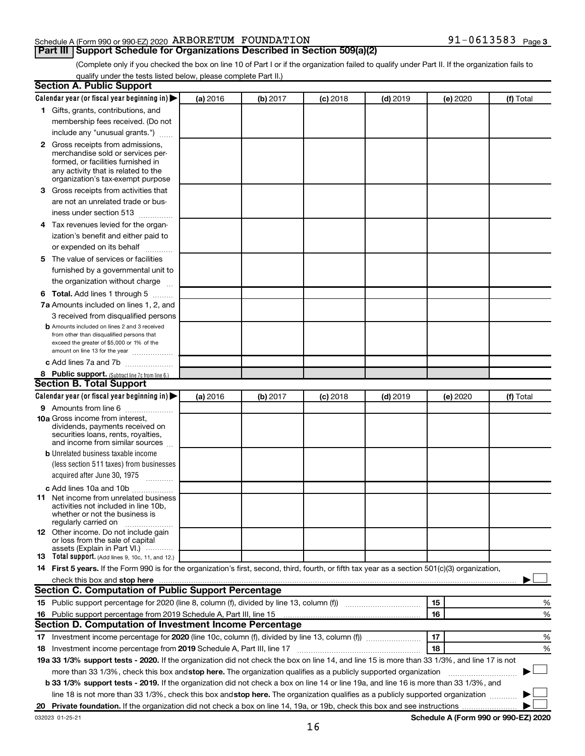## Schedule A (Form 990 or 990-EZ) 2020  $\,$  ARBORETUM FOUNDATION  $\,$  91  $-0613583$  Page

91-0613583 Page 3

(Complete only if you checked the box on line 10 of Part I or if the organization failed to qualify under Part II. If the organization fails to qualify under the tests listed below, please complete Part II.)

| <b>Section A. Public Support</b>                                                                                                                                                                                              |          |          |            |            |          |                                      |
|-------------------------------------------------------------------------------------------------------------------------------------------------------------------------------------------------------------------------------|----------|----------|------------|------------|----------|--------------------------------------|
| Calendar year (or fiscal year beginning in)                                                                                                                                                                                   | (a) 2016 | (b) 2017 | $(c)$ 2018 | $(d)$ 2019 | (e) 2020 | (f) Total                            |
| 1 Gifts, grants, contributions, and                                                                                                                                                                                           |          |          |            |            |          |                                      |
| membership fees received. (Do not                                                                                                                                                                                             |          |          |            |            |          |                                      |
| include any "unusual grants.")                                                                                                                                                                                                |          |          |            |            |          |                                      |
| 2 Gross receipts from admissions,<br>merchandise sold or services per-<br>formed, or facilities furnished in<br>any activity that is related to the<br>organization's tax-exempt purpose                                      |          |          |            |            |          |                                      |
| 3 Gross receipts from activities that                                                                                                                                                                                         |          |          |            |            |          |                                      |
| are not an unrelated trade or bus-<br>iness under section 513                                                                                                                                                                 |          |          |            |            |          |                                      |
| 4 Tax revenues levied for the organ-                                                                                                                                                                                          |          |          |            |            |          |                                      |
| ization's benefit and either paid to<br>or expended on its behalf                                                                                                                                                             |          |          |            |            |          |                                      |
| 5 The value of services or facilities                                                                                                                                                                                         |          |          |            |            |          |                                      |
| furnished by a governmental unit to<br>the organization without charge                                                                                                                                                        |          |          |            |            |          |                                      |
| <b>6 Total.</b> Add lines 1 through 5                                                                                                                                                                                         |          |          |            |            |          |                                      |
| 7a Amounts included on lines 1, 2, and                                                                                                                                                                                        |          |          |            |            |          |                                      |
| 3 received from disqualified persons                                                                                                                                                                                          |          |          |            |            |          |                                      |
| <b>b</b> Amounts included on lines 2 and 3 received<br>from other than disqualified persons that<br>exceed the greater of \$5,000 or 1% of the<br>amount on line 13 for the year                                              |          |          |            |            |          |                                      |
| c Add lines 7a and 7b                                                                                                                                                                                                         |          |          |            |            |          |                                      |
| 8 Public support. (Subtract line 7c from line 6.)                                                                                                                                                                             |          |          |            |            |          |                                      |
| <b>Section B. Total Support</b>                                                                                                                                                                                               |          |          |            |            |          |                                      |
| Calendar year (or fiscal year beginning in) $\blacktriangleright$                                                                                                                                                             | (a) 2016 | (b) 2017 | $(c)$ 2018 | $(d)$ 2019 | (e) 2020 | (f) Total                            |
| <b>9</b> Amounts from line 6                                                                                                                                                                                                  |          |          |            |            |          |                                      |
| <b>10a</b> Gross income from interest,<br>dividends, payments received on<br>securities loans, rents, royalties,<br>and income from similar sources                                                                           |          |          |            |            |          |                                      |
| <b>b</b> Unrelated business taxable income                                                                                                                                                                                    |          |          |            |            |          |                                      |
| (less section 511 taxes) from businesses<br>acquired after June 30, 1975<br>$\overline{\phantom{a}}$                                                                                                                          |          |          |            |            |          |                                      |
| c Add lines 10a and 10b                                                                                                                                                                                                       |          |          |            |            |          |                                      |
| <b>11</b> Net income from unrelated business<br>activities not included in line 10b.<br>whether or not the business is<br>regularly carried on                                                                                |          |          |            |            |          |                                      |
| <b>12</b> Other income. Do not include gain<br>or loss from the sale of capital<br>assets (Explain in Part VI.)                                                                                                               |          |          |            |            |          |                                      |
| <b>13</b> Total support. (Add lines 9, 10c, 11, and 12.)                                                                                                                                                                      |          |          |            |            |          |                                      |
| 14 First 5 years. If the Form 990 is for the organization's first, second, third, fourth, or fifth tax year as a section 501(c)(3) organization,                                                                              |          |          |            |            |          |                                      |
| check this box and stop here manufactured and stop here and stop here are manufactured and stop here and stop here and stop here and stop here and stop here and stop here and stop here and stop here and stop here and stop |          |          |            |            |          |                                      |
| Section C. Computation of Public Support Percentage                                                                                                                                                                           |          |          |            |            |          |                                      |
|                                                                                                                                                                                                                               |          |          |            |            | 15       | %                                    |
| 16 Public support percentage from 2019 Schedule A, Part III, line 15                                                                                                                                                          |          |          |            |            | 16       | %                                    |
| Section D. Computation of Investment Income Percentage                                                                                                                                                                        |          |          |            |            |          |                                      |
|                                                                                                                                                                                                                               |          |          |            |            | 17       | %                                    |
| 18 Investment income percentage from 2019 Schedule A, Part III, line 17                                                                                                                                                       |          |          |            |            | 18       | %                                    |
| 19a 33 1/3% support tests - 2020. If the organization did not check the box on line 14, and line 15 is more than 33 1/3%, and line 17 is not                                                                                  |          |          |            |            |          |                                      |
| more than 33 1/3%, check this box and stop here. The organization qualifies as a publicly supported organization                                                                                                              |          |          |            |            |          |                                      |
| <b>b 33 1/3% support tests - 2019.</b> If the organization did not check a box on line 14 or line 19a, and line 16 is more than 33 1/3%, and                                                                                  |          |          |            |            |          |                                      |
| line 18 is not more than 33 1/3%, check this box and stop here. The organization qualifies as a publicly supported organization <i>manner</i>                                                                                 |          |          |            |            |          |                                      |
|                                                                                                                                                                                                                               |          |          |            |            |          |                                      |
| 032023 01-25-21                                                                                                                                                                                                               |          |          |            |            |          | Schedule A (Form 990 or 990-EZ) 2020 |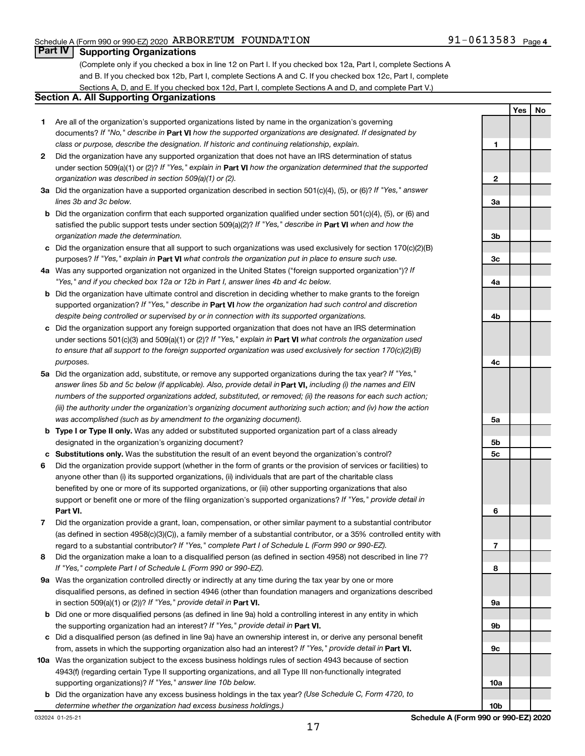**Yes No**

## **Part IV Supporting Organizations**

(Complete only if you checked a box in line 12 on Part I. If you checked box 12a, Part I, complete Sections A and B. If you checked box 12b, Part I, complete Sections A and C. If you checked box 12c, Part I, complete Sections A, D, and E. If you checked box 12d, Part I, complete Sections A and D, and complete Part V.)

## **Section A. All Supporting Organizations**

- **1** Are all of the organization's supported organizations listed by name in the organization's governing documents? If "No," describe in Part VI how the supported organizations are designated. If designated by *class or purpose, describe the designation. If historic and continuing relationship, explain.*
- **2** Did the organization have any supported organization that does not have an IRS determination of status under section 509(a)(1) or (2)? If "Yes," explain in Part **VI** how the organization determined that the supported *organization was described in section 509(a)(1) or (2).*
- **3a** Did the organization have a supported organization described in section 501(c)(4), (5), or (6)? If "Yes," answer *lines 3b and 3c below.*
- **b** Did the organization confirm that each supported organization qualified under section 501(c)(4), (5), or (6) and satisfied the public support tests under section 509(a)(2)? If "Yes," describe in Part VI when and how the *organization made the determination.*
- **c** Did the organization ensure that all support to such organizations was used exclusively for section 170(c)(2)(B) purposes? If "Yes," explain in Part VI what controls the organization put in place to ensure such use.
- **4 a** *If* Was any supported organization not organized in the United States ("foreign supported organization")? *"Yes," and if you checked box 12a or 12b in Part I, answer lines 4b and 4c below.*
- **b** Did the organization have ultimate control and discretion in deciding whether to make grants to the foreign supported organization? If "Yes," describe in Part VI how the organization had such control and discretion *despite being controlled or supervised by or in connection with its supported organizations.*
- **c** Did the organization support any foreign supported organization that does not have an IRS determination under sections 501(c)(3) and 509(a)(1) or (2)? If "Yes," explain in Part VI what controls the organization used *to ensure that all support to the foreign supported organization was used exclusively for section 170(c)(2)(B) purposes.*
- **5a** Did the organization add, substitute, or remove any supported organizations during the tax year? If "Yes," answer lines 5b and 5c below (if applicable). Also, provide detail in **Part VI,** including (i) the names and EIN *numbers of the supported organizations added, substituted, or removed; (ii) the reasons for each such action; (iii) the authority under the organization's organizing document authorizing such action; and (iv) how the action was accomplished (such as by amendment to the organizing document).*
- **b Type I or Type II only.** Was any added or substituted supported organization part of a class already designated in the organization's organizing document?
- **c Substitutions only.**  Was the substitution the result of an event beyond the organization's control?
- **6** Did the organization provide support (whether in the form of grants or the provision of services or facilities) to **Part VI.** support or benefit one or more of the filing organization's supported organizations? If "Yes," provide detail in anyone other than (i) its supported organizations, (ii) individuals that are part of the charitable class benefited by one or more of its supported organizations, or (iii) other supporting organizations that also
- **7** Did the organization provide a grant, loan, compensation, or other similar payment to a substantial contributor regard to a substantial contributor? If "Yes," complete Part I of Schedule L (Form 990 or 990-EZ). (as defined in section 4958(c)(3)(C)), a family member of a substantial contributor, or a 35% controlled entity with
- **8** Did the organization make a loan to a disqualified person (as defined in section 4958) not described in line 7? *If "Yes," complete Part I of Schedule L (Form 990 or 990-EZ).*
- **9 a** Was the organization controlled directly or indirectly at any time during the tax year by one or more in section 509(a)(1) or (2))? If "Yes," provide detail in **Part VI.** disqualified persons, as defined in section 4946 (other than foundation managers and organizations described
- **b** Did one or more disqualified persons (as defined in line 9a) hold a controlling interest in any entity in which the supporting organization had an interest? If "Yes," provide detail in Part VI.
- **c** Did a disqualified person (as defined in line 9a) have an ownership interest in, or derive any personal benefit from, assets in which the supporting organization also had an interest? If "Yes," provide detail in Part VI.
- **10 a** Was the organization subject to the excess business holdings rules of section 4943 because of section supporting organizations)? If "Yes," answer line 10b below. 4943(f) (regarding certain Type II supporting organizations, and all Type III non-functionally integrated
	- **b** Did the organization have any excess business holdings in the tax year? (Use Schedule C, Form 4720, to *determine whether the organization had excess business holdings.)*

**1 2 3a 3b 3c 4a 4b 4c 5a 5b 5c 6 7 8 9a 9b 9c 10a**

**10b**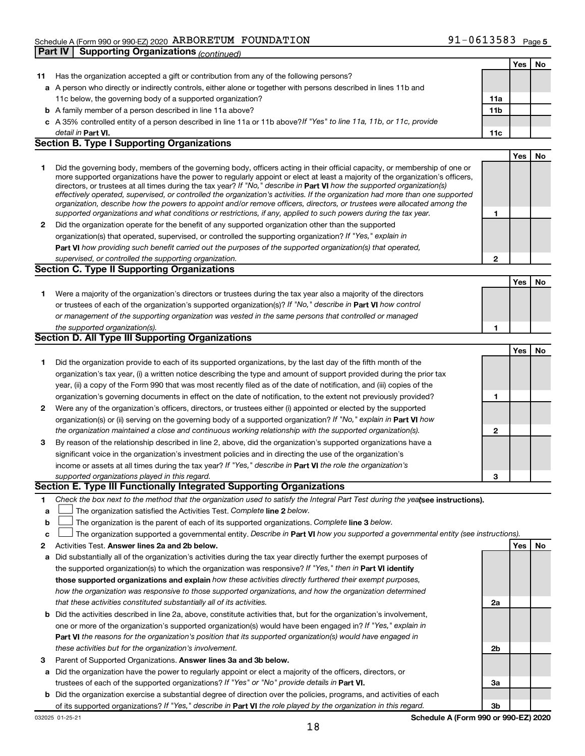|        | <b>Supporting Organizations (continued)</b><br>Part IV                                                                                                                                                                                                    |                 |     |     |
|--------|-----------------------------------------------------------------------------------------------------------------------------------------------------------------------------------------------------------------------------------------------------------|-----------------|-----|-----|
|        |                                                                                                                                                                                                                                                           |                 | Yes | No. |
| 11     | Has the organization accepted a gift or contribution from any of the following persons?                                                                                                                                                                   |                 |     |     |
|        | a A person who directly or indirectly controls, either alone or together with persons described in lines 11b and                                                                                                                                          |                 |     |     |
|        | 11c below, the governing body of a supported organization?                                                                                                                                                                                                | 11a             |     |     |
|        | <b>b</b> A family member of a person described in line 11a above?                                                                                                                                                                                         | 11 <sub>b</sub> |     |     |
|        | c A 35% controlled entity of a person described in line 11a or 11b above?If "Yes" to line 11a, 11b, or 11c, provide                                                                                                                                       |                 |     |     |
|        | detail in Part VI.                                                                                                                                                                                                                                        | 11c             |     |     |
|        | <b>Section B. Type I Supporting Organizations</b>                                                                                                                                                                                                         |                 |     |     |
|        |                                                                                                                                                                                                                                                           |                 | Yes | No  |
| 1      | Did the governing body, members of the governing body, officers acting in their official capacity, or membership of one or                                                                                                                                |                 |     |     |
|        | more supported organizations have the power to regularly appoint or elect at least a majority of the organization's officers,                                                                                                                             |                 |     |     |
|        | directors, or trustees at all times during the tax year? If "No," describe in Part VI how the supported organization(s)<br>effectively operated, supervised, or controlled the organization's activities. If the organization had more than one supported |                 |     |     |
|        | organization, describe how the powers to appoint and/or remove officers, directors, or trustees were allocated among the                                                                                                                                  |                 |     |     |
|        | supported organizations and what conditions or restrictions, if any, applied to such powers during the tax year.                                                                                                                                          | 1               |     |     |
| 2      | Did the organization operate for the benefit of any supported organization other than the supported                                                                                                                                                       |                 |     |     |
|        | organization(s) that operated, supervised, or controlled the supporting organization? If "Yes," explain in                                                                                                                                                |                 |     |     |
|        | Part VI how providing such benefit carried out the purposes of the supported organization(s) that operated,                                                                                                                                               |                 |     |     |
|        | supervised, or controlled the supporting organization.                                                                                                                                                                                                    | 2               |     |     |
|        | <b>Section C. Type II Supporting Organizations</b>                                                                                                                                                                                                        |                 |     |     |
|        |                                                                                                                                                                                                                                                           |                 | Yes | No  |
| 1.     | Were a majority of the organization's directors or trustees during the tax year also a majority of the directors                                                                                                                                          |                 |     |     |
|        | or trustees of each of the organization's supported organization(s)? If "No," describe in Part VI how control                                                                                                                                             |                 |     |     |
|        | or management of the supporting organization was vested in the same persons that controlled or managed                                                                                                                                                    |                 |     |     |
|        | the supported organization(s).                                                                                                                                                                                                                            | 1               |     |     |
|        | <b>Section D. All Type III Supporting Organizations</b>                                                                                                                                                                                                   |                 |     |     |
|        |                                                                                                                                                                                                                                                           |                 | Yes | No  |
| 1      | Did the organization provide to each of its supported organizations, by the last day of the fifth month of the                                                                                                                                            |                 |     |     |
|        | organization's tax year, (i) a written notice describing the type and amount of support provided during the prior tax                                                                                                                                     |                 |     |     |
|        | year, (ii) a copy of the Form 990 that was most recently filed as of the date of notification, and (iii) copies of the                                                                                                                                    |                 |     |     |
|        | organization's governing documents in effect on the date of notification, to the extent not previously provided?                                                                                                                                          | 1               |     |     |
| 2      | Were any of the organization's officers, directors, or trustees either (i) appointed or elected by the supported                                                                                                                                          |                 |     |     |
|        | organization(s) or (ii) serving on the governing body of a supported organization? If "No," explain in Part VI how                                                                                                                                        |                 |     |     |
|        | the organization maintained a close and continuous working relationship with the supported organization(s).                                                                                                                                               | 2               |     |     |
| 3      | By reason of the relationship described in line 2, above, did the organization's supported organizations have a                                                                                                                                           |                 |     |     |
|        | significant voice in the organization's investment policies and in directing the use of the organization's                                                                                                                                                |                 |     |     |
|        | income or assets at all times during the tax year? If "Yes," describe in Part VI the role the organization's                                                                                                                                              |                 |     |     |
|        | supported organizations played in this regard.<br>Section E. Type III Functionally Integrated Supporting Organizations                                                                                                                                    | з               |     |     |
|        |                                                                                                                                                                                                                                                           |                 |     |     |
| 1      | Check the box next to the method that the organization used to satisfy the Integral Part Test during the yealsee instructions).<br>The organization satisfied the Activities Test. Complete line 2 below.                                                 |                 |     |     |
| a<br>b | The organization is the parent of each of its supported organizations. Complete line 3 below.                                                                                                                                                             |                 |     |     |
| c      | The organization supported a governmental entity. Describe in Part VI how you supported a governmental entity (see instructions).                                                                                                                         |                 |     |     |
| 2      | Activities Test. Answer lines 2a and 2b below.                                                                                                                                                                                                            |                 | Yes | No  |
| а      | Did substantially all of the organization's activities during the tax year directly further the exempt purposes of                                                                                                                                        |                 |     |     |
|        | the supported organization(s) to which the organization was responsive? If "Yes," then in Part VI identify                                                                                                                                                |                 |     |     |
|        | those supported organizations and explain how these activities directly furthered their exempt purposes,                                                                                                                                                  |                 |     |     |
|        | how the organization was responsive to those supported organizations, and how the organization determined                                                                                                                                                 |                 |     |     |
|        | that these activities constituted substantially all of its activities.                                                                                                                                                                                    | 2a              |     |     |
|        | <b>b</b> Did the activities described in line 2a, above, constitute activities that, but for the organization's involvement,                                                                                                                              |                 |     |     |
|        | one or more of the organization's supported organization(s) would have been engaged in? If "Yes," explain in                                                                                                                                              |                 |     |     |
|        | <b>Part VI</b> the reasons for the organization's position that its supported organization(s) would have engaged in                                                                                                                                       |                 |     |     |
|        | these activities but for the organization's involvement.                                                                                                                                                                                                  | 2b              |     |     |
| з      | Parent of Supported Organizations. Answer lines 3a and 3b below.                                                                                                                                                                                          |                 |     |     |
|        |                                                                                                                                                                                                                                                           |                 |     |     |

- **a** Did the organization have the power to regularly appoint or elect a majority of the officers, directors, or trustees of each of the supported organizations? If "Yes" or "No" provide details in Part VI.
- **b** Did the organization exercise a substantial degree of direction over the policies, programs, and activities of each of its supported organizations? If "Yes," describe in Part VI the role played by the organization in this regard.

**3a**

**3b**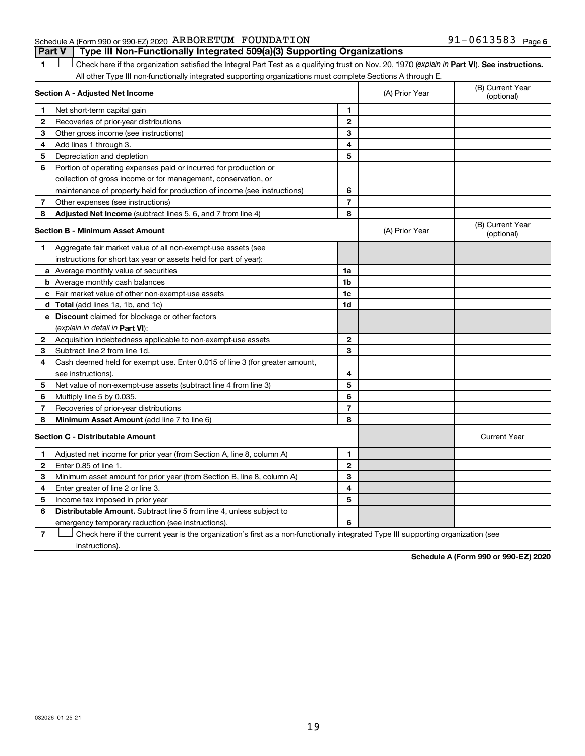### Schedule A (Form 990 or 990-EZ) 2020  $\,$  ARBORETUM FOUNDATION  $\,$  91  $-0613583$  Page **Part V Type III Non-Functionally Integrated 509(a)(3) Supporting Organizations**

1 **Letter See instructions.** Check here if the organization satisfied the Integral Part Test as a qualifying trust on Nov. 20, 1970 (*explain in* Part **VI**). See instructions. All other Type III non-functionally integrated supporting organizations must complete Sections A through E.

| Section A - Adjusted Net Income |                                                                             |                | (A) Prior Year | (B) Current Year<br>(optional) |
|---------------------------------|-----------------------------------------------------------------------------|----------------|----------------|--------------------------------|
| 1.                              | Net short-term capital gain                                                 | 1              |                |                                |
| 2                               | Recoveries of prior-year distributions                                      | $\overline{2}$ |                |                                |
| 3                               | Other gross income (see instructions)                                       | 3              |                |                                |
| 4                               | Add lines 1 through 3.                                                      | 4              |                |                                |
| 5                               | Depreciation and depletion                                                  | 5              |                |                                |
| 6                               | Portion of operating expenses paid or incurred for production or            |                |                |                                |
|                                 | collection of gross income or for management, conservation, or              |                |                |                                |
|                                 | maintenance of property held for production of income (see instructions)    | 6              |                |                                |
| 7                               | Other expenses (see instructions)                                           | $\overline{7}$ |                |                                |
| 8                               | <b>Adjusted Net Income</b> (subtract lines 5, 6, and 7 from line 4)         | 8              |                |                                |
|                                 | <b>Section B - Minimum Asset Amount</b>                                     |                | (A) Prior Year | (B) Current Year<br>(optional) |
| 1                               | Aggregate fair market value of all non-exempt-use assets (see               |                |                |                                |
|                                 | instructions for short tax year or assets held for part of year):           |                |                |                                |
|                                 | a Average monthly value of securities                                       | 1a             |                |                                |
|                                 | <b>b</b> Average monthly cash balances                                      | 1 <sub>b</sub> |                |                                |
|                                 | c Fair market value of other non-exempt-use assets                          | 1c             |                |                                |
|                                 | <b>d</b> Total (add lines 1a, 1b, and 1c)                                   | 1d             |                |                                |
|                                 | e Discount claimed for blockage or other factors                            |                |                |                                |
|                                 | (explain in detail in Part VI):                                             |                |                |                                |
| 2                               | Acquisition indebtedness applicable to non-exempt-use assets                | $\mathbf{2}$   |                |                                |
| З                               | Subtract line 2 from line 1d.                                               | 3              |                |                                |
| 4                               | Cash deemed held for exempt use. Enter 0.015 of line 3 (for greater amount, |                |                |                                |
|                                 | see instructions).                                                          | 4              |                |                                |
| 5                               | Net value of non-exempt-use assets (subtract line 4 from line 3)            | 5              |                |                                |
| 6                               | Multiply line 5 by 0.035.                                                   | 6              |                |                                |
| 7                               | Recoveries of prior-year distributions                                      | $\overline{7}$ |                |                                |
| 8                               | Minimum Asset Amount (add line 7 to line 6)                                 | 8              |                |                                |
|                                 | <b>Section C - Distributable Amount</b>                                     |                |                | <b>Current Year</b>            |
| 1                               | Adjusted net income for prior year (from Section A, line 8, column A)       | 1              |                |                                |
| 2                               | Enter 0.85 of line 1.                                                       | $\overline{2}$ |                |                                |
| 3                               | Minimum asset amount for prior year (from Section B, line 8, column A)      | 3              |                |                                |
| 4                               | Enter greater of line 2 or line 3.                                          | 4              |                |                                |
| 5                               | Income tax imposed in prior year                                            | 5              |                |                                |
| 6                               | Distributable Amount. Subtract line 5 from line 4, unless subject to        |                |                |                                |
|                                 | emergency temporary reduction (see instructions).                           | 6              |                |                                |
|                                 |                                                                             |                |                |                                |

**7** Check here if the current year is the organization's first as a non-functionally integrated Type III supporting organization (see † instructions).

**Schedule A (Form 990 or 990-EZ) 2020**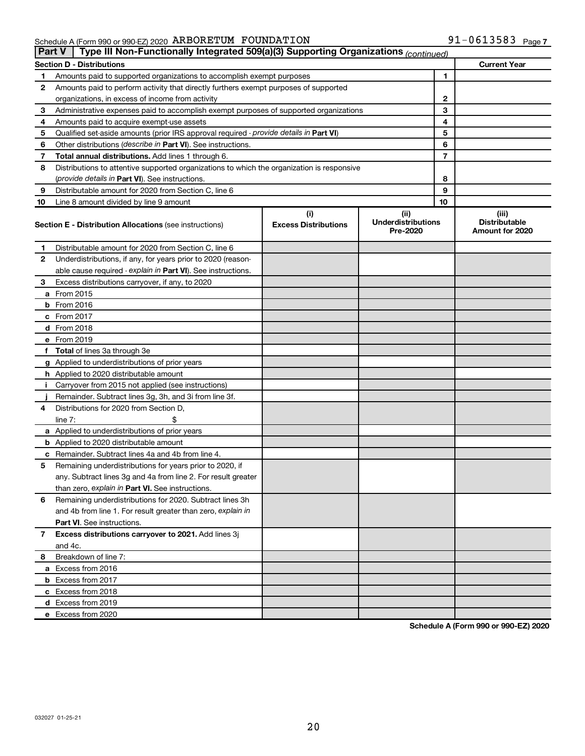## Schedule A (Form 990 or 990-EZ) 2020  $\,$  ARBORETUM FOUNDATION  $\,$  91  $-0613583$  Page

|    | Type III Non-Functionally Integrated 509(a)(3) Supporting Organizations (continued)<br><b>Part V</b> |                             |                                       |    |                                         |  |  |  |
|----|------------------------------------------------------------------------------------------------------|-----------------------------|---------------------------------------|----|-----------------------------------------|--|--|--|
|    | <b>Current Year</b><br><b>Section D - Distributions</b>                                              |                             |                                       |    |                                         |  |  |  |
| 1  | Amounts paid to supported organizations to accomplish exempt purposes                                |                             | 1                                     |    |                                         |  |  |  |
| 2  | Amounts paid to perform activity that directly furthers exempt purposes of supported                 |                             |                                       |    |                                         |  |  |  |
|    | organizations, in excess of income from activity                                                     |                             | 2                                     |    |                                         |  |  |  |
| 3  | Administrative expenses paid to accomplish exempt purposes of supported organizations                |                             |                                       | 3  |                                         |  |  |  |
| 4  | Amounts paid to acquire exempt-use assets                                                            |                             |                                       | 4  |                                         |  |  |  |
| 5  | Qualified set-aside amounts (prior IRS approval required - provide details in Part VI)               |                             |                                       | 5  |                                         |  |  |  |
| 6  | Other distributions ( <i>describe in Part VI</i> ). See instructions.                                |                             |                                       | 6  |                                         |  |  |  |
| 7  | Total annual distributions. Add lines 1 through 6.                                                   |                             |                                       | 7  |                                         |  |  |  |
| 8  | Distributions to attentive supported organizations to which the organization is responsive           |                             |                                       |    |                                         |  |  |  |
|    | ( <i>provide details in Part VI</i> ). See instructions.                                             |                             |                                       | 8  |                                         |  |  |  |
| 9  | Distributable amount for 2020 from Section C, line 6                                                 |                             |                                       | 9  |                                         |  |  |  |
| 10 | Line 8 amount divided by line 9 amount                                                               |                             |                                       | 10 |                                         |  |  |  |
|    |                                                                                                      | (i)                         | (ii)                                  |    | (iii)                                   |  |  |  |
|    | <b>Section E - Distribution Allocations (see instructions)</b>                                       | <b>Excess Distributions</b> | <b>Underdistributions</b><br>Pre-2020 |    | <b>Distributable</b><br>Amount for 2020 |  |  |  |
| 1. | Distributable amount for 2020 from Section C, line 6                                                 |                             |                                       |    |                                         |  |  |  |
| 2  | Underdistributions, if any, for years prior to 2020 (reason-                                         |                             |                                       |    |                                         |  |  |  |
|    | able cause required - explain in Part VI). See instructions.                                         |                             |                                       |    |                                         |  |  |  |
| 3  | Excess distributions carryover, if any, to 2020                                                      |                             |                                       |    |                                         |  |  |  |
|    | a From 2015                                                                                          |                             |                                       |    |                                         |  |  |  |
|    | $b$ From 2016                                                                                        |                             |                                       |    |                                         |  |  |  |
|    | c From 2017                                                                                          |                             |                                       |    |                                         |  |  |  |
|    | d From 2018                                                                                          |                             |                                       |    |                                         |  |  |  |
|    | e From 2019                                                                                          |                             |                                       |    |                                         |  |  |  |
|    | f Total of lines 3a through 3e                                                                       |                             |                                       |    |                                         |  |  |  |
|    | g Applied to underdistributions of prior years                                                       |                             |                                       |    |                                         |  |  |  |
|    | <b>h</b> Applied to 2020 distributable amount                                                        |                             |                                       |    |                                         |  |  |  |
| Ť. | Carryover from 2015 not applied (see instructions)                                                   |                             |                                       |    |                                         |  |  |  |
|    | Remainder. Subtract lines 3g, 3h, and 3i from line 3f.                                               |                             |                                       |    |                                         |  |  |  |
| 4  | Distributions for 2020 from Section D,                                                               |                             |                                       |    |                                         |  |  |  |
|    | line $7:$                                                                                            |                             |                                       |    |                                         |  |  |  |
|    | a Applied to underdistributions of prior years                                                       |                             |                                       |    |                                         |  |  |  |
|    | <b>b</b> Applied to 2020 distributable amount                                                        |                             |                                       |    |                                         |  |  |  |
| с  | Remainder. Subtract lines 4a and 4b from line 4.                                                     |                             |                                       |    |                                         |  |  |  |
| 5  | Remaining underdistributions for years prior to 2020, if                                             |                             |                                       |    |                                         |  |  |  |
|    | any. Subtract lines 3g and 4a from line 2. For result greater                                        |                             |                                       |    |                                         |  |  |  |
|    | than zero, explain in Part VI. See instructions.                                                     |                             |                                       |    |                                         |  |  |  |
| 6  | Remaining underdistributions for 2020. Subtract lines 3h                                             |                             |                                       |    |                                         |  |  |  |
|    | and 4b from line 1. For result greater than zero, explain in                                         |                             |                                       |    |                                         |  |  |  |
|    | <b>Part VI.</b> See instructions.                                                                    |                             |                                       |    |                                         |  |  |  |
| 7  | Excess distributions carryover to 2021. Add lines 3j                                                 |                             |                                       |    |                                         |  |  |  |
|    | and 4c.                                                                                              |                             |                                       |    |                                         |  |  |  |
| 8  | Breakdown of line 7:                                                                                 |                             |                                       |    |                                         |  |  |  |
|    | a Excess from 2016                                                                                   |                             |                                       |    |                                         |  |  |  |
|    |                                                                                                      |                             |                                       |    |                                         |  |  |  |
|    | <b>b</b> Excess from 2017                                                                            |                             |                                       |    |                                         |  |  |  |
|    | c Excess from 2018                                                                                   |                             |                                       |    |                                         |  |  |  |
|    | d Excess from 2019                                                                                   |                             |                                       |    |                                         |  |  |  |
|    | e Excess from 2020                                                                                   |                             |                                       |    |                                         |  |  |  |

**Schedule A (Form 990 or 990-EZ) 2020**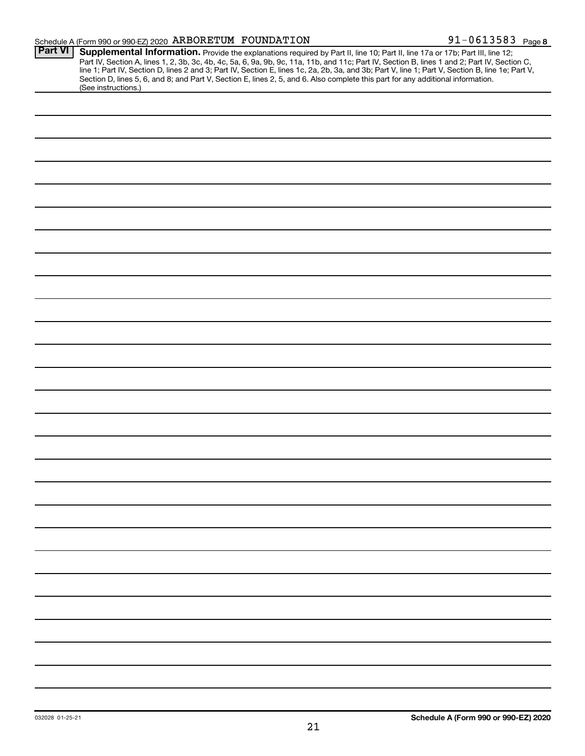### Schedule A (Form 990 or 990-EZ) 2020  $\,$  ARBORETUM FOUNDATION  $\,$  91  $-0613583$  Page

| <b>Part VI</b> | Supplemental Information. Provide the explanations required by Part II, line 10; Part II, line 17a or 17b; Part III, line 12;<br>Part IV, Section A, lines 1, 2, 3b, 3c, 4b, 4c, 5a, 6, 9a, 9b, 9c, 11a, 11b, and 11c; Part IV, Section B, lines 1 and 2; Part IV, Section C,<br>line 1; Part IV, Section D, lines 2 and 3; Part IV, Section E, lines 1c, 2a, 2b, 3a, and 3b; Part V, line 1; Part V, Section B, line 1e; Part V, |  |  |  |  |
|----------------|-----------------------------------------------------------------------------------------------------------------------------------------------------------------------------------------------------------------------------------------------------------------------------------------------------------------------------------------------------------------------------------------------------------------------------------|--|--|--|--|
|                | Section D, lines 5, 6, and 8; and Part V, Section E, lines 2, 5, and 6. Also complete this part for any additional information.<br>(See instructions.)                                                                                                                                                                                                                                                                            |  |  |  |  |
|                |                                                                                                                                                                                                                                                                                                                                                                                                                                   |  |  |  |  |
|                |                                                                                                                                                                                                                                                                                                                                                                                                                                   |  |  |  |  |
|                |                                                                                                                                                                                                                                                                                                                                                                                                                                   |  |  |  |  |
|                |                                                                                                                                                                                                                                                                                                                                                                                                                                   |  |  |  |  |
|                |                                                                                                                                                                                                                                                                                                                                                                                                                                   |  |  |  |  |
|                |                                                                                                                                                                                                                                                                                                                                                                                                                                   |  |  |  |  |
|                |                                                                                                                                                                                                                                                                                                                                                                                                                                   |  |  |  |  |
|                |                                                                                                                                                                                                                                                                                                                                                                                                                                   |  |  |  |  |
|                |                                                                                                                                                                                                                                                                                                                                                                                                                                   |  |  |  |  |
|                |                                                                                                                                                                                                                                                                                                                                                                                                                                   |  |  |  |  |
|                |                                                                                                                                                                                                                                                                                                                                                                                                                                   |  |  |  |  |
|                |                                                                                                                                                                                                                                                                                                                                                                                                                                   |  |  |  |  |
|                |                                                                                                                                                                                                                                                                                                                                                                                                                                   |  |  |  |  |
|                |                                                                                                                                                                                                                                                                                                                                                                                                                                   |  |  |  |  |
|                |                                                                                                                                                                                                                                                                                                                                                                                                                                   |  |  |  |  |
|                |                                                                                                                                                                                                                                                                                                                                                                                                                                   |  |  |  |  |
|                |                                                                                                                                                                                                                                                                                                                                                                                                                                   |  |  |  |  |
|                |                                                                                                                                                                                                                                                                                                                                                                                                                                   |  |  |  |  |
|                |                                                                                                                                                                                                                                                                                                                                                                                                                                   |  |  |  |  |
|                |                                                                                                                                                                                                                                                                                                                                                                                                                                   |  |  |  |  |
|                |                                                                                                                                                                                                                                                                                                                                                                                                                                   |  |  |  |  |
|                |                                                                                                                                                                                                                                                                                                                                                                                                                                   |  |  |  |  |
|                |                                                                                                                                                                                                                                                                                                                                                                                                                                   |  |  |  |  |
|                |                                                                                                                                                                                                                                                                                                                                                                                                                                   |  |  |  |  |
|                |                                                                                                                                                                                                                                                                                                                                                                                                                                   |  |  |  |  |
|                |                                                                                                                                                                                                                                                                                                                                                                                                                                   |  |  |  |  |
|                |                                                                                                                                                                                                                                                                                                                                                                                                                                   |  |  |  |  |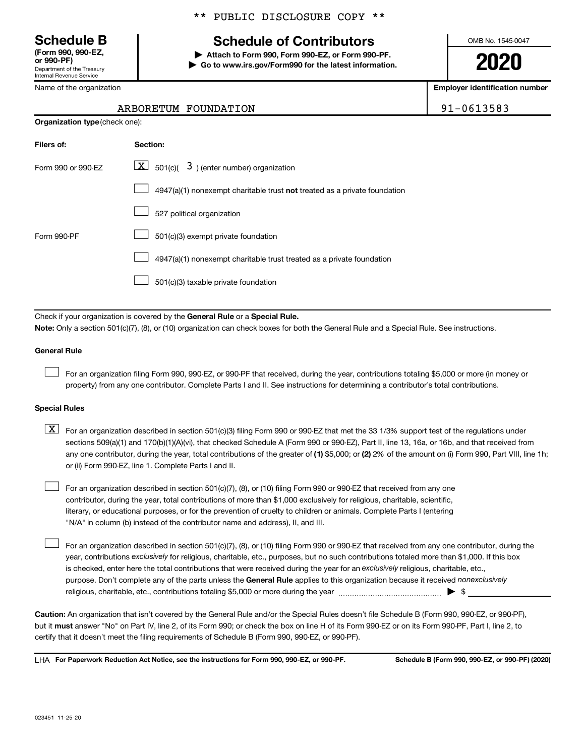Department of the Treasury Internal Revenue Service **(Form 990, 990-EZ,**

Name of the organization

## \*\* PUBLIC DISCLOSURE COPY \*\*

## **Schedule B Schedule of Contributors**

**or 990-PF) | Attach to Form 990, Form 990-EZ, or Form 990-PF. | Go to www.irs.gov/Form990 for the latest information.** OMB No. 1545-0047

**2020**

**Employer identification number**

91-0613583

| ARBORETUM FOUNDATION |  |
|----------------------|--|
|                      |  |

| <b>Organization type (check one):</b> |                                                                           |  |  |  |  |  |
|---------------------------------------|---------------------------------------------------------------------------|--|--|--|--|--|
| Filers of:                            | Section:                                                                  |  |  |  |  |  |
| Form 990 or 990-EZ                    | $ \mathbf{X} $ 501(c)( 3) (enter number) organization                     |  |  |  |  |  |
|                                       | 4947(a)(1) nonexempt charitable trust not treated as a private foundation |  |  |  |  |  |
|                                       | 527 political organization                                                |  |  |  |  |  |
| Form 990-PF                           | 501(c)(3) exempt private foundation                                       |  |  |  |  |  |
|                                       | 4947(a)(1) nonexempt charitable trust treated as a private foundation     |  |  |  |  |  |
|                                       | 501(c)(3) taxable private foundation                                      |  |  |  |  |  |

Check if your organization is covered by the General Rule or a Special Rule.

**Note:**  Only a section 501(c)(7), (8), or (10) organization can check boxes for both the General Rule and a Special Rule. See instructions.

#### **General Rule**

 $\Box$ 

 $\Box$ 

For an organization filing Form 990, 990-EZ, or 990-PF that received, during the year, contributions totaling \$5,000 or more (in money or property) from any one contributor. Complete Parts I and II. See instructions for determining a contributor's total contributions.

#### **Special Rules**

any one contributor, during the year, total contributions of the greater of (1) \$5,000; or (2) 2% of the amount on (i) Form 990, Part VIII, line 1h;  $\boxed{\text{X}}$  For an organization described in section 501(c)(3) filing Form 990 or 990-EZ that met the 33 1/3% support test of the regulations under sections 509(a)(1) and 170(b)(1)(A)(vi), that checked Schedule A (Form 990 or 990-EZ), Part II, line 13, 16a, or 16b, and that received from or (ii) Form 990-EZ, line 1. Complete Parts I and II.

For an organization described in section 501(c)(7), (8), or (10) filing Form 990 or 990-EZ that received from any one contributor, during the year, total contributions of more than \$1,000 exclusively for religious, charitable, scientific, literary, or educational purposes, or for the prevention of cruelty to children or animals. Complete Parts I (entering "N/A" in column (b) instead of the contributor name and address), II, and III.  $\Box$ 

purpose. Don't complete any of the parts unless the General Rule applies to this organization because it received nonexclusively year, contributions exclusively for religious, charitable, etc., purposes, but no such contributions totaled more than \$1,000. If this box is checked, enter here the total contributions that were received during the year for an exclusively religious, charitable, etc., For an organization described in section 501(c)(7), (8), or (10) filing Form 990 or 990-EZ that received from any one contributor, during the religious, charitable, etc., contributions totaling \$5,000 or more during the year  $~\ldots\ldots\ldots\ldots\ldots\ldots\ldots\ldots\blacktriangleright~$ \$

**Caution:**  An organization that isn't covered by the General Rule and/or the Special Rules doesn't file Schedule B (Form 990, 990-EZ, or 990-PF),  **must** but it answer "No" on Part IV, line 2, of its Form 990; or check the box on line H of its Form 990-EZ or on its Form 990-PF, Part I, line 2, to certify that it doesn't meet the filing requirements of Schedule B (Form 990, 990-EZ, or 990-PF).

**For Paperwork Reduction Act Notice, see the instructions for Form 990, 990-EZ, or 990-PF. Schedule B (Form 990, 990-EZ, or 990-PF) (2020)** LHA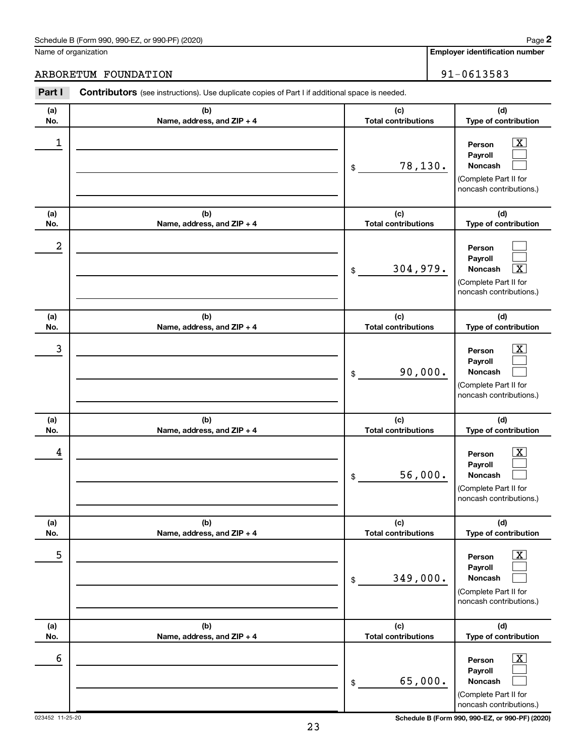## Schedule B (Form 990, 990-EZ, or 990-PF) (2020)

Name of organization

**Employer identification number 2**

## ARBORETUM FOUNDATION 91-0613583

| Part I     | <b>Contributors</b> (see instructions). Use duplicate copies of Part I if additional space is needed. |                                                                                                                                      |
|------------|-------------------------------------------------------------------------------------------------------|--------------------------------------------------------------------------------------------------------------------------------------|
| (a)<br>No. | (b)<br>Name, address, and ZIP + 4                                                                     | (d)<br>(c)<br><b>Total contributions</b><br>Type of contribution                                                                     |
| 1          |                                                                                                       | $\overline{\text{X}}$<br>Person<br>Payroll<br>78,130.<br><b>Noncash</b><br>\$<br>(Complete Part II for<br>noncash contributions.)    |
| (a)<br>No. | (b)<br>Name, address, and ZIP + 4                                                                     | (c)<br>(d)<br><b>Total contributions</b><br>Type of contribution                                                                     |
| 2          |                                                                                                       | Person<br>Payroll<br>304,979.<br>$\overline{\textbf{x}}$<br><b>Noncash</b><br>\$<br>(Complete Part II for<br>noncash contributions.) |
| (a)<br>No. | (b)<br>Name, address, and ZIP + 4                                                                     | (c)<br>(d)<br><b>Total contributions</b><br>Type of contribution                                                                     |
| 3          |                                                                                                       | $\overline{\text{X}}$<br>Person<br>Payroll<br>90,000.<br><b>Noncash</b><br>\$<br>(Complete Part II for<br>noncash contributions.)    |
| (a)<br>No. | (b)<br>Name, address, and ZIP + 4                                                                     | (c)<br>(d)<br><b>Total contributions</b><br>Type of contribution                                                                     |
| 4          |                                                                                                       | $\overline{\mathbf{X}}$<br>Person<br>Payroll<br>56,000.<br><b>Noncash</b><br>\$<br>(Complete Part II for<br>noncash contributions.)  |
| (a)<br>No. | (b)<br>Name, address, and ZIP + 4                                                                     | (c)<br>(d)<br>Type of contribution<br><b>Total contributions</b>                                                                     |
| 5          |                                                                                                       | $\overline{\text{X}}$<br>Person<br>Payroll<br>349,000.<br><b>Noncash</b><br>$\$$<br>(Complete Part II for<br>noncash contributions.) |
| (a)<br>No. | (b)<br>Name, address, and ZIP + 4                                                                     | (c)<br>(d)<br><b>Total contributions</b><br>Type of contribution                                                                     |
| 6          |                                                                                                       | $\overline{\text{X}}$<br>Person<br>Payroll<br>65,000.<br>Noncash<br>\$<br>(Complete Part II for<br>noncash contributions.)           |

023452 11-25-20 **Schedule B (Form 990, 990-EZ, or 990-PF) (2020)**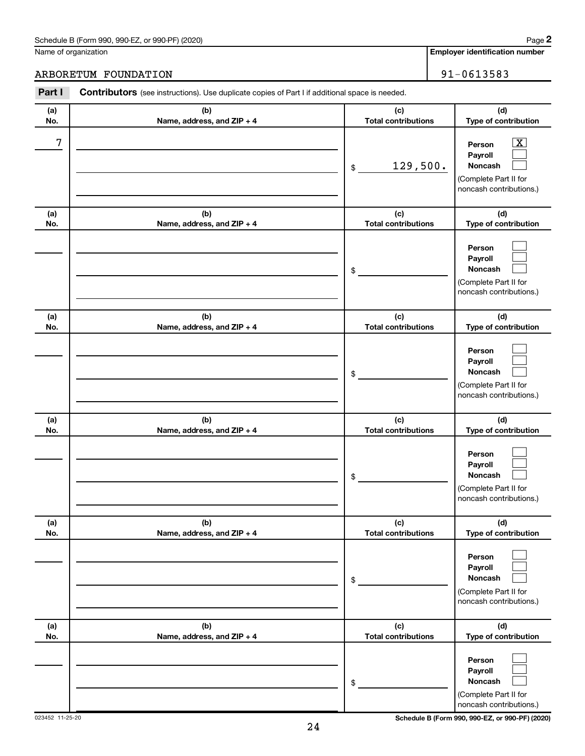## Schedule B (Form 990, 990-EZ, or 990-PF) (2020)

Name of organization

## ARBORETUM FOUNDATION 91-0613583

| Part I     | <b>Contributors</b> (see instructions). Use duplicate copies of Part I if additional space is needed. |                                   |                                                                                                           |
|------------|-------------------------------------------------------------------------------------------------------|-----------------------------------|-----------------------------------------------------------------------------------------------------------|
| (a)<br>No. | (b)<br>Name, address, and ZIP + 4                                                                     | (c)<br><b>Total contributions</b> | (d)<br>Type of contribution                                                                               |
| 7          |                                                                                                       | 129,500.<br>\$                    | $\overline{\text{X}}$<br>Person<br>Payroll<br>Noncash<br>(Complete Part II for<br>noncash contributions.) |
| (a)<br>No. | (b)<br>Name, address, and ZIP + 4                                                                     | (c)<br><b>Total contributions</b> | (d)<br>Type of contribution                                                                               |
|            |                                                                                                       | \$                                | Person<br>Payroll<br>Noncash<br>(Complete Part II for<br>noncash contributions.)                          |
| (a)<br>No. | (b)<br>Name, address, and ZIP + 4                                                                     | (c)<br><b>Total contributions</b> | (d)<br>Type of contribution                                                                               |
|            |                                                                                                       | \$                                | Person<br>Payroll<br>Noncash<br>(Complete Part II for<br>noncash contributions.)                          |
| (a)<br>No. | (b)<br>Name, address, and ZIP + 4                                                                     | (c)<br><b>Total contributions</b> | (d)<br>Type of contribution                                                                               |
|            |                                                                                                       | \$                                | Person<br>Payroll<br>Noncash<br>(Complete Part II for<br>noncash contributions.)                          |
| (a)<br>No. | (b)<br>Name, address, and ZIP + 4                                                                     | (c)<br><b>Total contributions</b> | (d)<br>Type of contribution                                                                               |
|            |                                                                                                       | $\,$                              | Person<br>Payroll<br><b>Noncash</b><br>(Complete Part II for<br>noncash contributions.)                   |
| (a)<br>No. | (b)<br>Name, address, and ZIP + 4                                                                     | (c)<br><b>Total contributions</b> | (d)<br>Type of contribution                                                                               |
|            |                                                                                                       | \$                                | Person<br>Payroll<br>Noncash<br>(Complete Part II for<br>noncash contributions.)                          |

023452 11-25-20 **Schedule B (Form 990, 990-EZ, or 990-PF) (2020)**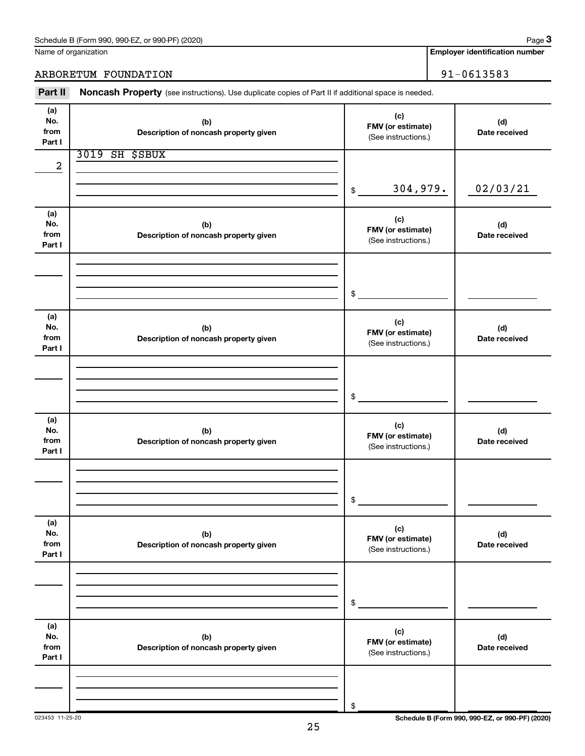| Schedule B (Form 990, 990-EZ, or 990-PF) (2020) | Paɑe |
|-------------------------------------------------|------|
|-------------------------------------------------|------|

Name of organization

**Employer identification number**

ARBORETUM FOUNDATION 91-0613583

Part II Noncash Property (see instructions). Use duplicate copies of Part II if additional space is needed.

| (a)        |                                              |                            |               |
|------------|----------------------------------------------|----------------------------|---------------|
| No.        | (b)                                          | (c)                        | (d)           |
| from       | Description of noncash property given        | FMV (or estimate)          | Date received |
| Part I     |                                              | (See instructions.)        |               |
|            | <b>3019 SH \$SBUX</b>                        |                            |               |
| 2          |                                              |                            |               |
|            |                                              |                            |               |
|            |                                              | 304,979.<br>$$\mathbb{S}$$ | 02/03/21      |
|            |                                              |                            |               |
| (a)        |                                              | (c)                        |               |
| No.        | (b)                                          | FMV (or estimate)          | (d)           |
| from       | Description of noncash property given        | (See instructions.)        | Date received |
| Part I     |                                              |                            |               |
|            |                                              |                            |               |
|            |                                              |                            |               |
|            |                                              |                            |               |
|            |                                              | $\sim$                     |               |
|            |                                              |                            |               |
| (a)<br>No. | (b)                                          | (c)                        | (d)           |
| from       | Description of noncash property given        | FMV (or estimate)          | Date received |
| Part I     |                                              | (See instructions.)        |               |
|            |                                              |                            |               |
|            |                                              |                            |               |
|            |                                              |                            |               |
|            |                                              | $\frac{1}{2}$              |               |
|            |                                              |                            |               |
| (a)        |                                              |                            |               |
| No.        | (b)                                          | (c)<br>FMV (or estimate)   | (d)           |
| from       | Description of noncash property given        | (See instructions.)        | Date received |
| Part I     |                                              |                            |               |
|            |                                              |                            |               |
|            |                                              |                            |               |
|            |                                              |                            |               |
|            |                                              | \$                         |               |
|            |                                              |                            |               |
| (a)<br>No. |                                              | (c)                        | (d)           |
| from       | (b)<br>Description of noncash property given | FMV (or estimate)          | Date received |
| Part I     |                                              | (See instructions.)        |               |
|            |                                              |                            |               |
|            |                                              |                            |               |
|            |                                              |                            |               |
|            |                                              | \$                         |               |
|            |                                              |                            |               |
| (a)        |                                              |                            |               |
| No.        | (b)                                          | (c)<br>FMV (or estimate)   | (d)           |
| from       | Description of noncash property given        | (See instructions.)        | Date received |
| Part I     |                                              |                            |               |
|            |                                              |                            |               |
|            |                                              |                            |               |
|            |                                              |                            |               |
|            |                                              | \$                         |               |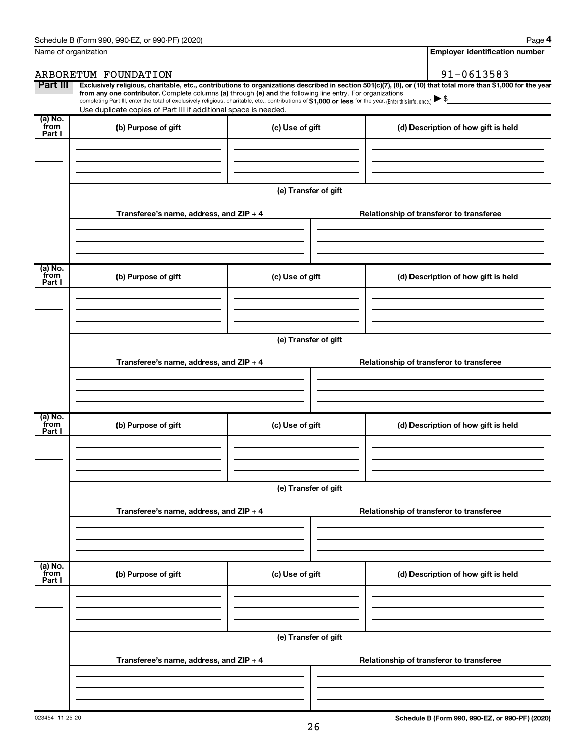| Name of organization        |                                                                                                                                                                                                                                                                                                                                                                    |                      | <b>Employer identification number</b>                                                                                                                          |
|-----------------------------|--------------------------------------------------------------------------------------------------------------------------------------------------------------------------------------------------------------------------------------------------------------------------------------------------------------------------------------------------------------------|----------------------|----------------------------------------------------------------------------------------------------------------------------------------------------------------|
|                             | ARBORETUM FOUNDATION                                                                                                                                                                                                                                                                                                                                               |                      | 91-0613583                                                                                                                                                     |
| Part III                    | from any one contributor. Complete columns (a) through (e) and the following line entry. For organizations<br>completing Part III, enter the total of exclusively religious, charitable, etc., contributions of \$1,000 or less for the year. (Enter this info. once.) $\blacktriangleright$ \$<br>Use duplicate copies of Part III if additional space is needed. |                      | Exclusively religious, charitable, etc., contributions to organizations described in section 501(c)(7), (8), or (10) that total more than \$1,000 for the year |
| (a) No.<br>from<br>Part I   | (b) Purpose of gift                                                                                                                                                                                                                                                                                                                                                | (c) Use of gift      | (d) Description of how gift is held                                                                                                                            |
|                             |                                                                                                                                                                                                                                                                                                                                                                    |                      |                                                                                                                                                                |
|                             |                                                                                                                                                                                                                                                                                                                                                                    | (e) Transfer of gift |                                                                                                                                                                |
|                             | Transferee's name, address, and $ZIP + 4$                                                                                                                                                                                                                                                                                                                          |                      | Relationship of transferor to transferee                                                                                                                       |
| (a) No.<br>from<br>Part I   | (b) Purpose of gift                                                                                                                                                                                                                                                                                                                                                | (c) Use of gift      | (d) Description of how gift is held                                                                                                                            |
|                             |                                                                                                                                                                                                                                                                                                                                                                    | (e) Transfer of gift |                                                                                                                                                                |
|                             | Transferee's name, address, and $ZIP + 4$                                                                                                                                                                                                                                                                                                                          |                      | Relationship of transferor to transferee                                                                                                                       |
| $(a)$ No.<br>from<br>Part I | (b) Purpose of gift                                                                                                                                                                                                                                                                                                                                                | (c) Use of gift      | (d) Description of how gift is held                                                                                                                            |
|                             |                                                                                                                                                                                                                                                                                                                                                                    | (e) Transfer of gift |                                                                                                                                                                |
|                             | Transferee's name, address, and $ZIP + 4$                                                                                                                                                                                                                                                                                                                          |                      | Relationship of transferor to transferee                                                                                                                       |
|                             |                                                                                                                                                                                                                                                                                                                                                                    |                      |                                                                                                                                                                |
| (a) No.<br>from<br>Part I   | (b) Purpose of gift                                                                                                                                                                                                                                                                                                                                                | (c) Use of gift      | (d) Description of how gift is held                                                                                                                            |
|                             |                                                                                                                                                                                                                                                                                                                                                                    |                      |                                                                                                                                                                |
|                             |                                                                                                                                                                                                                                                                                                                                                                    | (e) Transfer of gift |                                                                                                                                                                |
|                             | Transferee's name, address, and ZIP + 4                                                                                                                                                                                                                                                                                                                            |                      | Relationship of transferor to transferee                                                                                                                       |
|                             |                                                                                                                                                                                                                                                                                                                                                                    |                      |                                                                                                                                                                |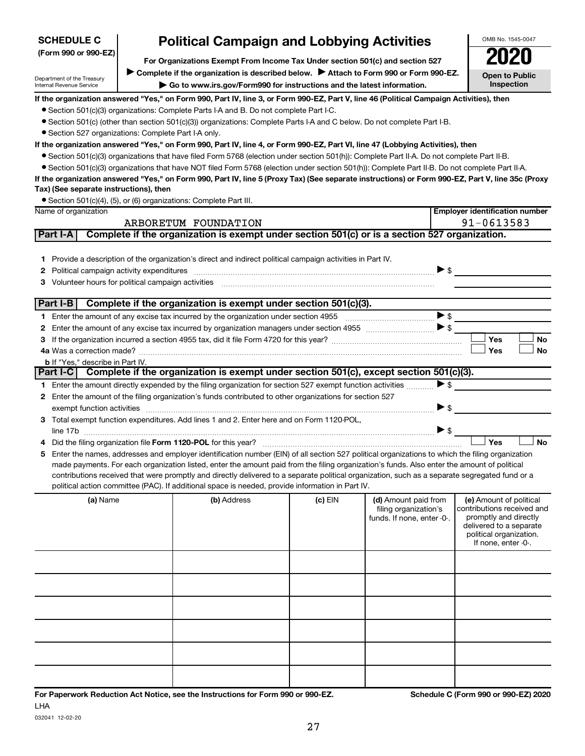| Department of the Treasury<br>Internal Revenue Service  | Complete if the organization is described below. Prediction form \$50 or Form \$50-EZ.<br>$\blacktriangleright$ Go to www.irs.gov/Form990 for instructions and the latest information.                                        |         |                                                                             | <b>Open to Public</b><br>Inspection                                                                                                                         |
|---------------------------------------------------------|-------------------------------------------------------------------------------------------------------------------------------------------------------------------------------------------------------------------------------|---------|-----------------------------------------------------------------------------|-------------------------------------------------------------------------------------------------------------------------------------------------------------|
|                                                         | If the organization answered "Yes," on Form 990, Part IV, line 3, or Form 990-EZ, Part V, line 46 (Political Campaign Activities), then                                                                                       |         |                                                                             |                                                                                                                                                             |
|                                                         | • Section 501(c)(3) organizations: Complete Parts I-A and B. Do not complete Part I-C.                                                                                                                                        |         |                                                                             |                                                                                                                                                             |
|                                                         | • Section 501(c) (other than section 501(c)(3)) organizations: Complete Parts I-A and C below. Do not complete Part I-B.                                                                                                      |         |                                                                             |                                                                                                                                                             |
| • Section 527 organizations: Complete Part I-A only.    |                                                                                                                                                                                                                               |         |                                                                             |                                                                                                                                                             |
|                                                         | If the organization answered "Yes," on Form 990, Part IV, line 4, or Form 990-EZ, Part VI, line 47 (Lobbying Activities), then                                                                                                |         |                                                                             |                                                                                                                                                             |
|                                                         | ● Section 501(c)(3) organizations that have filed Form 5768 (election under section 501(h)): Complete Part II-A. Do not complete Part II-B.                                                                                   |         |                                                                             |                                                                                                                                                             |
|                                                         | • Section 501(c)(3) organizations that have NOT filed Form 5768 (election under section 501(h)): Complete Part II-B. Do not complete Part II-A.                                                                               |         |                                                                             |                                                                                                                                                             |
|                                                         | If the organization answered "Yes," on Form 990, Part IV, line 5 (Proxy Tax) (See separate instructions) or Form 990-EZ, Part V, line 35c (Proxy                                                                              |         |                                                                             |                                                                                                                                                             |
| Tax) (See separate instructions), then                  |                                                                                                                                                                                                                               |         |                                                                             |                                                                                                                                                             |
|                                                         | • Section 501(c)(4), (5), or (6) organizations: Complete Part III.                                                                                                                                                            |         |                                                                             |                                                                                                                                                             |
| Name of organization                                    |                                                                                                                                                                                                                               |         |                                                                             | <b>Employer identification number</b>                                                                                                                       |
|                                                         | ARBORETUM FOUNDATION                                                                                                                                                                                                          |         |                                                                             | 91-0613583                                                                                                                                                  |
| Part I-A                                                | Complete if the organization is exempt under section 501(c) or is a section 527 organization.                                                                                                                                 |         |                                                                             |                                                                                                                                                             |
|                                                         |                                                                                                                                                                                                                               |         |                                                                             |                                                                                                                                                             |
|                                                         | 1 Provide a description of the organization's direct and indirect political campaign activities in Part IV.                                                                                                                   |         |                                                                             |                                                                                                                                                             |
| 2                                                       | Political campaign activity expenditures [11] matter contract to the contract of the contract of the contract of the contract of the contract of the contract of the contract of the contract of the contract of the contract |         | $\triangleright$ \$                                                         |                                                                                                                                                             |
| Volunteer hours for political campaign activities<br>3. |                                                                                                                                                                                                                               |         |                                                                             |                                                                                                                                                             |
| Part I-B                                                | Complete if the organization is exempt under section 501(c)(3).                                                                                                                                                               |         |                                                                             |                                                                                                                                                             |
|                                                         |                                                                                                                                                                                                                               |         | $\blacktriangleright$ \$                                                    |                                                                                                                                                             |
| 2                                                       |                                                                                                                                                                                                                               |         |                                                                             |                                                                                                                                                             |
| З                                                       |                                                                                                                                                                                                                               |         |                                                                             | Yes<br>No                                                                                                                                                   |
|                                                         |                                                                                                                                                                                                                               |         |                                                                             | Yes<br><b>No</b>                                                                                                                                            |
| <b>b</b> If "Yes," describe in Part IV.                 |                                                                                                                                                                                                                               |         |                                                                             |                                                                                                                                                             |
| Part I-C                                                | Complete if the organization is exempt under section 501(c), except section 501(c)(3).                                                                                                                                        |         |                                                                             |                                                                                                                                                             |
|                                                         | 1 Enter the amount directly expended by the filing organization for section 527 exempt function activities                                                                                                                    |         | $\blacktriangleright$ \$                                                    |                                                                                                                                                             |
|                                                         | 2 Enter the amount of the filing organization's funds contributed to other organizations for section 527                                                                                                                      |         |                                                                             |                                                                                                                                                             |
|                                                         | exempt function activities with the content of the content of the content of the content of the content of the                                                                                                                |         | $\blacktriangleright$ \$                                                    |                                                                                                                                                             |
|                                                         | 3 Total exempt function expenditures. Add lines 1 and 2. Enter here and on Form 1120-POL,                                                                                                                                     |         |                                                                             |                                                                                                                                                             |
|                                                         |                                                                                                                                                                                                                               |         | $\blacktriangleright$ \$                                                    |                                                                                                                                                             |
|                                                         |                                                                                                                                                                                                                               |         |                                                                             | Yes<br><b>No</b>                                                                                                                                            |
| 5                                                       | Enter the names, addresses and employer identification number (EIN) of all section 527 political organizations to which the filing organization                                                                               |         |                                                                             |                                                                                                                                                             |
|                                                         | made payments. For each organization listed, enter the amount paid from the filing organization's funds. Also enter the amount of political                                                                                   |         |                                                                             |                                                                                                                                                             |
|                                                         | contributions received that were promptly and directly delivered to a separate political organization, such as a separate segregated fund or a                                                                                |         |                                                                             |                                                                                                                                                             |
|                                                         | political action committee (PAC). If additional space is needed, provide information in Part IV.                                                                                                                              |         |                                                                             |                                                                                                                                                             |
| (a) Name                                                | (b) Address                                                                                                                                                                                                                   | (c) EIN | (d) Amount paid from<br>filing organization's<br>funds. If none, enter -0-. | (e) Amount of political<br>contributions received and<br>promptly and directly<br>delivered to a separate<br>political organization.<br>If none, enter -0-. |
|                                                         |                                                                                                                                                                                                                               |         |                                                                             |                                                                                                                                                             |
|                                                         |                                                                                                                                                                                                                               |         |                                                                             |                                                                                                                                                             |
|                                                         |                                                                                                                                                                                                                               |         |                                                                             |                                                                                                                                                             |
|                                                         |                                                                                                                                                                                                                               |         |                                                                             |                                                                                                                                                             |
|                                                         |                                                                                                                                                                                                                               |         |                                                                             |                                                                                                                                                             |
|                                                         |                                                                                                                                                                                                                               |         |                                                                             |                                                                                                                                                             |
|                                                         |                                                                                                                                                                                                                               |         |                                                                             |                                                                                                                                                             |
|                                                         |                                                                                                                                                                                                                               |         |                                                                             |                                                                                                                                                             |

# **Political Campaign and Lobbying Activities**<br> **Critical Strainis Exempt From Income Tax Under section 501(c) and section 527**

**For Organizations Exempt From Income Tax Under section 501(c) and section 527**

Complete if the organization is described below. <br>
> Attach to Form 990 or Form 990-EZ.

032041 12-02-20

OMB No. 1545-0047

**Open to Public**

| $\left \frac{1}{2}$ SCHEDULE C<br>(Form 990 or 990-EZ) |  |
|--------------------------------------------------------|--|
|                                                        |  |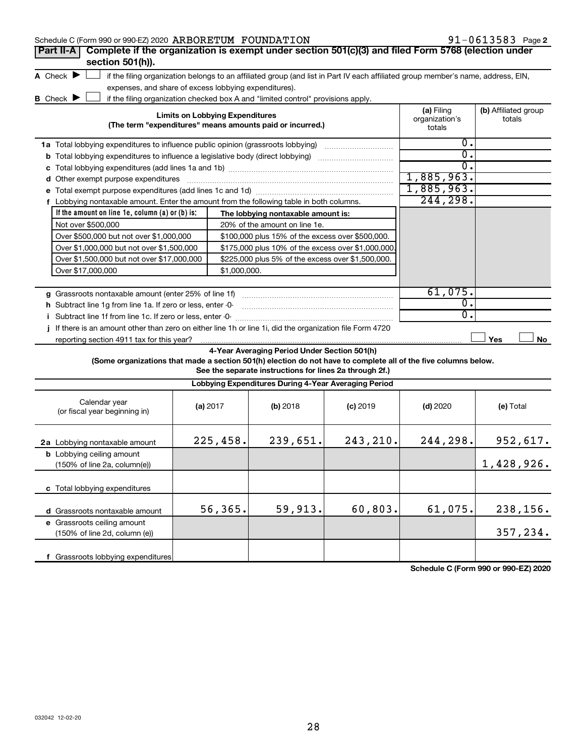| Schedule C (Form 990 or 990-EZ) 2020 ARBORETUM FOUNDATION                                                       |                                                       |                                                                                                                                   |            |                                        | $91 - 0613583$ Page 2          |
|-----------------------------------------------------------------------------------------------------------------|-------------------------------------------------------|-----------------------------------------------------------------------------------------------------------------------------------|------------|----------------------------------------|--------------------------------|
| Complete if the organization is exempt under section 501(c)(3) and filed Form 5768 (election under<br>Part II-A |                                                       |                                                                                                                                   |            |                                        |                                |
| section 501(h)).                                                                                                |                                                       |                                                                                                                                   |            |                                        |                                |
| A Check $\blacktriangleright$                                                                                   |                                                       | if the filing organization belongs to an affiliated group (and list in Part IV each affiliated group member's name, address, EIN, |            |                                        |                                |
|                                                                                                                 | expenses, and share of excess lobbying expenditures). |                                                                                                                                   |            |                                        |                                |
| B Check $\blacktriangleright$                                                                                   |                                                       | if the filing organization checked box A and "limited control" provisions apply.                                                  |            |                                        |                                |
|                                                                                                                 | <b>Limits on Lobbying Expenditures</b>                | (The term "expenditures" means amounts paid or incurred.)                                                                         |            | (a) Filing<br>organization's<br>totals | (b) Affiliated group<br>totals |
| 1a Total lobbying expenditures to influence public opinion (grassroots lobbying)                                |                                                       |                                                                                                                                   |            | $\overline{0}$ .                       |                                |
|                                                                                                                 |                                                       |                                                                                                                                   |            | $\overline{0}$ .                       |                                |
| c                                                                                                               |                                                       |                                                                                                                                   |            | $0$ .                                  |                                |
| d Other exempt purpose expenditures                                                                             |                                                       |                                                                                                                                   |            | 1,885,963.                             |                                |
|                                                                                                                 |                                                       |                                                                                                                                   |            | 1,885,963.                             |                                |
| f Lobbying nontaxable amount. Enter the amount from the following table in both columns.                        |                                                       |                                                                                                                                   |            | 244, 298.                              |                                |
| If the amount on line $1e$ , column $(a)$ or $(b)$ is:                                                          |                                                       | The lobbying nontaxable amount is:                                                                                                |            |                                        |                                |
| Not over \$500,000                                                                                              |                                                       | 20% of the amount on line 1e.                                                                                                     |            |                                        |                                |
| Over \$500,000 but not over \$1,000,000                                                                         |                                                       | \$100,000 plus 15% of the excess over \$500,000.                                                                                  |            |                                        |                                |
| Over \$1,000,000 but not over \$1,500,000                                                                       |                                                       | \$175,000 plus 10% of the excess over \$1,000,000                                                                                 |            |                                        |                                |
| Over \$1,500,000 but not over \$17,000,000                                                                      |                                                       | \$225,000 plus 5% of the excess over \$1,500,000.                                                                                 |            |                                        |                                |
| Over \$17,000,000                                                                                               | \$1,000,000.                                          |                                                                                                                                   |            |                                        |                                |
|                                                                                                                 |                                                       |                                                                                                                                   |            |                                        |                                |
| g Grassroots nontaxable amount (enter 25% of line 1f)                                                           |                                                       |                                                                                                                                   |            | 61,075.                                |                                |
| h Subtract line 1g from line 1a. If zero or less, enter -0-                                                     |                                                       |                                                                                                                                   |            | 0.                                     |                                |
| i Subtract line 1f from line 1c. If zero or less, enter -0-                                                     |                                                       |                                                                                                                                   |            | $\overline{0}$ .                       |                                |
| j If there is an amount other than zero on either line 1h or line 1i, did the organization file Form 4720       |                                                       |                                                                                                                                   |            |                                        |                                |
| reporting section 4911 tax for this year?                                                                       |                                                       |                                                                                                                                   |            |                                        | Yes<br>No                      |
| (Some organizations that made a section 501(h) election do not have to complete all of the five columns below.  |                                                       | 4-Year Averaging Period Under Section 501(h)<br>See the separate instructions for lines 2a through 2f.)                           |            |                                        |                                |
|                                                                                                                 |                                                       | Lobbying Expenditures During 4-Year Averaging Period                                                                              |            |                                        |                                |
| Calendar year<br>(or fiscal year beginning in)                                                                  | (a) 2017                                              | (b) 2018                                                                                                                          | $(c)$ 2019 | $(d)$ 2020                             | (e) Total                      |
| 2a Lobbying nontaxable amount                                                                                   | 225,458.                                              | 239,651.                                                                                                                          | 243,210.   | 244,298.                               | 952,617.                       |
| <b>b</b> Lobbying ceiling amount<br>(150% of line 2a, column(e))                                                |                                                       |                                                                                                                                   |            |                                        | 1,428,926.                     |

**c** Total lobbying expenditures

**d** Grassroots nontaxable amount **e** Grassroots ceiling amount

(150% of line 2d, column (e))

**f** Grassroots lobbying expenditures

 $\begin{array}{|c|c|c|c|c|c|c|c|c|} \hline 56,365. & \quad 59,913. & \quad 60,803. & \quad 61,075. & \quad 238,156. \ \hline \end{array}$ 

**Schedule C (Form 990 or 990-EZ) 2020**

357,234.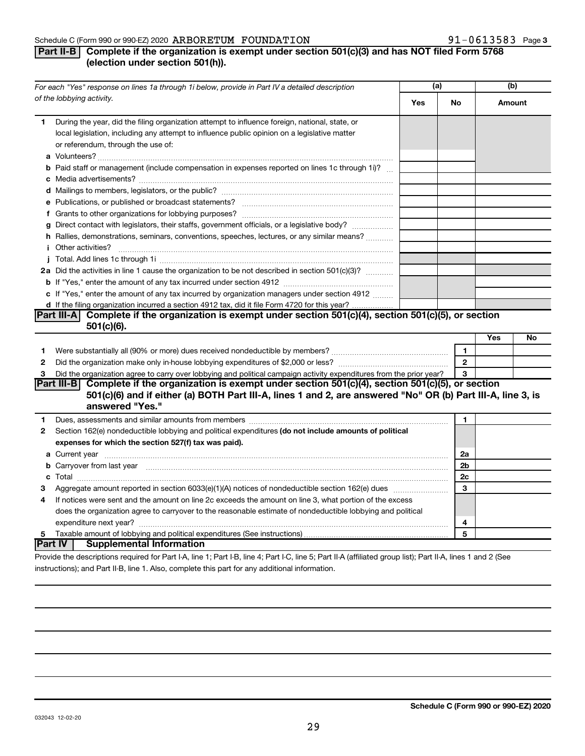#### Schedule C (Form 990 or 990-EZ) 2020 Page ARBORETUM FOUNDATION 91-0613583

## **Part II-B Complete if the organization is exempt under section 501(c)(3) and has NOT filed Form 5768 (election under section 501(h)).**

|              | For each "Yes" response on lines 1a through 1i below, provide in Part IV a detailed description                                                                                                                                                                                                                                                                                                                                                                           | (a) |                | (b)    |    |
|--------------|---------------------------------------------------------------------------------------------------------------------------------------------------------------------------------------------------------------------------------------------------------------------------------------------------------------------------------------------------------------------------------------------------------------------------------------------------------------------------|-----|----------------|--------|----|
|              | of the lobbying activity.                                                                                                                                                                                                                                                                                                                                                                                                                                                 | Yes | No             | Amount |    |
| 1.           | During the year, did the filing organization attempt to influence foreign, national, state, or<br>local legislation, including any attempt to influence public opinion on a legislative matter<br>or referendum, through the use of:                                                                                                                                                                                                                                      |     |                |        |    |
|              | <b>b</b> Paid staff or management (include compensation in expenses reported on lines 1c through 1i)?                                                                                                                                                                                                                                                                                                                                                                     |     |                |        |    |
|              |                                                                                                                                                                                                                                                                                                                                                                                                                                                                           |     |                |        |    |
|              |                                                                                                                                                                                                                                                                                                                                                                                                                                                                           |     |                |        |    |
|              |                                                                                                                                                                                                                                                                                                                                                                                                                                                                           |     |                |        |    |
|              |                                                                                                                                                                                                                                                                                                                                                                                                                                                                           |     |                |        |    |
|              | g Direct contact with legislators, their staffs, government officials, or a legislative body?                                                                                                                                                                                                                                                                                                                                                                             |     |                |        |    |
|              | h Rallies, demonstrations, seminars, conventions, speeches, lectures, or any similar means?                                                                                                                                                                                                                                                                                                                                                                               |     |                |        |    |
|              | <i>i</i> Other activities?<br>$\begin{minipage}{0.5\textwidth} \begin{tabular}{ l l l } \hline \multicolumn{1}{ l l l } \hline \multicolumn{1}{ l l } \multicolumn{1}{ l } \multicolumn{1}{ l } \multicolumn{1}{ l } \multicolumn{1}{ l } \multicolumn{1}{ l } \multicolumn{1}{ l } \multicolumn{1}{ l } \multicolumn{1}{ l } \multicolumn{1}{ l } \multicolumn{1}{ l } \multicolumn{1}{ l } \multicolumn{1}{ l } \multicolumn{1}{ l } \multicolumn{1}{ l } \multicolumn$ |     |                |        |    |
|              |                                                                                                                                                                                                                                                                                                                                                                                                                                                                           |     |                |        |    |
|              | 2a Did the activities in line 1 cause the organization to be not described in section 501(c)(3)?                                                                                                                                                                                                                                                                                                                                                                          |     |                |        |    |
|              |                                                                                                                                                                                                                                                                                                                                                                                                                                                                           |     |                |        |    |
|              | c If "Yes," enter the amount of any tax incurred by organization managers under section 4912                                                                                                                                                                                                                                                                                                                                                                              |     |                |        |    |
|              | d If the filing organization incurred a section 4912 tax, did it file Form 4720 for this year?                                                                                                                                                                                                                                                                                                                                                                            |     |                |        |    |
|              | Part III-A Complete if the organization is exempt under section $501(c)(4)$ , section $501(c)(5)$ , or section                                                                                                                                                                                                                                                                                                                                                            |     |                |        |    |
|              | $501(c)(6)$ .                                                                                                                                                                                                                                                                                                                                                                                                                                                             |     |                |        |    |
|              |                                                                                                                                                                                                                                                                                                                                                                                                                                                                           |     |                | Yes    | No |
| 1            |                                                                                                                                                                                                                                                                                                                                                                                                                                                                           |     | $\mathbf{1}$   |        |    |
| $\mathbf{2}$ |                                                                                                                                                                                                                                                                                                                                                                                                                                                                           |     | $\mathbf{2}$   |        |    |
| 3            | Did the organization agree to carry over lobbying and political campaign activity expenditures from the prior year?                                                                                                                                                                                                                                                                                                                                                       |     | 3              |        |    |
|              | Part III-B Complete if the organization is exempt under section 501(c)(4), section 501(c)(5), or section<br>501(c)(6) and if either (a) BOTH Part III-A, lines 1 and 2, are answered "No" OR (b) Part III-A, line 3, is<br>answered "Yes."                                                                                                                                                                                                                                |     |                |        |    |
| 1            |                                                                                                                                                                                                                                                                                                                                                                                                                                                                           |     | 1              |        |    |
| 2            | Section 162(e) nondeductible lobbying and political expenditures (do not include amounts of political                                                                                                                                                                                                                                                                                                                                                                     |     |                |        |    |
|              | expenses for which the section 527(f) tax was paid).                                                                                                                                                                                                                                                                                                                                                                                                                      |     |                |        |    |
|              |                                                                                                                                                                                                                                                                                                                                                                                                                                                                           |     | 2a             |        |    |
|              | b Carryover from last year manufactured and content to content the content of the content of the content of the content of the content of the content of the content of the content of the content of the content of the conte                                                                                                                                                                                                                                            |     | 2 <sub>b</sub> |        |    |
|              |                                                                                                                                                                                                                                                                                                                                                                                                                                                                           |     | 2c             |        |    |
| 3            |                                                                                                                                                                                                                                                                                                                                                                                                                                                                           |     | 3              |        |    |
| 4            | If notices were sent and the amount on line 2c exceeds the amount on line 3, what portion of the excess                                                                                                                                                                                                                                                                                                                                                                   |     |                |        |    |
|              | does the organization agree to carryover to the reasonable estimate of nondeductible lobbying and political                                                                                                                                                                                                                                                                                                                                                               |     |                |        |    |
|              |                                                                                                                                                                                                                                                                                                                                                                                                                                                                           |     | 4              |        |    |
| 5            |                                                                                                                                                                                                                                                                                                                                                                                                                                                                           |     | 5              |        |    |
|              | Part IV<br><b>Supplemental Information</b>                                                                                                                                                                                                                                                                                                                                                                                                                                |     |                |        |    |
|              | Provide the descriptions required for Part I-A, line 1; Part I-B, line 4; Part I-C, line 5; Part II-A (affiliated group list); Part II-A, lines 1 and 2 (See                                                                                                                                                                                                                                                                                                              |     |                |        |    |

instructions); and Part II-B, line 1. Also, complete this part for any additional information.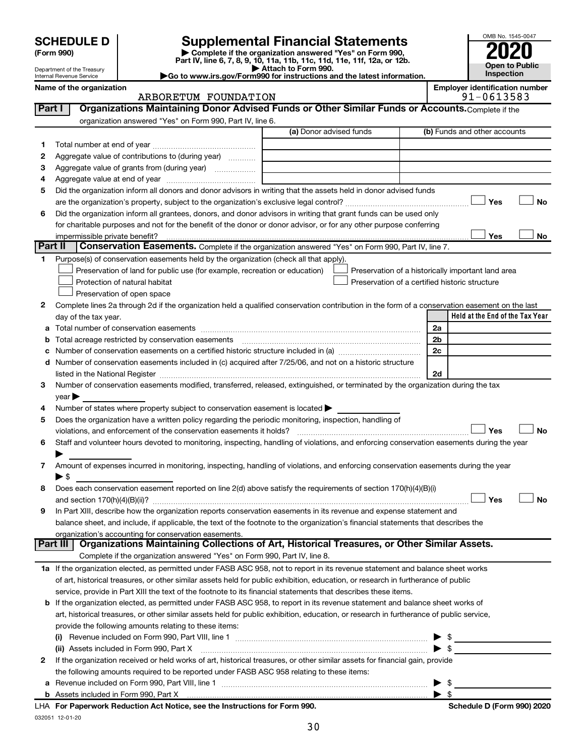| <b>SCHEDULE D</b> |
|-------------------|
|-------------------|

# **SCHEDULE D Supplemental Financial Statements**<br> **Form 990 2020**<br> **Part IV** line 6.7.8.9.10, 11a, 11b, 11d, 11d, 11d, 11d, 11d, 12a, 0r, 12b

**(Form 990) | Complete if the organization answered "Yes" on Form 990, Part IV, line 6, 7, 8, 9, 10, 11a, 11b, 11c, 11d, 11e, 11f, 12a, or 12b.**

**| Attach to Form 990. |Go to www.irs.gov/Form990 for instructions and the latest information.**



Department of the Treasury Internal Revenue Service **Name of the organization <b>Employer is a set of the organization Employer in the organization Employer is a set of the organization Employer in the organization Employer is a set of the organization Employer in t** 

|                     |  |  | ployer identification number |
|---------------------|--|--|------------------------------|
| $0.1$ $0.71$ $0.70$ |  |  |                              |

**Schedule D (Form 990) 2020** 

|         | ARBORETUM FOUNDATION                                                                                                                                                                                                                                |                         | 91-0613583                                         |
|---------|-----------------------------------------------------------------------------------------------------------------------------------------------------------------------------------------------------------------------------------------------------|-------------------------|----------------------------------------------------|
| Part I  | Organizations Maintaining Donor Advised Funds or Other Similar Funds or Accounts. Complete if the                                                                                                                                                   |                         |                                                    |
|         | organization answered "Yes" on Form 990, Part IV, line 6.                                                                                                                                                                                           |                         |                                                    |
|         |                                                                                                                                                                                                                                                     | (a) Donor advised funds | (b) Funds and other accounts                       |
| 1       |                                                                                                                                                                                                                                                     |                         |                                                    |
| 2       | Aggregate value of contributions to (during year)                                                                                                                                                                                                   |                         |                                                    |
| З       | Aggregate value of grants from (during year)                                                                                                                                                                                                        |                         |                                                    |
| 4       |                                                                                                                                                                                                                                                     |                         |                                                    |
| 5       | Did the organization inform all donors and donor advisors in writing that the assets held in donor advised funds                                                                                                                                    |                         |                                                    |
|         |                                                                                                                                                                                                                                                     |                         | Yes<br>No                                          |
| 6       | Did the organization inform all grantees, donors, and donor advisors in writing that grant funds can be used only                                                                                                                                   |                         |                                                    |
|         | for charitable purposes and not for the benefit of the donor or donor advisor, or for any other purpose conferring                                                                                                                                  |                         |                                                    |
|         |                                                                                                                                                                                                                                                     |                         | Yes<br>No                                          |
| Part II | Conservation Easements. Complete if the organization answered "Yes" on Form 990, Part IV, line 7.                                                                                                                                                   |                         |                                                    |
|         |                                                                                                                                                                                                                                                     |                         |                                                    |
| 1       | Purpose(s) of conservation easements held by the organization (check all that apply).                                                                                                                                                               |                         |                                                    |
|         | Preservation of land for public use (for example, recreation or education)                                                                                                                                                                          |                         | Preservation of a historically important land area |
|         | Protection of natural habitat                                                                                                                                                                                                                       |                         | Preservation of a certified historic structure     |
|         | Preservation of open space                                                                                                                                                                                                                          |                         |                                                    |
| 2       | Complete lines 2a through 2d if the organization held a qualified conservation contribution in the form of a conservation easement on the last                                                                                                      |                         |                                                    |
|         | day of the tax year.                                                                                                                                                                                                                                |                         | Held at the End of the Tax Year                    |
|         |                                                                                                                                                                                                                                                     |                         | 2a                                                 |
| b       | Total acreage restricted by conservation easements                                                                                                                                                                                                  |                         | 2b                                                 |
| с       |                                                                                                                                                                                                                                                     |                         | 2c                                                 |
|         | d Number of conservation easements included in (c) acquired after 7/25/06, and not on a historic structure                                                                                                                                          |                         |                                                    |
|         | listed in the National Register [111] [12] The Mational Register [11] All and the Mation of The Mational Register [11] All and the Mation of The Mation of The Mation of The Mation of The Mation of The Mation of The Mation                       |                         | 2d                                                 |
| 3       | Number of conservation easements modified, transferred, released, extinguished, or terminated by the organization during the tax                                                                                                                    |                         |                                                    |
|         | $year \triangleright$                                                                                                                                                                                                                               |                         |                                                    |
| 4       | Number of states where property subject to conservation easement is located >                                                                                                                                                                       |                         |                                                    |
| 5       | Does the organization have a written policy regarding the periodic monitoring, inspection, handling of                                                                                                                                              |                         |                                                    |
|         | violations, and enforcement of the conservation easements it holds?                                                                                                                                                                                 |                         | Yes<br>No                                          |
| 6       | Staff and volunteer hours devoted to monitoring, inspecting, handling of violations, and enforcing conservation easements during the year                                                                                                           |                         |                                                    |
|         |                                                                                                                                                                                                                                                     |                         |                                                    |
| 7       | Amount of expenses incurred in monitoring, inspecting, handling of violations, and enforcing conservation easements during the year                                                                                                                 |                         |                                                    |
|         | $\blacktriangleright$ \$                                                                                                                                                                                                                            |                         |                                                    |
| 8       | Does each conservation easement reported on line 2(d) above satisfy the requirements of section 170(h)(4)(B)(i)                                                                                                                                     |                         |                                                    |
|         |                                                                                                                                                                                                                                                     |                         | Yes<br>No                                          |
| 9       | In Part XIII, describe how the organization reports conservation easements in its revenue and expense statement and                                                                                                                                 |                         |                                                    |
|         | balance sheet, and include, if applicable, the text of the footnote to the organization's financial statements that describes the                                                                                                                   |                         |                                                    |
|         | organization's accounting for conservation easements.<br>Organizations Maintaining Collections of Art, Historical Treasures, or Other Similar Assets.                                                                                               |                         |                                                    |
|         | Part III<br>Complete if the organization answered "Yes" on Form 990, Part IV, line 8.                                                                                                                                                               |                         |                                                    |
|         |                                                                                                                                                                                                                                                     |                         |                                                    |
|         | 1a If the organization elected, as permitted under FASB ASC 958, not to report in its revenue statement and balance sheet works                                                                                                                     |                         |                                                    |
|         | of art, historical treasures, or other similar assets held for public exhibition, education, or research in furtherance of public<br>service, provide in Part XIII the text of the footnote to its financial statements that describes these items. |                         |                                                    |
|         |                                                                                                                                                                                                                                                     |                         |                                                    |
|         | <b>b</b> If the organization elected, as permitted under FASB ASC 958, to report in its revenue statement and balance sheet works of                                                                                                                |                         |                                                    |
|         | art, historical treasures, or other similar assets held for public exhibition, education, or research in furtherance of public service,                                                                                                             |                         |                                                    |
|         | provide the following amounts relating to these items:                                                                                                                                                                                              |                         |                                                    |
|         | (i)                                                                                                                                                                                                                                                 |                         | - \$                                               |
|         | (ii) Assets included in Form 990, Part X                                                                                                                                                                                                            |                         | $\blacktriangleright$ \$                           |
| 2       | If the organization received or held works of art, historical treasures, or other similar assets for financial gain, provide                                                                                                                        |                         |                                                    |
|         | the following amounts required to be reported under FASB ASC 958 relating to these items:                                                                                                                                                           |                         |                                                    |
| а       |                                                                                                                                                                                                                                                     |                         | - \$                                               |
|         |                                                                                                                                                                                                                                                     |                         | $\blacktriangleright$ s                            |

| LHA For Paperwork Reduction Act Notice, see the Instructions for Form 990. |
|----------------------------------------------------------------------------|
| 032051 12-01-20                                                            |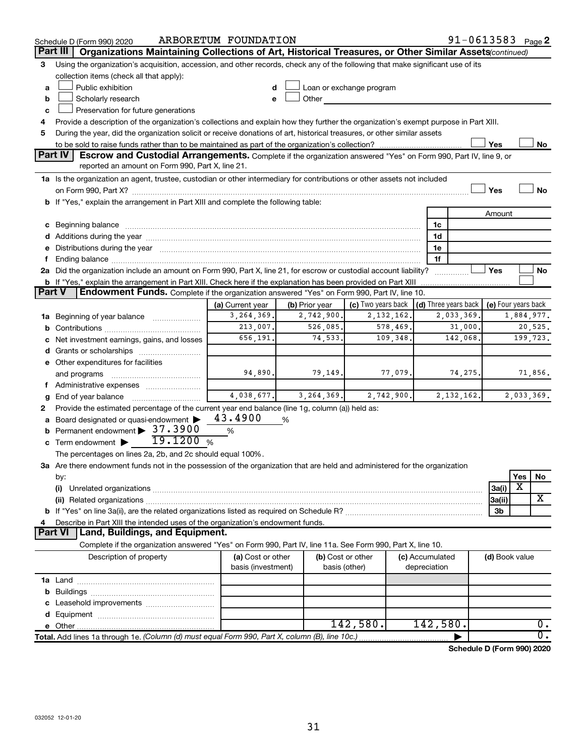|   | Schedule D (Form 990) 2020                                                                                                                                                                                                            | ARBORETUM FOUNDATION |                |                          |                 | $91 - 0613583$ Page 2                |                     |            |                  |
|---|---------------------------------------------------------------------------------------------------------------------------------------------------------------------------------------------------------------------------------------|----------------------|----------------|--------------------------|-----------------|--------------------------------------|---------------------|------------|------------------|
|   | Part III<br>Organizations Maintaining Collections of Art, Historical Treasures, or Other Similar Assets (continued)                                                                                                                   |                      |                |                          |                 |                                      |                     |            |                  |
| 3 | Using the organization's acquisition, accession, and other records, check any of the following that make significant use of its                                                                                                       |                      |                |                          |                 |                                      |                     |            |                  |
|   | collection items (check all that apply):                                                                                                                                                                                              |                      |                |                          |                 |                                      |                     |            |                  |
| a | Public exhibition                                                                                                                                                                                                                     |                      |                | Loan or exchange program |                 |                                      |                     |            |                  |
| b | Scholarly research                                                                                                                                                                                                                    |                      | Other          |                          |                 |                                      |                     |            |                  |
| с | Preservation for future generations                                                                                                                                                                                                   |                      |                |                          |                 |                                      |                     |            |                  |
| 4 | Provide a description of the organization's collections and explain how they further the organization's exempt purpose in Part XIII.                                                                                                  |                      |                |                          |                 |                                      |                     |            |                  |
| 5 | During the year, did the organization solicit or receive donations of art, historical treasures, or other similar assets                                                                                                              |                      |                |                          |                 |                                      |                     |            |                  |
|   |                                                                                                                                                                                                                                       |                      |                |                          |                 |                                      | Yes                 |            | No               |
|   | Part IV<br><b>Escrow and Custodial Arrangements.</b> Complete if the organization answered "Yes" on Form 990, Part IV, line 9, or                                                                                                     |                      |                |                          |                 |                                      |                     |            |                  |
|   | reported an amount on Form 990, Part X, line 21.                                                                                                                                                                                      |                      |                |                          |                 |                                      |                     |            |                  |
|   | 1a Is the organization an agent, trustee, custodian or other intermediary for contributions or other assets not included                                                                                                              |                      |                |                          |                 |                                      |                     |            |                  |
|   |                                                                                                                                                                                                                                       |                      |                |                          |                 |                                      | Yes                 |            | No               |
|   | b If "Yes," explain the arrangement in Part XIII and complete the following table:                                                                                                                                                    |                      |                |                          |                 |                                      |                     |            |                  |
|   |                                                                                                                                                                                                                                       |                      |                |                          |                 |                                      | Amount              |            |                  |
|   | c Beginning balance Manual Communication and the contract of the contract of the contract of the contract of the contract of the contract of the contract of the contract of the contract of the contract of the contract of t        |                      |                |                          | 1c              |                                      |                     |            |                  |
|   |                                                                                                                                                                                                                                       |                      |                |                          | 1d              |                                      |                     |            |                  |
|   | e Distributions during the year manufactured and continuum and contained and the year manufactured and contained and the year manufactured and contained and contained and contained and contained and contained and contained        |                      |                |                          | 1e              |                                      |                     |            |                  |
|   |                                                                                                                                                                                                                                       |                      |                |                          | 1f              |                                      |                     |            |                  |
|   | 2a Did the organization include an amount on Form 990, Part X, line 21, for escrow or custodial account liability?                                                                                                                    |                      |                |                          |                 | .                                    | Yes                 |            | No               |
|   | <b>b</b> If "Yes," explain the arrangement in Part XIII. Check here if the explanation has been provided on Part XIII<br>Endowment Funds. Complete if the organization answered "Yes" on Form 990, Part IV, line 10.<br><b>Part V</b> |                      |                |                          |                 |                                      |                     |            |                  |
|   |                                                                                                                                                                                                                                       | (a) Current year     | (b) Prior year | (c) Two years back       |                 | $\vert$ (d) Three years back $\vert$ | (e) Four years back |            |                  |
|   | <b>1a</b> Beginning of year balance <i>manument</i>                                                                                                                                                                                   | 3,264,369.           | 2,742,900.     | 2, 132, 162.             |                 | 2,033,369.                           |                     | 1,884,977. |                  |
|   |                                                                                                                                                                                                                                       | 213,007.             | 526,085.       | 578,469.                 |                 | 31,000.                              |                     |            | 20,525.          |
|   | c Net investment earnings, gains, and losses                                                                                                                                                                                          | 656,191.             | 74,533.        | 109,348.                 |                 | 142,068.                             |                     |            | 199,723.         |
|   | <b>d</b> Grants or scholarships <i></i>                                                                                                                                                                                               |                      |                |                          |                 |                                      |                     |            |                  |
|   | e Other expenditures for facilities                                                                                                                                                                                                   |                      |                |                          |                 |                                      |                     |            |                  |
|   | and programs                                                                                                                                                                                                                          | 94,890.              | 79, 149.       | 77,079.                  |                 | 74, 275.                             |                     |            | 71,856.          |
|   | f Administrative expenses                                                                                                                                                                                                             |                      |                |                          |                 |                                      |                     |            |                  |
|   | <b>g</b> End of year balance $\ldots$                                                                                                                                                                                                 | 4,038,677.           | 3, 264, 369.   | 2,742,900.               |                 | 2,132,162.                           |                     | 2,033,369. |                  |
| 2 | Provide the estimated percentage of the current year end balance (line 1g, column (a)) held as:                                                                                                                                       |                      |                |                          |                 |                                      |                     |            |                  |
|   | a Board designated or quasi-endowment >                                                                                                                                                                                               | 43.4900              | %              |                          |                 |                                      |                     |            |                  |
|   | <b>b</b> Permanent endowment > 37.3900                                                                                                                                                                                                | $\%$                 |                |                          |                 |                                      |                     |            |                  |
|   | 19.1200%<br>c Term endowment $\blacktriangleright$                                                                                                                                                                                    |                      |                |                          |                 |                                      |                     |            |                  |
|   | The percentages on lines 2a, 2b, and 2c should equal 100%.                                                                                                                                                                            |                      |                |                          |                 |                                      |                     |            |                  |
|   | 3a Are there endowment funds not in the possession of the organization that are held and administered for the organization                                                                                                            |                      |                |                          |                 |                                      |                     |            |                  |
|   | by:                                                                                                                                                                                                                                   |                      |                |                          |                 |                                      |                     | Yes        | No               |
|   | (i)                                                                                                                                                                                                                                   |                      |                |                          |                 |                                      | 3a(i)               | х          |                  |
|   |                                                                                                                                                                                                                                       |                      |                |                          |                 |                                      | 3a(ii)              |            | x                |
|   |                                                                                                                                                                                                                                       |                      |                |                          |                 |                                      | 3b                  |            |                  |
| 4 | Describe in Part XIII the intended uses of the organization's endowment funds.                                                                                                                                                        |                      |                |                          |                 |                                      |                     |            |                  |
|   | Land, Buildings, and Equipment.<br><b>Part VI</b>                                                                                                                                                                                     |                      |                |                          |                 |                                      |                     |            |                  |
|   | Complete if the organization answered "Yes" on Form 990, Part IV, line 11a. See Form 990, Part X, line 10.                                                                                                                            |                      |                |                          |                 |                                      |                     |            |                  |
|   | Description of property                                                                                                                                                                                                               | (a) Cost or other    |                | (b) Cost or other        | (c) Accumulated |                                      | (d) Book value      |            |                  |
|   |                                                                                                                                                                                                                                       | basis (investment)   |                | basis (other)            | depreciation    |                                      |                     |            |                  |
|   |                                                                                                                                                                                                                                       |                      |                |                          |                 |                                      |                     |            |                  |
| b |                                                                                                                                                                                                                                       |                      |                |                          |                 |                                      |                     |            |                  |
|   |                                                                                                                                                                                                                                       |                      |                |                          |                 |                                      |                     |            |                  |
|   |                                                                                                                                                                                                                                       |                      |                |                          |                 |                                      |                     |            |                  |
|   |                                                                                                                                                                                                                                       |                      |                | 142,580.                 | 142,580.        |                                      |                     |            | 0.               |
|   | Total. Add lines 1a through 1e. (Column (d) must equal Form 990, Part X, column (B), line 10c.)                                                                                                                                       |                      |                |                          |                 |                                      |                     |            | $\overline{0}$ . |

**Schedule D (Form 990) 2020**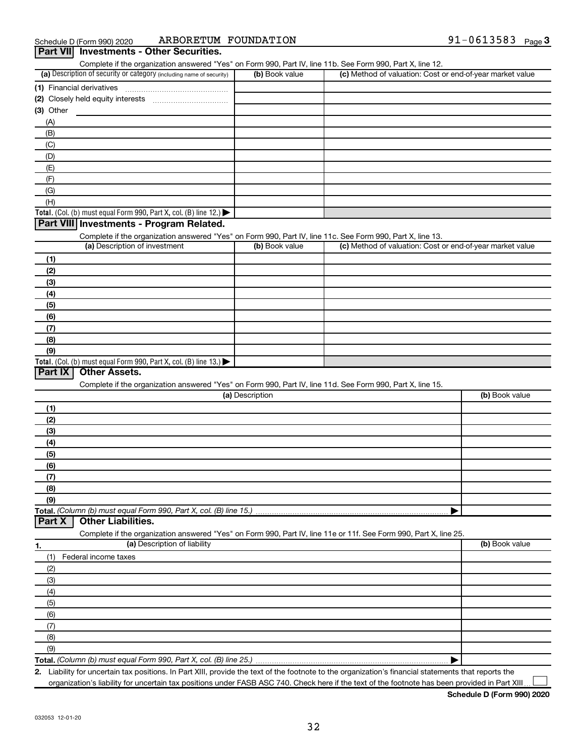| (a) Description of security or category (including name of security)                                              | (b) Book value  | (c) Method of valuation: Cost or end-of-year market value |                |
|-------------------------------------------------------------------------------------------------------------------|-----------------|-----------------------------------------------------------|----------------|
| (1) Financial derivatives                                                                                         |                 |                                                           |                |
|                                                                                                                   |                 |                                                           |                |
| $(3)$ Other                                                                                                       |                 |                                                           |                |
| (A)                                                                                                               |                 |                                                           |                |
| (B)                                                                                                               |                 |                                                           |                |
|                                                                                                                   |                 |                                                           |                |
| (C)                                                                                                               |                 |                                                           |                |
| (D)                                                                                                               |                 |                                                           |                |
| (E)                                                                                                               |                 |                                                           |                |
| (F)                                                                                                               |                 |                                                           |                |
| (G)                                                                                                               |                 |                                                           |                |
| (H)                                                                                                               |                 |                                                           |                |
| Total. (Col. (b) must equal Form 990, Part X, col. (B) line 12.)                                                  |                 |                                                           |                |
| Part VIII Investments - Program Related.                                                                          |                 |                                                           |                |
| Complete if the organization answered "Yes" on Form 990, Part IV, line 11c. See Form 990, Part X, line 13.        |                 |                                                           |                |
| (a) Description of investment                                                                                     | (b) Book value  | (c) Method of valuation: Cost or end-of-year market value |                |
| (1)                                                                                                               |                 |                                                           |                |
| (2)                                                                                                               |                 |                                                           |                |
|                                                                                                                   |                 |                                                           |                |
| (3)                                                                                                               |                 |                                                           |                |
| (4)                                                                                                               |                 |                                                           |                |
| (5)                                                                                                               |                 |                                                           |                |
| (6)                                                                                                               |                 |                                                           |                |
| (7)                                                                                                               |                 |                                                           |                |
| (8)                                                                                                               |                 |                                                           |                |
| (9)                                                                                                               |                 |                                                           |                |
| Total. (Col. (b) must equal Form 990, Part X, col. (B) line 13.) $\blacktriangleright$                            |                 |                                                           |                |
| Part IX<br><b>Other Assets.</b>                                                                                   |                 |                                                           |                |
| Complete if the organization answered "Yes" on Form 990, Part IV, line 11d. See Form 990, Part X, line 15.        |                 |                                                           |                |
|                                                                                                                   | (a) Description |                                                           | (b) Book value |
| (1)                                                                                                               |                 |                                                           |                |
|                                                                                                                   |                 |                                                           |                |
|                                                                                                                   |                 |                                                           |                |
| (2)                                                                                                               |                 |                                                           |                |
| (3)                                                                                                               |                 |                                                           |                |
| (4)                                                                                                               |                 |                                                           |                |
| (5)                                                                                                               |                 |                                                           |                |
| (6)                                                                                                               |                 |                                                           |                |
| (7)                                                                                                               |                 |                                                           |                |
| (8)                                                                                                               |                 |                                                           |                |
| (9)                                                                                                               |                 |                                                           |                |
| Total. (Column (b) must equal Form 990, Part X, col. (B) line 15.)                                                |                 |                                                           |                |
| <b>Other Liabilities.</b><br>Part X                                                                               |                 |                                                           |                |
|                                                                                                                   |                 |                                                           |                |
| Complete if the organization answered "Yes" on Form 990, Part IV, line 11e or 11f. See Form 990, Part X, line 25. |                 |                                                           |                |
| (a) Description of liability<br>1.                                                                                |                 |                                                           | (b) Book value |
| Federal income taxes<br>(1)                                                                                       |                 |                                                           |                |
| (2)                                                                                                               |                 |                                                           |                |
| (3)                                                                                                               |                 |                                                           |                |
| (4)                                                                                                               |                 |                                                           |                |
| (5)                                                                                                               |                 |                                                           |                |
| (6)                                                                                                               |                 |                                                           |                |
| (7)                                                                                                               |                 |                                                           |                |
| (8)                                                                                                               |                 |                                                           |                |
| (9)                                                                                                               |                 |                                                           |                |

Complete if the organization answered "Yes" on Form 990, Part IV, line 11b. See Form 990, Part X, line 12.

**2.** Liability for uncertain tax positions. In Part XIII, provide the text of the footnote to the organization's financial statements that reports the organization's liability for uncertain tax positions under FASB ASC 740. Check here if the text of the footnote has been provided in Part XIII  $\perp$ 

**Schedule D (Form 990) 2020**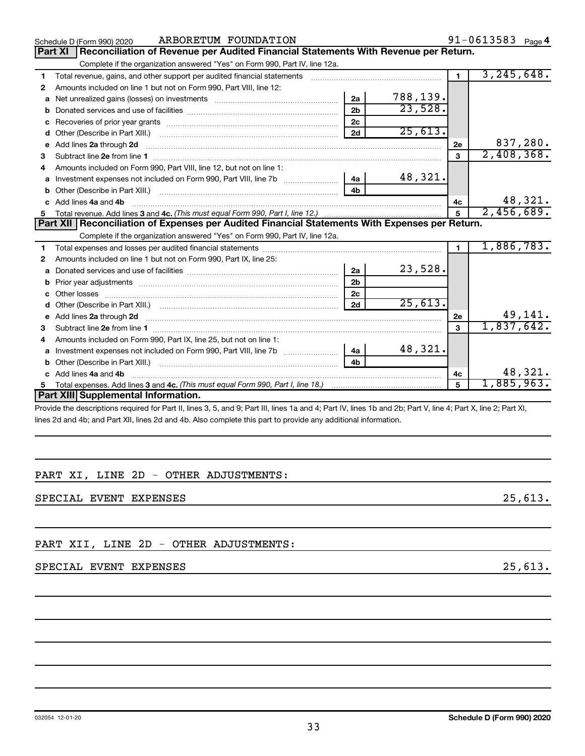|   | ARBORETUM FOUNDATION<br>Schedule D (Form 990) 2020                                                                                                                                                                                   |                |          |                | 91-0613583 $_{Page 4}$      |
|---|--------------------------------------------------------------------------------------------------------------------------------------------------------------------------------------------------------------------------------------|----------------|----------|----------------|-----------------------------|
|   | Reconciliation of Revenue per Audited Financial Statements With Revenue per Return.<br>Part XI                                                                                                                                       |                |          |                |                             |
|   | Complete if the organization answered "Yes" on Form 990, Part IV, line 12a.                                                                                                                                                          |                |          |                |                             |
| 1 | Total revenue, gains, and other support per audited financial statements                                                                                                                                                             |                |          | $\blacksquare$ | 3, 245, 648.                |
| 2 | Amounts included on line 1 but not on Form 990, Part VIII, line 12:                                                                                                                                                                  |                |          |                |                             |
| a |                                                                                                                                                                                                                                      | 2a             | 788,139. |                |                             |
|   |                                                                                                                                                                                                                                      | 2 <sub>h</sub> | 23,528.  |                |                             |
|   |                                                                                                                                                                                                                                      | 2 <sub>c</sub> |          |                |                             |
| d |                                                                                                                                                                                                                                      | 2d             | 25,613.  |                |                             |
| е | Add lines 2a through 2d                                                                                                                                                                                                              |                |          | 2е             | 837,280.                    |
| З |                                                                                                                                                                                                                                      |                |          | $\mathbf{3}$   | 2,408,368.                  |
| 4 | Amounts included on Form 990, Part VIII, line 12, but not on line 1:                                                                                                                                                                 |                |          |                |                             |
| a | Investment expenses not included on Form 990, Part VIII, line 7b [100] [200] 4a                                                                                                                                                      |                | 48,321.  |                |                             |
|   |                                                                                                                                                                                                                                      | 4b             |          |                |                             |
|   | c Add lines 4a and 4b                                                                                                                                                                                                                |                |          | 4c             | 48,321.                     |
|   |                                                                                                                                                                                                                                      |                |          | 5              | 2,456,689.                  |
|   |                                                                                                                                                                                                                                      |                |          |                |                             |
|   | Part XII   Reconciliation of Expenses per Audited Financial Statements With Expenses per Return.                                                                                                                                     |                |          |                |                             |
|   | Complete if the organization answered "Yes" on Form 990, Part IV, line 12a.                                                                                                                                                          |                |          |                |                             |
| 1 |                                                                                                                                                                                                                                      |                |          | $\mathbf{1}$   | 1,886,783.                  |
| 2 | Amounts included on line 1 but not on Form 990, Part IX, line 25:                                                                                                                                                                    |                |          |                |                             |
| a |                                                                                                                                                                                                                                      | 2a             | 23,528.  |                |                             |
| b |                                                                                                                                                                                                                                      | 2 <sub>b</sub> |          |                |                             |
|   |                                                                                                                                                                                                                                      | 2c             |          |                |                             |
| d |                                                                                                                                                                                                                                      | 2d             | 25,613.  |                |                             |
| e |                                                                                                                                                                                                                                      |                |          | 2e             |                             |
| з | Add lines 2a through 2d <b>continuum continuum contract and all the contract of the contract of the contract of the contract of the contract of the contract of the contract of the contract of the contract of the contract of </b> |                |          | $\mathbf{a}$   | $\frac{49,141}{1,837,642.}$ |
| 4 | Amounts included on Form 990, Part IX, line 25, but not on line 1:                                                                                                                                                                   |                |          |                |                             |
| a | Investment expenses not included on Form 990, Part VIII, line 7b [100] [100] [100] [100] [100] [100] [100] [10                                                                                                                       | 4a             | 48,321.  |                |                             |
|   | Other (Describe in Part XIII.)                                                                                                                                                                                                       | 4 <sub>b</sub> |          |                |                             |
|   | Add lines 4a and 4b                                                                                                                                                                                                                  |                |          | 4c             | 48,321.                     |
| 5 |                                                                                                                                                                                                                                      |                |          | 5              | 1,885,963.                  |
|   | Part XIII Supplemental Information.                                                                                                                                                                                                  |                |          |                |                             |

Provide the descriptions required for Part II, lines 3, 5, and 9; Part III, lines 1a and 4; Part IV, lines 1b and 2b; Part V, line 4; Part X, line 2; Part XI, lines 2d and 4b; and Part XII, lines 2d and 4b. Also complete this part to provide any additional information.

## PART XI, LINE 2D - OTHER ADJUSTMENTS:

SPECIAL EVENT EXPENSES 25,613.

PART XII, LINE 2D - OTHER ADJUSTMENTS:

## SPECIAL EVENT EXPENSES 25,613.

91-0613583 Page 4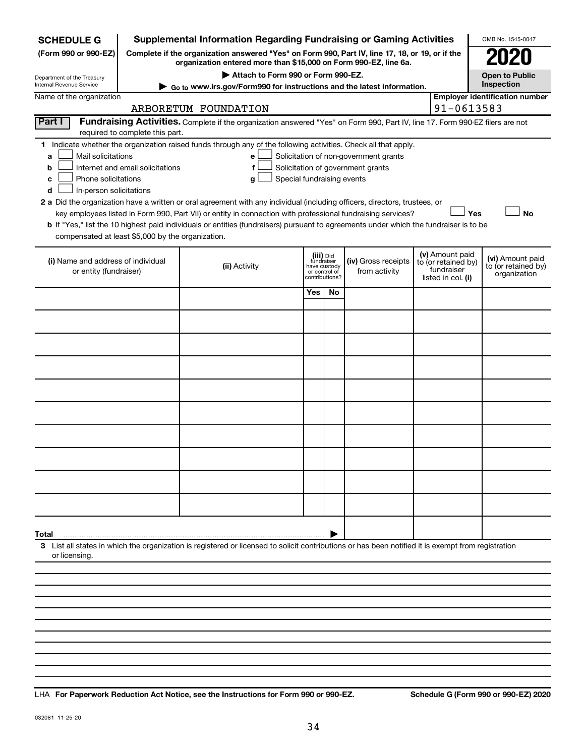| Complete if the organization answered "Yes" on Form 990, Part IV, line 17, 18, or 19, or if the<br>(Form 990 or 990-EZ)<br>organization entered more than \$15,000 on Form 990-EZ, line 6a.<br>Attach to Form 990 or Form 990-EZ.<br>Open to Public<br>Department of the Treasury<br>Inspection<br>Internal Revenue Service<br>Go to www.irs.gov/Form990 for instructions and the latest information.<br><b>Employer identification number</b><br>Name of the organization<br>91-0613583<br>ARBORETUM FOUNDATION |  |  |  |  |  |  |  |  |  |
|------------------------------------------------------------------------------------------------------------------------------------------------------------------------------------------------------------------------------------------------------------------------------------------------------------------------------------------------------------------------------------------------------------------------------------------------------------------------------------------------------------------|--|--|--|--|--|--|--|--|--|
|                                                                                                                                                                                                                                                                                                                                                                                                                                                                                                                  |  |  |  |  |  |  |  |  |  |
|                                                                                                                                                                                                                                                                                                                                                                                                                                                                                                                  |  |  |  |  |  |  |  |  |  |
|                                                                                                                                                                                                                                                                                                                                                                                                                                                                                                                  |  |  |  |  |  |  |  |  |  |
|                                                                                                                                                                                                                                                                                                                                                                                                                                                                                                                  |  |  |  |  |  |  |  |  |  |
| Part I<br>Fundraising Activities. Complete if the organization answered "Yes" on Form 990, Part IV, line 17. Form 990-EZ filers are not                                                                                                                                                                                                                                                                                                                                                                          |  |  |  |  |  |  |  |  |  |
| required to complete this part.                                                                                                                                                                                                                                                                                                                                                                                                                                                                                  |  |  |  |  |  |  |  |  |  |
| 1 Indicate whether the organization raised funds through any of the following activities. Check all that apply.                                                                                                                                                                                                                                                                                                                                                                                                  |  |  |  |  |  |  |  |  |  |
| Mail solicitations<br>Solicitation of non-government grants<br>a<br>e<br>Internet and email solicitations<br>Solicitation of government grants<br>f<br>b                                                                                                                                                                                                                                                                                                                                                         |  |  |  |  |  |  |  |  |  |
| Phone solicitations<br>Special fundraising events<br>с<br>g                                                                                                                                                                                                                                                                                                                                                                                                                                                      |  |  |  |  |  |  |  |  |  |
| In-person solicitations<br>d                                                                                                                                                                                                                                                                                                                                                                                                                                                                                     |  |  |  |  |  |  |  |  |  |
| 2 a Did the organization have a written or oral agreement with any individual (including officers, directors, trustees, or                                                                                                                                                                                                                                                                                                                                                                                       |  |  |  |  |  |  |  |  |  |
| key employees listed in Form 990, Part VII) or entity in connection with professional fundraising services?<br>Yes<br>No                                                                                                                                                                                                                                                                                                                                                                                         |  |  |  |  |  |  |  |  |  |
| b If "Yes," list the 10 highest paid individuals or entities (fundraisers) pursuant to agreements under which the fundraiser is to be<br>compensated at least \$5,000 by the organization.                                                                                                                                                                                                                                                                                                                       |  |  |  |  |  |  |  |  |  |
|                                                                                                                                                                                                                                                                                                                                                                                                                                                                                                                  |  |  |  |  |  |  |  |  |  |
| (v) Amount paid<br>(iii) Did<br>fundraiser<br>(vi) Amount paid<br>(i) Name and address of individual<br>(iv) Gross receipts<br>to (or retained by)                                                                                                                                                                                                                                                                                                                                                               |  |  |  |  |  |  |  |  |  |
| to (or retained by)<br>(ii) Activity<br>have custody<br>fundraiser<br>or entity (fundraiser)<br>from activity<br>or control of<br>organization<br>contributions?<br>listed in col. (i)                                                                                                                                                                                                                                                                                                                           |  |  |  |  |  |  |  |  |  |
| Yes<br>No                                                                                                                                                                                                                                                                                                                                                                                                                                                                                                        |  |  |  |  |  |  |  |  |  |
|                                                                                                                                                                                                                                                                                                                                                                                                                                                                                                                  |  |  |  |  |  |  |  |  |  |
|                                                                                                                                                                                                                                                                                                                                                                                                                                                                                                                  |  |  |  |  |  |  |  |  |  |
|                                                                                                                                                                                                                                                                                                                                                                                                                                                                                                                  |  |  |  |  |  |  |  |  |  |
|                                                                                                                                                                                                                                                                                                                                                                                                                                                                                                                  |  |  |  |  |  |  |  |  |  |
|                                                                                                                                                                                                                                                                                                                                                                                                                                                                                                                  |  |  |  |  |  |  |  |  |  |
|                                                                                                                                                                                                                                                                                                                                                                                                                                                                                                                  |  |  |  |  |  |  |  |  |  |
|                                                                                                                                                                                                                                                                                                                                                                                                                                                                                                                  |  |  |  |  |  |  |  |  |  |
|                                                                                                                                                                                                                                                                                                                                                                                                                                                                                                                  |  |  |  |  |  |  |  |  |  |
|                                                                                                                                                                                                                                                                                                                                                                                                                                                                                                                  |  |  |  |  |  |  |  |  |  |
|                                                                                                                                                                                                                                                                                                                                                                                                                                                                                                                  |  |  |  |  |  |  |  |  |  |
|                                                                                                                                                                                                                                                                                                                                                                                                                                                                                                                  |  |  |  |  |  |  |  |  |  |
|                                                                                                                                                                                                                                                                                                                                                                                                                                                                                                                  |  |  |  |  |  |  |  |  |  |
|                                                                                                                                                                                                                                                                                                                                                                                                                                                                                                                  |  |  |  |  |  |  |  |  |  |
|                                                                                                                                                                                                                                                                                                                                                                                                                                                                                                                  |  |  |  |  |  |  |  |  |  |
| Total                                                                                                                                                                                                                                                                                                                                                                                                                                                                                                            |  |  |  |  |  |  |  |  |  |
| 3 List all states in which the organization is registered or licensed to solicit contributions or has been notified it is exempt from registration<br>or licensing.                                                                                                                                                                                                                                                                                                                                              |  |  |  |  |  |  |  |  |  |
|                                                                                                                                                                                                                                                                                                                                                                                                                                                                                                                  |  |  |  |  |  |  |  |  |  |
|                                                                                                                                                                                                                                                                                                                                                                                                                                                                                                                  |  |  |  |  |  |  |  |  |  |
|                                                                                                                                                                                                                                                                                                                                                                                                                                                                                                                  |  |  |  |  |  |  |  |  |  |
|                                                                                                                                                                                                                                                                                                                                                                                                                                                                                                                  |  |  |  |  |  |  |  |  |  |

**For Paperwork Reduction Act Notice, see the Instructions for Form 990 or 990-EZ. Schedule G (Form 990 or 990-EZ) 2020** LHA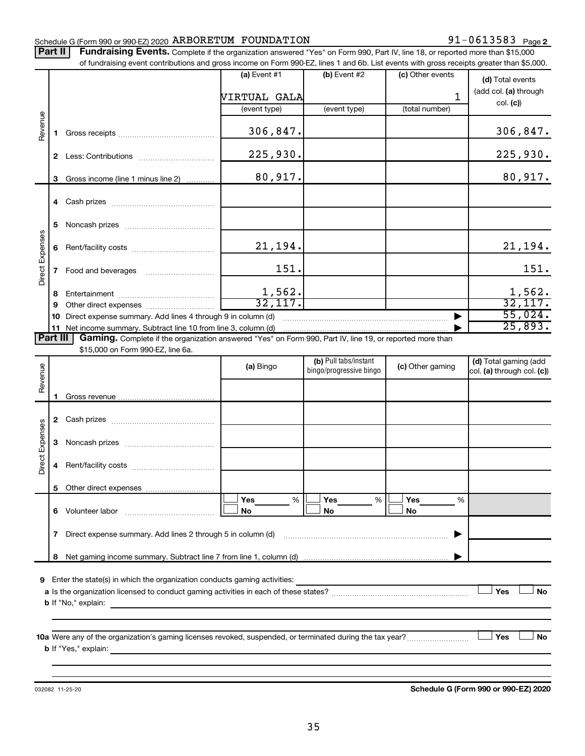## Schedule G (Form 990 or 990-EZ) 2020  $\,$  ARBORETUM FOUNDATION  $\,$  91  $-0613583$  Page

91-0613583 Page 2

Part II | Fundraising Events. Complete if the organization answered "Yes" on Form 990, Part IV, line 18, or reported more than \$15,000 of fundraising event contributions and gross income on Form 990-EZ, lines 1 and 6b. List events with gross receipts greater than \$5,000.

|                        |    | ו ומחסומאות כעבות כטותווטמתיה מות קוטא וווטחוס טו ו טוווו אטיבב, וווכא דמות טט. בואג כעכותא אתו קוטא וככסוט קופמכו מומח קט,טטט. |                        |                                                  |                  |                                                     |
|------------------------|----|---------------------------------------------------------------------------------------------------------------------------------|------------------------|--------------------------------------------------|------------------|-----------------------------------------------------|
|                        |    |                                                                                                                                 | (a) Event $#1$         | (b) Event $#2$                                   | (c) Other events | (d) Total events                                    |
|                        |    |                                                                                                                                 | VIRTUAL GALA           |                                                  | $\mathbf{1}$     | (add col. (a) through                               |
|                        |    |                                                                                                                                 | (event type)           | (event type)                                     | (total number)   | col. (c)                                            |
| Revenue                | 1. |                                                                                                                                 | 306,847.               |                                                  |                  | 306,847.                                            |
|                        |    |                                                                                                                                 | 225,930.               |                                                  |                  | 225,930.                                            |
|                        | 3  | Gross income (line 1 minus line 2)                                                                                              | 80,917.                |                                                  |                  | 80,917.                                             |
|                        |    |                                                                                                                                 |                        |                                                  |                  |                                                     |
|                        | 5  |                                                                                                                                 |                        |                                                  |                  |                                                     |
|                        | 6  |                                                                                                                                 | 21,194.                |                                                  |                  | 21,194.                                             |
| Direct Expenses        | 7  | Food and beverages                                                                                                              | 151.                   |                                                  |                  | 151.                                                |
|                        | 8  |                                                                                                                                 |                        |                                                  |                  | 1,562.                                              |
|                        | 9  |                                                                                                                                 | $\frac{1,562}{32,117}$ |                                                  |                  | 32,117.                                             |
|                        |    | 10 Direct expense summary. Add lines 4 through 9 in column (d)                                                                  |                        |                                                  |                  | 55,024.                                             |
|                        |    | 11 Net income summary. Subtract line 10 from line 3, column (d)                                                                 |                        |                                                  |                  | 25,893.                                             |
| Part III               |    | Gaming. Complete if the organization answered "Yes" on Form 990, Part IV, line 19, or reported more than                        |                        |                                                  |                  |                                                     |
|                        |    | \$15,000 on Form 990-EZ, line 6a.                                                                                               |                        |                                                  |                  |                                                     |
| Revenue                |    |                                                                                                                                 | (a) Bingo              | (b) Pull tabs/instant<br>bingo/progressive bingo | (c) Other gaming | (d) Total gaming (add<br>col. (a) through col. (c)) |
|                        |    |                                                                                                                                 |                        |                                                  |                  |                                                     |
|                        |    |                                                                                                                                 |                        |                                                  |                  |                                                     |
|                        |    |                                                                                                                                 |                        |                                                  |                  |                                                     |
| <b>Direct Expenses</b> |    |                                                                                                                                 |                        |                                                  |                  |                                                     |
|                        | 4  |                                                                                                                                 |                        |                                                  |                  |                                                     |
|                        |    |                                                                                                                                 |                        |                                                  |                  |                                                     |
|                        |    |                                                                                                                                 | Yes<br>%               | Yes<br>%                                         | Yes<br>%         |                                                     |
|                        | 6. | Volunteer labor                                                                                                                 | No                     | No                                               | No               |                                                     |
|                        | 7  | Direct expense summary. Add lines 2 through 5 in column (d)                                                                     |                        |                                                  |                  |                                                     |
|                        | 8  |                                                                                                                                 |                        |                                                  |                  |                                                     |
|                        |    |                                                                                                                                 |                        |                                                  |                  |                                                     |
| 9                      |    | Enter the state(s) in which the organization conducts gaming activities:                                                        |                        |                                                  |                  |                                                     |
|                        |    |                                                                                                                                 |                        |                                                  |                  | Yes<br>No                                           |
|                        |    | <b>b</b> If "No," explain:                                                                                                      |                        |                                                  |                  |                                                     |
|                        |    |                                                                                                                                 |                        |                                                  |                  |                                                     |
|                        |    |                                                                                                                                 |                        |                                                  |                  |                                                     |
|                        |    | <b>b</b> If "Yes," explain:                                                                                                     |                        |                                                  |                  | Yes<br><b>No</b>                                    |
|                        |    |                                                                                                                                 |                        |                                                  |                  |                                                     |
|                        |    |                                                                                                                                 |                        |                                                  |                  |                                                     |

032082 11-25-20

**Schedule G (Form 990 or 990-EZ) 2020**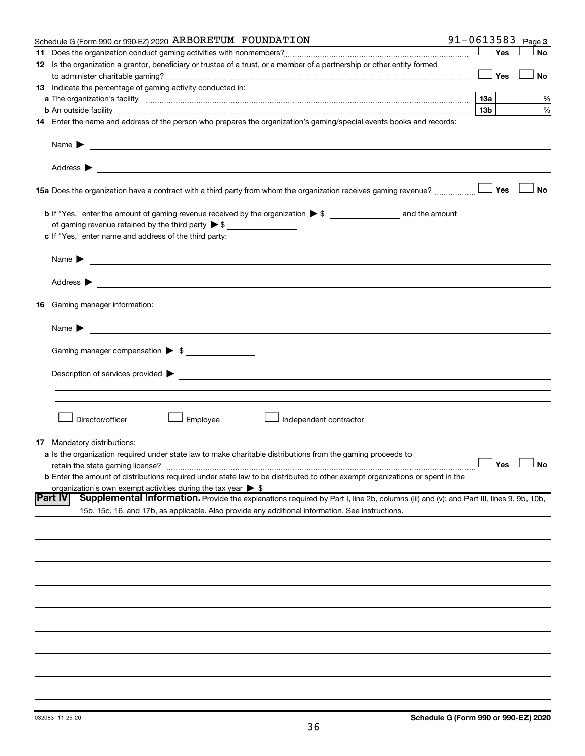| Schedule G (Form 990 or 990-EZ) 2020 ARBORETUM FOUNDATION                                                                                                                                                                                                          | 91-0613583 |                 |     | Page 3               |
|--------------------------------------------------------------------------------------------------------------------------------------------------------------------------------------------------------------------------------------------------------------------|------------|-----------------|-----|----------------------|
|                                                                                                                                                                                                                                                                    |            |                 | Yes | <b>No</b>            |
| 12 Is the organization a grantor, beneficiary or trustee of a trust, or a member of a partnership or other entity formed                                                                                                                                           |            |                 |     |                      |
|                                                                                                                                                                                                                                                                    |            |                 | Yes | No                   |
| 13 Indicate the percentage of gaming activity conducted in:                                                                                                                                                                                                        |            |                 |     |                      |
|                                                                                                                                                                                                                                                                    |            | 13а             |     | %                    |
| <b>b</b> An outside facility <i>www.communicality communicality communicality communicality communically communically communically communically communically communically communically communically communically communically communi</i>                          |            | 13 <sub>b</sub> |     | %                    |
| 14 Enter the name and address of the person who prepares the organization's gaming/special events books and records:                                                                                                                                               |            |                 |     |                      |
| Name $\blacktriangleright$<br><u> 1989 - Johann Barnett, fransk politik (d. 1989)</u>                                                                                                                                                                              |            |                 |     |                      |
|                                                                                                                                                                                                                                                                    |            |                 |     |                      |
| 15a Does the organization have a contract with a third party from whom the organization receives gaming revenue?                                                                                                                                                   |            |                 | Yes | <b>No</b>            |
|                                                                                                                                                                                                                                                                    |            |                 |     |                      |
| of gaming revenue retained by the third party $\triangleright$ \$                                                                                                                                                                                                  |            |                 |     |                      |
| c If "Yes," enter name and address of the third party:                                                                                                                                                                                                             |            |                 |     |                      |
|                                                                                                                                                                                                                                                                    |            |                 |     |                      |
| <u>and the state of the state of the state of the state of the state of the state of the state of the state of the state of the state of the state of the state of the state of the state of the state of the state of the state</u><br>Name $\blacktriangleright$ |            |                 |     |                      |
|                                                                                                                                                                                                                                                                    |            |                 |     |                      |
| Address $\blacktriangleright$<br><u> 1989 - Jan Barbara (h. 1989).</u>                                                                                                                                                                                             |            |                 |     |                      |
| 16 Gaming manager information:                                                                                                                                                                                                                                     |            |                 |     |                      |
| <u> 1989 - Johann Barbara, martin da basar a shekara 1989 - An tsaran a shekara 1989 - An tsara 1989 - An tsara</u><br>Name $\blacktriangleright$                                                                                                                  |            |                 |     |                      |
|                                                                                                                                                                                                                                                                    |            |                 |     |                      |
| Gaming manager compensation > \$                                                                                                                                                                                                                                   |            |                 |     |                      |
|                                                                                                                                                                                                                                                                    |            |                 |     |                      |
|                                                                                                                                                                                                                                                                    |            |                 |     |                      |
|                                                                                                                                                                                                                                                                    |            |                 |     |                      |
|                                                                                                                                                                                                                                                                    |            |                 |     |                      |
| Director/officer<br>Employee<br>Independent contractor                                                                                                                                                                                                             |            |                 |     |                      |
|                                                                                                                                                                                                                                                                    |            |                 |     |                      |
| <b>17</b> Mandatory distributions:                                                                                                                                                                                                                                 |            |                 |     |                      |
| a Is the organization required under state law to make charitable distributions from the gaming proceeds to                                                                                                                                                        |            |                 |     |                      |
| retain the state gaming license?                                                                                                                                                                                                                                   |            |                 |     | $\Box$ Yes $\Box$ No |
| <b>b</b> Enter the amount of distributions required under state law to be distributed to other exempt organizations or spent in the                                                                                                                                |            |                 |     |                      |
| organization's own exempt activities during the tax year $\triangleright$ \$<br><b>Part IV</b><br>Supplemental Information. Provide the explanations required by Part I, line 2b, columns (iii) and (v); and Part III, lines 9, 9b, 10b,                           |            |                 |     |                      |
| 15b, 15c, 16, and 17b, as applicable. Also provide any additional information. See instructions.                                                                                                                                                                   |            |                 |     |                      |
|                                                                                                                                                                                                                                                                    |            |                 |     |                      |
|                                                                                                                                                                                                                                                                    |            |                 |     |                      |
|                                                                                                                                                                                                                                                                    |            |                 |     |                      |
|                                                                                                                                                                                                                                                                    |            |                 |     |                      |
|                                                                                                                                                                                                                                                                    |            |                 |     |                      |
|                                                                                                                                                                                                                                                                    |            |                 |     |                      |
|                                                                                                                                                                                                                                                                    |            |                 |     |                      |
|                                                                                                                                                                                                                                                                    |            |                 |     |                      |
|                                                                                                                                                                                                                                                                    |            |                 |     |                      |
|                                                                                                                                                                                                                                                                    |            |                 |     |                      |
|                                                                                                                                                                                                                                                                    |            |                 |     |                      |
|                                                                                                                                                                                                                                                                    |            |                 |     |                      |
|                                                                                                                                                                                                                                                                    |            |                 |     |                      |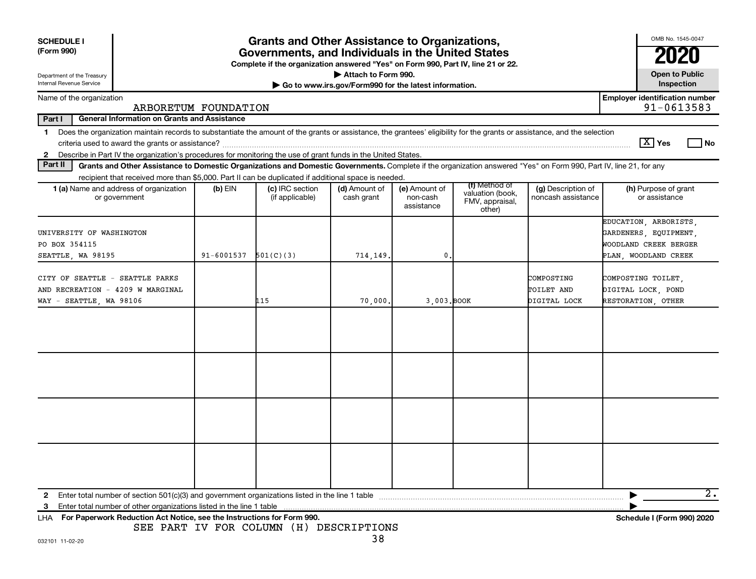| <b>SCHEDULE I</b><br>(Form 990)<br>Department of the Treasury<br>Internal Revenue Service                                                                                                                                                                                            |            | <b>Grants and Other Assistance to Organizations,</b><br>Governments, and Individuals in the United States<br>Complete if the organization answered "Yes" on Form 990, Part IV, line 21 or 22. | Attach to Form 990.                                   |                                         |                                                                |                                          | OMB No. 1545-0047<br><b>Open to Public</b><br>Inspection                                        |
|--------------------------------------------------------------------------------------------------------------------------------------------------------------------------------------------------------------------------------------------------------------------------------------|------------|-----------------------------------------------------------------------------------------------------------------------------------------------------------------------------------------------|-------------------------------------------------------|-----------------------------------------|----------------------------------------------------------------|------------------------------------------|-------------------------------------------------------------------------------------------------|
| Name of the organization                                                                                                                                                                                                                                                             |            |                                                                                                                                                                                               | Go to www.irs.gov/Form990 for the latest information. |                                         |                                                                |                                          | <b>Employer identification number</b>                                                           |
| ARBORETUM FOUNDATION                                                                                                                                                                                                                                                                 |            |                                                                                                                                                                                               |                                                       |                                         |                                                                |                                          | 91-0613583                                                                                      |
| Part I<br><b>General Information on Grants and Assistance</b>                                                                                                                                                                                                                        |            |                                                                                                                                                                                               |                                                       |                                         |                                                                |                                          |                                                                                                 |
| Does the organization maintain records to substantiate the amount of the grants or assistance, the grantees' eligibility for the grants or assistance, and the selection<br>$\mathbf 1$                                                                                              |            |                                                                                                                                                                                               |                                                       |                                         |                                                                |                                          |                                                                                                 |
|                                                                                                                                                                                                                                                                                      |            |                                                                                                                                                                                               |                                                       |                                         |                                                                |                                          | $\boxed{\text{X}}$ Yes<br>l No                                                                  |
| Describe in Part IV the organization's procedures for monitoring the use of grant funds in the United States.<br>$\mathbf{2}$                                                                                                                                                        |            |                                                                                                                                                                                               |                                                       |                                         |                                                                |                                          |                                                                                                 |
| Part II<br>Grants and Other Assistance to Domestic Organizations and Domestic Governments. Complete if the organization answered "Yes" on Form 990, Part IV, line 21, for any<br>recipient that received more than \$5,000. Part II can be duplicated if additional space is needed. |            |                                                                                                                                                                                               |                                                       |                                         |                                                                |                                          |                                                                                                 |
| <b>1 (a)</b> Name and address of organization<br>or government                                                                                                                                                                                                                       | $(b)$ EIN  | (c) IRC section<br>(if applicable)                                                                                                                                                            | (d) Amount of<br>cash grant                           | (e) Amount of<br>non-cash<br>assistance | (f) Method of<br>valuation (book,<br>FMV, appraisal,<br>other) | (g) Description of<br>noncash assistance | (h) Purpose of grant<br>or assistance                                                           |
| UNIVERSITY OF WASHINGTON<br>PO BOX 354115<br>SEATTLE, WA 98195                                                                                                                                                                                                                       | 91-6001537 | 501(C)(3)                                                                                                                                                                                     | 714,149.                                              | 0                                       |                                                                |                                          | EDUCATION, ARBORISTS,<br>GARDENERS, EQUIPMENT,<br>WOODLAND CREEK BERGER<br>PLAN, WOODLAND CREEK |
| CITY OF SEATTLE - SEATTLE PARKS<br>AND RECREATION - 4209 W MARGINAL<br>WAY - SEATTLE, WA 98106                                                                                                                                                                                       |            | 115                                                                                                                                                                                           | 70,000.                                               | 3,003. BOOK                             |                                                                | COMPOSTING<br>TOILET AND<br>DIGITAL LOCK | COMPOSTING TOILET,<br>DIGITAL LOCK, POND<br>RESTORATION, OTHER                                  |
|                                                                                                                                                                                                                                                                                      |            |                                                                                                                                                                                               |                                                       |                                         |                                                                |                                          |                                                                                                 |
|                                                                                                                                                                                                                                                                                      |            |                                                                                                                                                                                               |                                                       |                                         |                                                                |                                          |                                                                                                 |
|                                                                                                                                                                                                                                                                                      |            |                                                                                                                                                                                               |                                                       |                                         |                                                                |                                          |                                                                                                 |
|                                                                                                                                                                                                                                                                                      |            |                                                                                                                                                                                               |                                                       |                                         |                                                                |                                          |                                                                                                 |
|                                                                                                                                                                                                                                                                                      |            |                                                                                                                                                                                               |                                                       |                                         |                                                                |                                          | $2$ .                                                                                           |
| Enter total number of other organizations listed in the line 1 table<br>з                                                                                                                                                                                                            |            |                                                                                                                                                                                               |                                                       |                                         |                                                                |                                          |                                                                                                 |
| For Paperwork Reduction Act Notice, see the Instructions for Form 990.<br>LHA                                                                                                                                                                                                        |            | SEE PART IV FOR COLUMN (H) DESCRIPTIONS                                                                                                                                                       |                                                       |                                         |                                                                |                                          | Schedule I (Form 990) 2020                                                                      |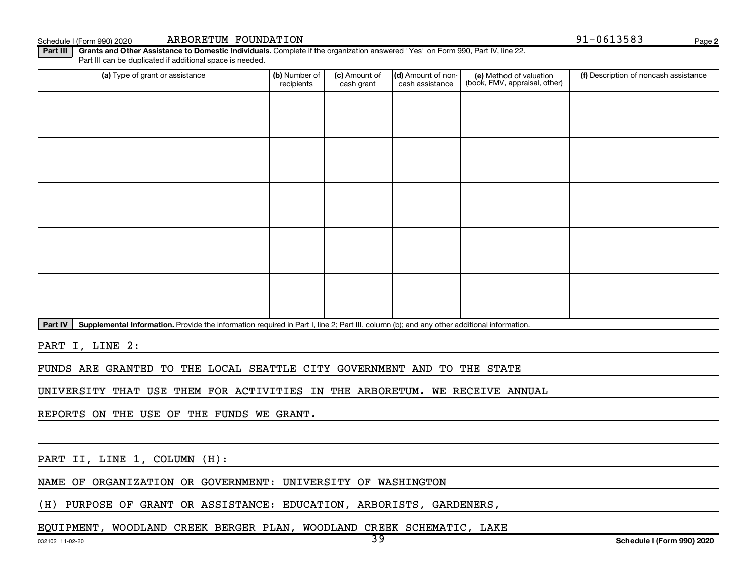Schedule I (Form 990) 2020 ARBORETUM FOUNDATION 91-0613583 Page

**2**

Part III | Grants and Other Assistance to Domestic Individuals. Complete if the organization answered "Yes" on Form 990, Part IV, line 22. Part III can be duplicated if additional space is needed.

| (a) Type of grant or assistance | (b) Number of<br>recipients | (c) Amount of<br>cash grant | (d) Amount of non-<br>cash assistance | (e) Method of valuation<br>(book, FMV, appraisal, other) | (f) Description of noncash assistance |
|---------------------------------|-----------------------------|-----------------------------|---------------------------------------|----------------------------------------------------------|---------------------------------------|
|                                 |                             |                             |                                       |                                                          |                                       |
|                                 |                             |                             |                                       |                                                          |                                       |
|                                 |                             |                             |                                       |                                                          |                                       |
|                                 |                             |                             |                                       |                                                          |                                       |
|                                 |                             |                             |                                       |                                                          |                                       |
|                                 |                             |                             |                                       |                                                          |                                       |
|                                 |                             |                             |                                       |                                                          |                                       |
|                                 |                             |                             |                                       |                                                          |                                       |
|                                 |                             |                             |                                       |                                                          |                                       |
|                                 |                             |                             |                                       |                                                          |                                       |

Part IV | Supplemental Information. Provide the information required in Part I, line 2; Part III, column (b); and any other additional information.

PART I, LINE 2:

FUNDS ARE GRANTED TO THE LOCAL SEATTLE CITY GOVERNMENT AND TO THE STATE

UNIVERSITY THAT USE THEM FOR ACTIVITIES IN THE ARBORETUM. WE RECEIVE ANNUAL

REPORTS ON THE USE OF THE FUNDS WE GRANT.

PART II, LINE 1, COLUMN (H):

NAME OF ORGANIZATION OR GOVERNMENT: UNIVERSITY OF WASHINGTON

(H) PURPOSE OF GRANT OR ASSISTANCE: EDUCATION, ARBORISTS, GARDENERS,

EQUIPMENT, WOODLAND CREEK BERGER PLAN, WOODLAND CREEK SCHEMATIC, LAKE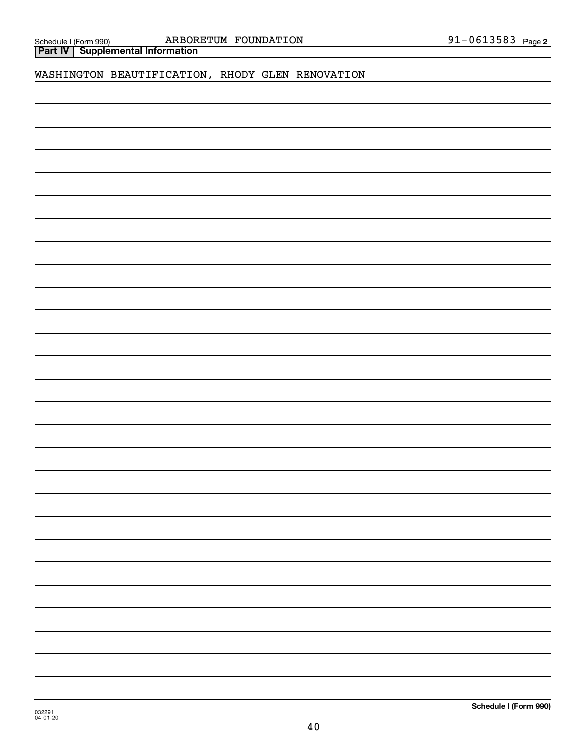**Part IV Supplemental Information**

WASHINGTON BEAUTIFICATION, RHODY GLEN RENOVATION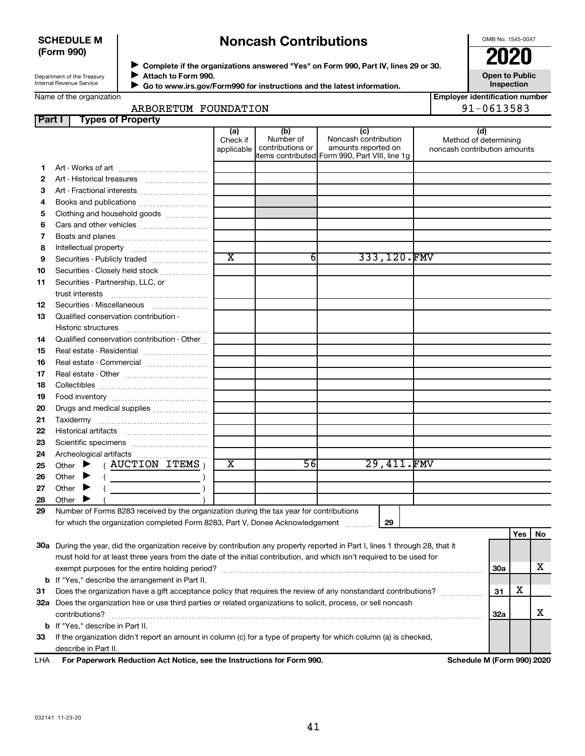## **SCHEDULE M (Form 990)**

## **Noncash Contributions**

OMB No. 1545-0047

**Employer identification number**

| Department of the Treasury |
|----------------------------|
|                            |
| Internal Revenue Service   |
|                            |

◆ Complete if the organizations answered "Yes" on Form 990, Part IV, lines 29 or 30.<br>● Complete if the organizations answered "Yes" on Form 990, Part IV, lines 29 or 30. **Attach to Form 990.**  $\blacktriangleright$ 

 **Go to www.irs.gov/Form990 for instructions and the latest information.** J

**Open to Public Inspection**

|  | Name of the organization |
|--|--------------------------|
|  |                          |
|  |                          |

## ARBORETUM FOUNDATION 91-0613583

| Part I | <b>Types of Property</b>                                                                                                                                                                                                                                                                                                                                                                                                                                                                                                                                                                                          |                               |                                      |                                                                                                      |                                                              |     |     |    |
|--------|-------------------------------------------------------------------------------------------------------------------------------------------------------------------------------------------------------------------------------------------------------------------------------------------------------------------------------------------------------------------------------------------------------------------------------------------------------------------------------------------------------------------------------------------------------------------------------------------------------------------|-------------------------------|--------------------------------------|------------------------------------------------------------------------------------------------------|--------------------------------------------------------------|-----|-----|----|
|        |                                                                                                                                                                                                                                                                                                                                                                                                                                                                                                                                                                                                                   | (a)<br>Check if<br>applicable | (b)<br>Number of<br>contributions or | (c)<br>Noncash contribution<br>amounts reported on<br>items contributed Form 990, Part VIII, line 1g | (d)<br>Method of determining<br>noncash contribution amounts |     |     |    |
| 1      |                                                                                                                                                                                                                                                                                                                                                                                                                                                                                                                                                                                                                   |                               |                                      |                                                                                                      |                                                              |     |     |    |
| 2      | Art - Historical treasures                                                                                                                                                                                                                                                                                                                                                                                                                                                                                                                                                                                        |                               |                                      |                                                                                                      |                                                              |     |     |    |
| З      | Art - Fractional interests                                                                                                                                                                                                                                                                                                                                                                                                                                                                                                                                                                                        |                               |                                      |                                                                                                      |                                                              |     |     |    |
| 4      | Books and publications                                                                                                                                                                                                                                                                                                                                                                                                                                                                                                                                                                                            |                               |                                      |                                                                                                      |                                                              |     |     |    |
| 5      | Clothing and household goods                                                                                                                                                                                                                                                                                                                                                                                                                                                                                                                                                                                      |                               |                                      |                                                                                                      |                                                              |     |     |    |
| 6      |                                                                                                                                                                                                                                                                                                                                                                                                                                                                                                                                                                                                                   |                               |                                      |                                                                                                      |                                                              |     |     |    |
| 7      |                                                                                                                                                                                                                                                                                                                                                                                                                                                                                                                                                                                                                   |                               |                                      |                                                                                                      |                                                              |     |     |    |
| 8      |                                                                                                                                                                                                                                                                                                                                                                                                                                                                                                                                                                                                                   |                               |                                      |                                                                                                      |                                                              |     |     |    |
| 9      | Securities - Publicly traded                                                                                                                                                                                                                                                                                                                                                                                                                                                                                                                                                                                      | $\overline{\text{x}}$         | 61                                   | 333,120.FMV                                                                                          |                                                              |     |     |    |
| 10     | Securities - Closely held stock                                                                                                                                                                                                                                                                                                                                                                                                                                                                                                                                                                                   |                               |                                      |                                                                                                      |                                                              |     |     |    |
| 11     | Securities - Partnership, LLC, or                                                                                                                                                                                                                                                                                                                                                                                                                                                                                                                                                                                 |                               |                                      |                                                                                                      |                                                              |     |     |    |
|        | trust interests                                                                                                                                                                                                                                                                                                                                                                                                                                                                                                                                                                                                   |                               |                                      |                                                                                                      |                                                              |     |     |    |
| 12     |                                                                                                                                                                                                                                                                                                                                                                                                                                                                                                                                                                                                                   |                               |                                      |                                                                                                      |                                                              |     |     |    |
| 13     | Qualified conservation contribution -                                                                                                                                                                                                                                                                                                                                                                                                                                                                                                                                                                             |                               |                                      |                                                                                                      |                                                              |     |     |    |
|        |                                                                                                                                                                                                                                                                                                                                                                                                                                                                                                                                                                                                                   |                               |                                      |                                                                                                      |                                                              |     |     |    |
| 14     | Qualified conservation contribution - Other                                                                                                                                                                                                                                                                                                                                                                                                                                                                                                                                                                       |                               |                                      |                                                                                                      |                                                              |     |     |    |
| 15     | Real estate - Residential                                                                                                                                                                                                                                                                                                                                                                                                                                                                                                                                                                                         |                               |                                      |                                                                                                      |                                                              |     |     |    |
| 16     | Real estate - Commercial                                                                                                                                                                                                                                                                                                                                                                                                                                                                                                                                                                                          |                               |                                      |                                                                                                      |                                                              |     |     |    |
| 17     |                                                                                                                                                                                                                                                                                                                                                                                                                                                                                                                                                                                                                   |                               |                                      |                                                                                                      |                                                              |     |     |    |
| 18     |                                                                                                                                                                                                                                                                                                                                                                                                                                                                                                                                                                                                                   |                               |                                      |                                                                                                      |                                                              |     |     |    |
| 19     |                                                                                                                                                                                                                                                                                                                                                                                                                                                                                                                                                                                                                   |                               |                                      |                                                                                                      |                                                              |     |     |    |
| 20     | Drugs and medical supplies                                                                                                                                                                                                                                                                                                                                                                                                                                                                                                                                                                                        |                               |                                      |                                                                                                      |                                                              |     |     |    |
| 21     |                                                                                                                                                                                                                                                                                                                                                                                                                                                                                                                                                                                                                   |                               |                                      |                                                                                                      |                                                              |     |     |    |
| 22     |                                                                                                                                                                                                                                                                                                                                                                                                                                                                                                                                                                                                                   |                               |                                      |                                                                                                      |                                                              |     |     |    |
| 23     |                                                                                                                                                                                                                                                                                                                                                                                                                                                                                                                                                                                                                   |                               |                                      |                                                                                                      |                                                              |     |     |    |
| 24     | Archeological artifacts                                                                                                                                                                                                                                                                                                                                                                                                                                                                                                                                                                                           |                               |                                      |                                                                                                      |                                                              |     |     |    |
| 25     | $($ AUCTION ITEMS $)$<br>Other $\blacktriangleright$                                                                                                                                                                                                                                                                                                                                                                                                                                                                                                                                                              | х                             | 56                                   | 29,411.FMV                                                                                           |                                                              |     |     |    |
| 26     | Other $\blacktriangleright$<br>$\left(\begin{array}{ccc} \begin{array}{ccc} \end{array} & \begin{array}{ccc} \end{array} & \begin{array}{ccc} \end{array} & \begin{array}{ccc} \end{array} & \begin{array}{ccc} \end{array} & \begin{array}{ccc} \end{array} & \begin{array}{ccc} \end{array} & \begin{array}{ccc} \end{array} & \begin{array}{ccc} \end{array} & \begin{array}{ccc} \end{array} & \begin{array}{ccc} \end{array} & \begin{array}{ccc} \end{array} & \begin{array}{ccc} \end{array} & \begin{array}{ccc} \end{array} & \begin{array}{ccc} \end{array} & \begin{array}{ccc} \end{array} & \begin{$ |                               |                                      |                                                                                                      |                                                              |     |     |    |
| 27     | Other $\blacktriangleright$                                                                                                                                                                                                                                                                                                                                                                                                                                                                                                                                                                                       |                               |                                      |                                                                                                      |                                                              |     |     |    |
| 28     | Other $\blacktriangleright$                                                                                                                                                                                                                                                                                                                                                                                                                                                                                                                                                                                       |                               |                                      |                                                                                                      |                                                              |     |     |    |
| 29     | Number of Forms 8283 received by the organization during the tax year for contributions                                                                                                                                                                                                                                                                                                                                                                                                                                                                                                                           |                               |                                      |                                                                                                      |                                                              |     |     |    |
|        | for which the organization completed Form 8283, Part V, Donee Acknowledgement                                                                                                                                                                                                                                                                                                                                                                                                                                                                                                                                     |                               |                                      | 29                                                                                                   |                                                              |     |     |    |
|        |                                                                                                                                                                                                                                                                                                                                                                                                                                                                                                                                                                                                                   |                               |                                      |                                                                                                      |                                                              |     | Yes | No |
|        | 30a During the year, did the organization receive by contribution any property reported in Part I, lines 1 through 28, that it                                                                                                                                                                                                                                                                                                                                                                                                                                                                                    |                               |                                      |                                                                                                      |                                                              |     |     |    |
|        | must hold for at least three years from the date of the initial contribution, and which isn't required to be used for                                                                                                                                                                                                                                                                                                                                                                                                                                                                                             |                               |                                      |                                                                                                      |                                                              |     |     |    |
|        |                                                                                                                                                                                                                                                                                                                                                                                                                                                                                                                                                                                                                   |                               |                                      |                                                                                                      |                                                              | 30a |     | x. |
|        | <b>b</b> If "Yes," describe the arrangement in Part II.                                                                                                                                                                                                                                                                                                                                                                                                                                                                                                                                                           |                               |                                      |                                                                                                      |                                                              |     |     |    |
| 31     | Does the organization have a gift acceptance policy that requires the review of any nonstandard contributions?                                                                                                                                                                                                                                                                                                                                                                                                                                                                                                    |                               |                                      |                                                                                                      |                                                              | 31  | х   |    |
|        | 32a Does the organization hire or use third parties or related organizations to solicit, process, or sell noncash                                                                                                                                                                                                                                                                                                                                                                                                                                                                                                 |                               |                                      |                                                                                                      |                                                              |     |     |    |
|        | contributions?                                                                                                                                                                                                                                                                                                                                                                                                                                                                                                                                                                                                    |                               |                                      |                                                                                                      |                                                              | 32a |     | x  |
|        | b If "Yes," describe in Part II.                                                                                                                                                                                                                                                                                                                                                                                                                                                                                                                                                                                  |                               |                                      |                                                                                                      |                                                              |     |     |    |
| 33     | If the organization didn't report an amount in column (c) for a type of property for which column (a) is checked,                                                                                                                                                                                                                                                                                                                                                                                                                                                                                                 |                               |                                      |                                                                                                      |                                                              |     |     |    |

| <b>LHA</b><br>For Paperwork Reduction Act Notice, see the Instructions for Form 990. |
|--------------------------------------------------------------------------------------|
|--------------------------------------------------------------------------------------|

**Schedule M (Form 990) 2020**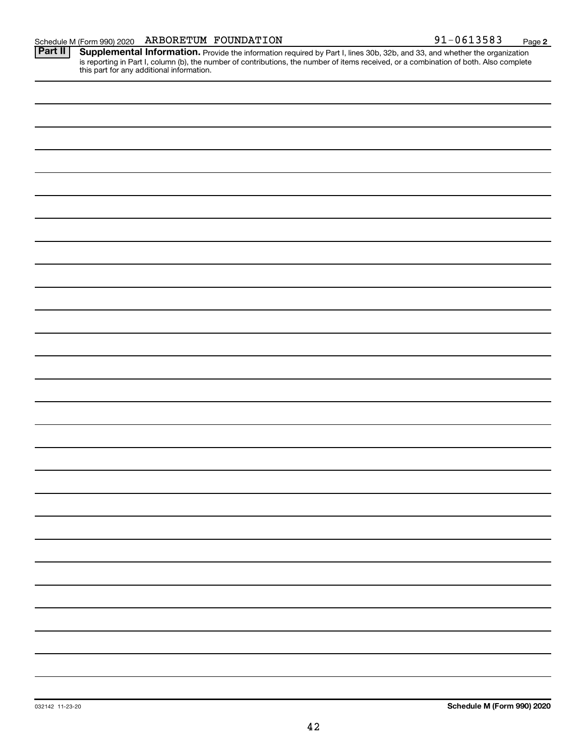**2**

Provide the information required by Part I, lines 30b, 32b, and 33, and whether the organization is reporting in Part I, column (b), the number of contributions, the number of items received, or a combination of both. Also complete this part for any additional information. **Part II Supplemental Information.**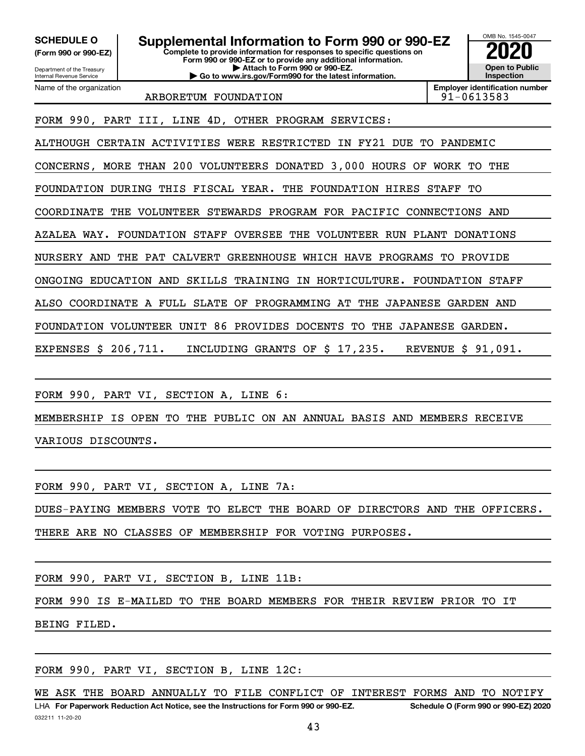Department of the Treasury **(Form 990 or 990-EZ)**

Name of the organization

Internal Revenue Service

**Complete to provide information for responses to specific questions on Form 990 or 990-EZ or to provide any additional information. | Attach to Form 990 or 990-EZ. | Go to www.irs.gov/Form990 for the latest information. SCHEDULE O Supplemental Information to Form 990 or 990-EZ 2020**<br>(Form 990 or 990-EZ) Complete to provide information for responses to specific questions on



ARBORETUM FOUNDATION RESOLUTION RESOLUTION

**Employer identification number**

FORM 990, PART III, LINE 4D, OTHER PROGRAM SERVICES:

ALTHOUGH CERTAIN ACTIVITIES WERE RESTRICTED IN FY21 DUE TO PANDEMIC

CONCERNS, MORE THAN 200 VOLUNTEERS DONATED 3,000 HOURS OF WORK TO THE

FOUNDATION DURING THIS FISCAL YEAR. THE FOUNDATION HIRES STAFF TO

COORDINATE THE VOLUNTEER STEWARDS PROGRAM FOR PACIFIC CONNECTIONS AND

AZALEA WAY. FOUNDATION STAFF OVERSEE THE VOLUNTEER RUN PLANT DONATIONS

NURSERY AND THE PAT CALVERT GREENHOUSE WHICH HAVE PROGRAMS TO PROVIDE

ONGOING EDUCATION AND SKILLS TRAINING IN HORTICULTURE. FOUNDATION STAFF

ALSO COORDINATE A FULL SLATE OF PROGRAMMING AT THE JAPANESE GARDEN AND

FOUNDATION VOLUNTEER UNIT 86 PROVIDES DOCENTS TO THE JAPANESE GARDEN.

EXPENSES \$ 206,711. INCLUDING GRANTS OF \$ 17,235. REVENUE \$ 91,091.

FORM 990, PART VI, SECTION A, LINE 6:

MEMBERSHIP IS OPEN TO THE PUBLIC ON AN ANNUAL BASIS AND MEMBERS RECEIVE VARIOUS DISCOUNTS.

FORM 990, PART VI, SECTION A, LINE 7A:

DUES-PAYING MEMBERS VOTE TO ELECT THE BOARD OF DIRECTORS AND THE OFFICERS.

THERE ARE NO CLASSES OF MEMBERSHIP FOR VOTING PURPOSES.

FORM 990, PART VI, SECTION B, LINE 11B:

FORM 990 IS E-MAILED TO THE BOARD MEMBERS FOR THEIR REVIEW PRIOR TO IT BEING FILED.

FORM 990, PART VI, SECTION B, LINE 12C:

032211 11-20-20 **For Paperwork Reduction Act Notice, see the Instructions for Form 990 or 990-EZ. Schedule O (Form 990 or 990-EZ) 2020** LHA WE ASK THE BOARD ANNUALLY TO FILE CONFLICT OF INTEREST FORMS AND TO NOTIFY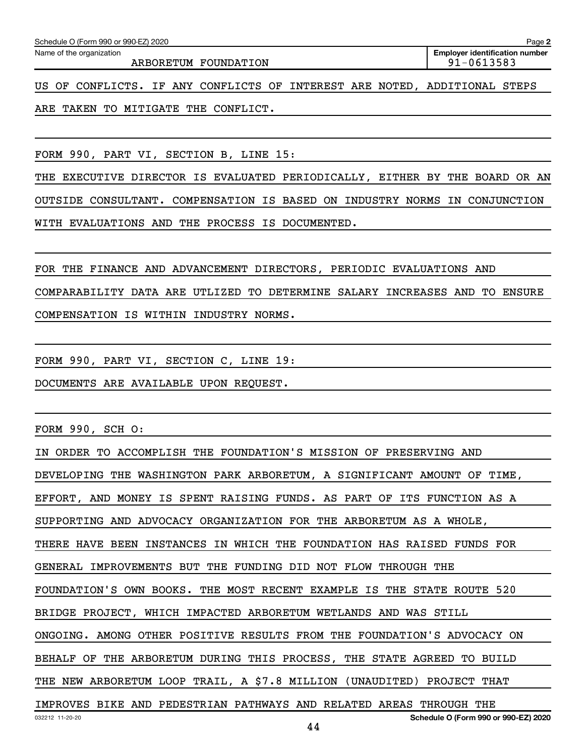| Schedule O (Form 990 or 990-EZ) 2020<br>Page 2                            |                                                         |  |  |  |  |  |  |
|---------------------------------------------------------------------------|---------------------------------------------------------|--|--|--|--|--|--|
| Name of the organization<br>ARBORETUM FOUNDATION                          | <b>Employer identification number</b><br>$91 - 0613583$ |  |  |  |  |  |  |
| US OF CONFLICTS. IF ANY CONFLICTS OF INTEREST ARE NOTED, ADDITIONAL STEPS |                                                         |  |  |  |  |  |  |
| ARE TAKEN TO MITIGATE THE CONFLICT.                                       |                                                         |  |  |  |  |  |  |

FORM 990, PART VI, SECTION B, LINE 15:

THE EXECUTIVE DIRECTOR IS EVALUATED PERIODICALLY, EITHER BY THE BOARD OR AN OUTSIDE CONSULTANT. COMPENSATION IS BASED ON INDUSTRY NORMS IN CONJUNCTION WITH EVALUATIONS AND THE PROCESS IS DOCUMENTED.

FOR THE FINANCE AND ADVANCEMENT DIRECTORS, PERIODIC EVALUATIONS AND COMPARABILITY DATA ARE UTLIZED TO DETERMINE SALARY INCREASES AND TO ENSURE COMPENSATION IS WITHIN INDUSTRY NORMS.

FORM 990, PART VI, SECTION C, LINE 19:

DOCUMENTS ARE AVAILABLE UPON REQUEST.

FORM 990, SCH O:

032212 11-20-20 **Schedule O (Form 990 or 990-EZ) 2020** IN ORDER TO ACCOMPLISH THE FOUNDATION'S MISSION OF PRESERVING AND DEVELOPING THE WASHINGTON PARK ARBORETUM, A SIGNIFICANT AMOUNT OF TIME, EFFORT, AND MONEY IS SPENT RAISING FUNDS. AS PART OF ITS FUNCTION AS A SUPPORTING AND ADVOCACY ORGANIZATION FOR THE ARBORETUM AS A WHOLE, THERE HAVE BEEN INSTANCES IN WHICH THE FOUNDATION HAS RAISED FUNDS FOR GENERAL IMPROVEMENTS BUT THE FUNDING DID NOT FLOW THROUGH THE FOUNDATION'S OWN BOOKS. THE MOST RECENT EXAMPLE IS THE STATE ROUTE 520 BRIDGE PROJECT, WHICH IMPACTED ARBORETUM WETLANDS AND WAS STILL ONGOING. AMONG OTHER POSITIVE RESULTS FROM THE FOUNDATION'S ADVOCACY ON BEHALF OF THE ARBORETUM DURING THIS PROCESS, THE STATE AGREED TO BUILD THE NEW ARBORETUM LOOP TRAIL, A \$7.8 MILLION (UNAUDITED) PROJECT THAT IMPROVES BIKE AND PEDESTRIAN PATHWAYS AND RELATED AREAS THROUGH THE

44